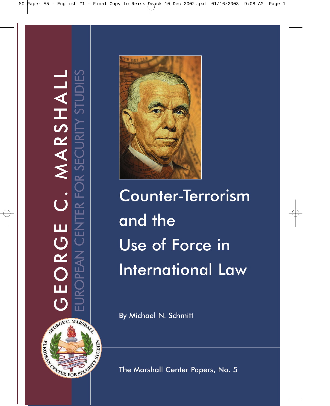GEORGE C. MARSHALL EUROPEAN CENTER FOR SECURITY STUDIES MARSHALL  $\dot{\bigcup}$ ロ<br>し EORC й  $\overline{()}$ GRORGE C. MARSHALL REAL ORDER SECURITY



Counter-Terrorism and the Use of Force in International Law

By Michael N. Schmitt

The Marshall Center Papers, No. 5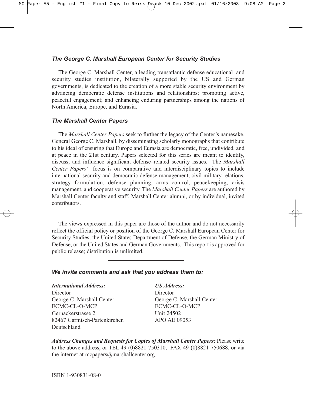## *The George C. Marshall European Center for Security Studies*

The George C. Marshall Center, a leading transatlantic defense educational and security studies institution, bilaterally supported by the US and German governments, is dedicated to the creation of a more stable security environment by advancing democratic defense institutions and relationships; promoting active, peaceful engagement; and enhancing enduring partnerships among the nations of North America, Europe, and Eurasia.

## *The Marshall Center Papers*

The *Marshall Center Papers* seek to further the legacy of the Center's namesake, General George C. Marshall, by disseminating scholarly monographs that contribute to his ideal of ensuring that Europe and Eurasia are democratic, free, undivided, and at peace in the 21st century. Papers selected for this series are meant to identify, discuss, and influence significant defense-related security issues. The *Marshall Center Papers*<sup> $\prime$ </sup> focus is on comparative and interdisciplinary topics to include international security and democratic defense management, civil military relations, strategy formulation, defense planning, arms control, peacekeeping, crisis management, and cooperative security. The *Marshall Center Papers* are authored by Marshall Center faculty and staff, Marshall Center alumni, or by individual, invited contributors.

The views expressed in this paper are those of the author and do not necessarily reflect the official policy or position of the George C. Marshall European Center for Security Studies, the United States Department of Defense, the German Ministry of Defense, or the United States and German Governments. This report is approved for public release; distribution is unlimited.

## *We invite comments and ask that you address them to:*

## *International Address: US Address:*

Director Director George C. Marshall Center George C. Marshall Center ECMC-CL-O-MCP ECMC-CL-O-MCP Gernackerstrasse 2 Unit 24502 82467 Garmisch-Partenkirchen APO AE 09053 Deutschland

*Address Changes and Requests for Copies of Marshall Center Papers:* Please write to the above address, or TEL 49-(0)8821-750310, FAX 49-(0)8821-750688, or via the internet at mcpapers@marshallcenter.org.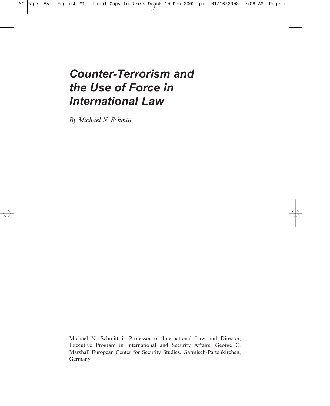# *Counter-Terrorism and the Use of Force in International Law*

*By Michael N. Schmitt*

Michael N. Schmitt is Professor of International Law and Director, Executive Program in International and Security Affairs, George C. Marshall European Center for Security Studies, Garmisch-Partenkirchen, Germany.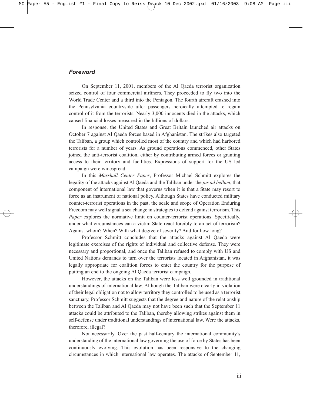## *Foreword*

On September 11, 2001, members of the Al Qaeda terrorist organization seized control of four commercial airliners. They proceeded to fly two into the World Trade Center and a third into the Pentagon. The fourth aircraft crashed into the Pennsylvania countryside after passengers heroically attempted to regain control of it from the terrorists. Nearly 3,000 innocents died in the attacks, which caused financial losses measured in the billions of dollars.

In response, the United States and Great Britain launched air attacks on October 7 against Al Qaeda forces based in Afghanistan. The strikes also targeted the Taliban, a group which controlled most of the country and which had harbored terrorists for a number of years. As ground operations commenced, other States joined the anti-terrorist coalition, either by contributing armed forces or granting access to their territory and facilities. Expressions of support for the US-led campaign were widespread.

In this *Marshall Center Paper*, Professor Michael Schmitt explores the legality of the attacks against Al Qaeda and the Taliban under the *jus ad bellum*, that component of international law that governs when it is that a State may resort to force as an instrument of national policy. Although States have conducted military counter-terrorist operations in the past, the scale and scope of Operation Enduring Freedom may well signal a sea change in strategies to defend against terrorism. This *Paper* explores the normative limit on counter-terrorist operations. Specifically, under what circumstances can a victim State react forcibly to an act of terrorism? Against whom? When? With what degree of severity? And for how long?

Professor Schmitt concludes that the attacks against Al Qaeda were legitimate exercises of the rights of individual and collective defense. They were necessary and proportional, and once the Taliban refused to comply with US and United Nations demands to turn over the terrorists located in Afghanistan, it was legally appropriate for coalition forces to enter the country for the purpose of putting an end to the ongoing Al Qaeda terrorist campaign.

However, the attacks on the Taliban were less well grounded in traditional understandings of international law. Although the Taliban were clearly in violation of their legal obligation not to allow territory they controlled to be used as a terrorist sanctuary, Professor Schmitt suggests that the degree and nature of the relationship between the Taliban and Al Qaeda may not have been such that the September 11 attacks could be attributed to the Taliban, thereby allowing strikes against them in self-defense under traditional understandings of international law. Were the attacks, therefore, illegal?

Not necessarily. Over the past half-century the international community's understanding of the international law governing the use of force by States has been continuously evolving. This evolution has been responsive to the changing circumstances in which international law operates. The attacks of September 11,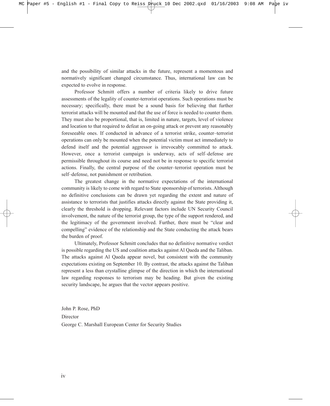and the possibility of similar attacks in the future, represent a momentous and normatively significant changed circumstance. Thus, international law can be expected to evolve in response.

Professor Schmitt offers a number of criteria likely to drive future assessments of the legality of counter-terrorist operations. Such operations must be necessary; specifically, there must be a sound basis for believing that further terrorist attacks will be mounted and that the use of force is needed to counter them. They must also be proportional, that is, limited in nature, targets, level of violence and location to that required to defeat an on-going attack or prevent any reasonably foreseeable ones. If conducted in advance of a terrorist strike, counter-terrorist operations can only be mounted when the potential victim must act immediately to defend itself and the potential aggressor is irrevocably committed to attack. However, once a terrorist campaign is underway, acts of self-defense are permissible throughout its course and need not be in response to specific terrorist actions. Finally, the central purpose of the counter-terrorist operation must be self-defense, not punishment or retribution.

The greatest change in the normative expectations of the international community is likely to come with regard to State sponsorship of terrorists. Although no definitive conclusions can be drawn yet regarding the extent and nature of assistance to terrorists that justifies attacks directly against the State providing it, clearly the threshold is dropping. Relevant factors include UN Security Council involvement, the nature of the terrorist group, the type of the support rendered, and the legitimacy of the government involved. Further, there must be "clear and compellingî evidence of the relationship and the State conducting the attack bears the burden of proof.

Ultimately, Professor Schmitt concludes that no definitive normative verdict is possible regarding the US and coalition attacks against Al Qaeda and the Taliban. The attacks against Al Qaeda appear novel, but consistent with the community expectations existing on September 10. By contrast, the attacks against the Taliban represent a less than crystalline glimpse of the direction in which the international law regarding responses to terrorism may be heading. But given the existing security landscape, he argues that the vector appears positive.

John P. Rose, PhD Director George C. Marshall European Center for Security Studies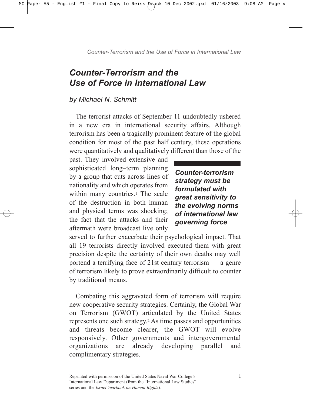# *Counter-Terrorism and the Use of Force in International Law*

# *by Michael N. Schmitt*

The terrorist attacks of September 11 undoubtedly ushered in a new era in international security affairs. Although terrorism has been a tragically prominent feature of the global condition for most of the past half century, these operations were quantitatively and qualitatively different than those of the

past. They involved extensive and sophisticated long-term planning by a group that cuts across lines of nationality and which operates from within many countries.<sup>1</sup> The scale of the destruction in both human and physical terms was shocking; the fact that the attacks and their aftermath were broadcast live only

*Counter-terrorism strategy must be formulated with great sensitivity to the evolving norms of international law governing force*

served to further exacerbate their psychological impact. That all 19 terrorists directly involved executed them with great precision despite the certainty of their own deaths may well portend a terrifying face of  $21st$  century terrorism  $\frac{1}{10}$  a genre of terrorism likely to prove extraordinarily difficult to counter by traditional means.

Combating this aggravated form of terrorism will require new cooperative security strategies. Certainly, the Global War on Terrorism (GWOT) articulated by the United States represents one such strategy.2 As time passes and opportunities and threats become clearer, the GWOT will evolve responsively. Other governments and intergovernmental organizations are already developing parallel and complimentary strategies.

Reprinted with permission of the United States Naval War College's 1 International Law Department (from the "International Law Studies" series and the *Israel Yearbook on Human Rights*)*.*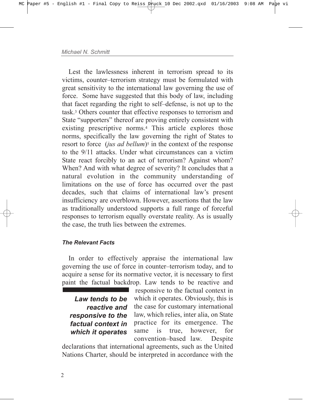Lest the lawlessness inherent in terrorism spread to its victims, counter-terrorism strategy must be formulated with great sensitivity to the international law governing the use of force. Some have suggested that this body of law, including that facet regarding the right to self-defense, is not up to the task.3 Others counter that effective responses to terrorism and State "supporters" thereof are proving entirely consistent with existing prescriptive norms.4 This article explores those norms, specifically the law governing the right of States to resort to force *(jus ad bellum)*<sup>5</sup> in the context of the response to the 9/11 attacks. Under what circumstances can a victim State react forcibly to an act of terrorism? Against whom? When? And with what degree of severity? It concludes that a natural evolution in the community understanding of limitations on the use of force has occurred over the past decades, such that claims of international law's present insufficiency are overblown. However, assertions that the law as traditionally understood supports a full range of forceful responses to terrorism equally overstate reality. As is usually the case, the truth lies between the extremes.

# *The Relevant Facts*

In order to effectively appraise the international law governing the use of force in counter-terrorism today, and to acquire a sense for its normative vector, it is necessary to first paint the factual backdrop. Law tends to be reactive and

*Law tends to be reactive and responsive to the factual context in which it operates*

responsive to the factual context in which it operates. Obviously, this is the case for customary international law, which relies, inter alia, on State practice for its emergence. The same is true, however, for convention-based law. Despite

declarations that international agreements, such as the United Nations Charter, should be interpreted in accordance with the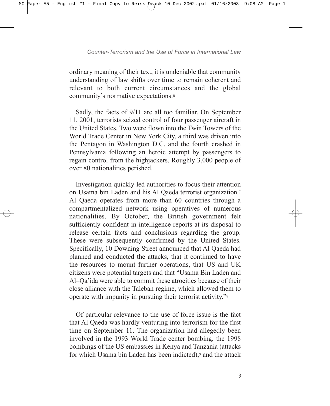ordinary meaning of their text, it is undeniable that community understanding of law shifts over time to remain coherent and relevant to both current circumstances and the global community's normative expectations.<sup>6</sup>

Sadly, the facts of 9/11 are all too familiar. On September 11, 2001, terrorists seized control of four passenger aircraft in the United States. Two were flown into the Twin Towers of the World Trade Center in New York City, a third was driven into the Pentagon in Washington D.C. and the fourth crashed in Pennsylvania following an heroic attempt by passengers to regain control from the highjackers. Roughly 3,000 people of over 80 nationalities perished.

Investigation quickly led authorities to focus their attention on Usama bin Laden and his Al Qaeda terrorist organization.7 Al Qaeda operates from more than 60 countries through a compartmentalized network using operatives of numerous nationalities. By October, the British government felt sufficiently confident in intelligence reports at its disposal to release certain facts and conclusions regarding the group. These were subsequently confirmed by the United States. Specifically, 10 Downing Street announced that Al Qaeda had planned and conducted the attacks, that it continued to have the resources to mount further operations, that US and UK citizens were potential targets and that "Usama Bin Laden and  $Al-Oa'$ ida were able to commit these atrocities because of their close alliance with the Taleban regime, which allowed them to operate with impunity in pursuing their terrorist activity."<sup>8</sup>

Of particular relevance to the use of force issue is the fact that Al Qaeda was hardly venturing into terrorism for the first time on September 11. The organization had allegedly been involved in the 1993 World Trade center bombing, the 1998 bombings of the US embassies in Kenya and Tanzania (attacks for which Usama bin Laden has been indicted),9 and the attack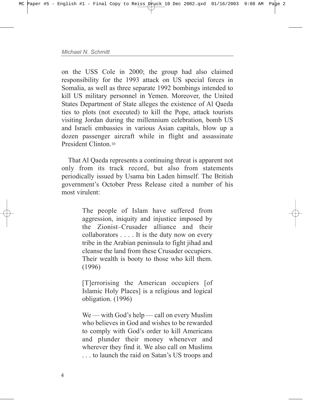on the USS Cole in 2000; the group had also claimed responsibility for the 1993 attack on US special forces in Somalia, as well as three separate 1992 bombings intended to kill US military personnel in Yemen. Moreover, the United States Department of State alleges the existence of Al Qaeda ties to plots (not executed) to kill the Pope, attack tourists visiting Jordan during the millennium celebration, bomb US and Israeli embassies in various Asian capitals, blow up a dozen passenger aircraft while in flight and assassinate President Clinton<sup>10</sup>

That Al Qaeda represents a continuing threat is apparent not only from its track record, but also from statements periodically issued by Usama bin Laden himself. The British government's October Press Release cited a number of his most virulent:

> The people of Islam have suffered from aggression, iniquity and injustice imposed by the Zionist-Crusader alliance and their collaborators . . . . It is the duty now on every tribe in the Arabian peninsula to fight jihad and cleanse the land from these Crusader occupiers. Their wealth is booty to those who kill them. (1996)

> [T]errorising the American occupiers [of Islamic Holy Places] is a religious and logical obligation. (1996)

> $We — with God's help — call on every Muslim$ who believes in God and wishes to be rewarded to comply with God's order to kill Americans and plunder their money whenever and wherever they find it. We also call on Muslims ... to launch the raid on Satan's US troops and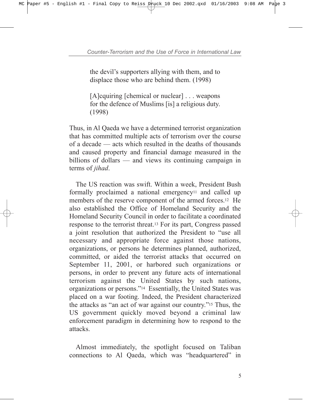the devil's supporters allying with them, and to displace those who are behind them. (1998)

[A]cquiring [chemical or nuclear] . . . weapons for the defence of Muslims [is] a religious duty. (1998)

Thus, in Al Qaeda we have a determined terrorist organization that has committed multiple acts of terrorism over the course of a decade  $\frac{d}{dx}$  acts which resulted in the deaths of thousands and caused property and financial damage measured in the billions of dollars  $\overline{\phantom{a}}$  and views its continuing campaign in terms of *jihad*.

The US reaction was swift. Within a week, President Bush formally proclaimed a national emergency<sup>11</sup> and called up members of the reserve component of the armed forces.12 He also established the Office of Homeland Security and the Homeland Security Council in order to facilitate a coordinated response to the terrorist threat.13 For its part, Congress passed a joint resolution that authorized the President to "use all necessary and appropriate force against those nations, organizations, or persons he determines planned, authorized, committed, or aided the terrorist attacks that occurred on September 11, 2001, or harbored such organizations or persons, in order to prevent any future acts of international terrorism against the United States by such nations, organizations or persons."<sup>14</sup> Essentially, the United States was placed on a war footing. Indeed, the President characterized the attacks as "an act of war against our country." $15$  Thus, the US government quickly moved beyond a criminal law enforcement paradigm in determining how to respond to the attacks.

Almost immediately, the spotlight focused on Taliban connections to Al Qaeda, which was "headquartered" in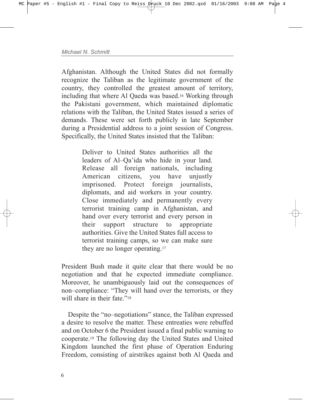Afghanistan. Although the United States did not formally recognize the Taliban as the legitimate government of the country, they controlled the greatest amount of territory, including that where Al Qaeda was based.16 Working through the Pakistani government, which maintained diplomatic relations with the Taliban, the United States issued a series of demands. These were set forth publicly in late September during a Presidential address to a joint session of Congress. Specifically, the United States insisted that the Taliban:

> Deliver to United States authorities all the leaders of Al-Qa'ida who hide in your land. Release all foreign nationals, including American citizens, you have unjustly imprisoned. Protect foreign journalists, diplomats, and aid workers in your country. Close immediately and permanently every terrorist training camp in Afghanistan, and hand over every terrorist and every person in their support structure to appropriate authorities. Give the United States full access to terrorist training camps, so we can make sure they are no longer operating.17

President Bush made it quite clear that there would be no negotiation and that he expected immediate compliance. Moreover, he unambiguously laid out the consequences of non–compliance: "They will hand over the terrorists, or they will share in their fate.<sup>"18</sup>

Despite the "no-negotiations" stance, the Taliban expressed a desire to resolve the matter. These entreaties were rebuffed and on October 6 the President issued a final public warning to cooperate.19 The following day the United States and United Kingdom launched the first phase of Operation Enduring Freedom, consisting of airstrikes against both Al Qaeda and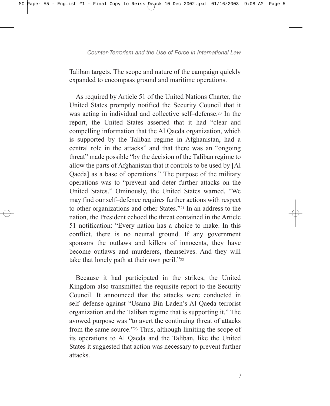Taliban targets. The scope and nature of the campaign quickly expanded to encompass ground and maritime operations.

As required by Article 51 of the United Nations Charter, the United States promptly notified the Security Council that it was acting in individual and collective self-defense.<sup>20</sup> In the report, the United States asserted that it had "clear and compelling information that the Al Qaeda organization, which is supported by the Taliban regime in Afghanistan, had a central role in the attacks" and that there was an "ongoing" threat" made possible "by the decision of the Taliban regime to allow the parts of Afghanistan that it controls to be used by [Al Qaeda] as a base of operations." The purpose of the military operations was to "prevent and deter further attacks on the United States." Ominously, the United States warned, "We may find our self-defence requires further actions with respect to other organizations and other States.<sup>221</sup> In an address to the nation, the President echoed the threat contained in the Article 51 notification: "Every nation has a choice to make. In this conflict, there is no neutral ground. If any government sponsors the outlaws and killers of innocents, they have become outlaws and murderers, themselves. And they will take that lonely path at their own peril.<sup> $22$ </sup>

Because it had participated in the strikes, the United Kingdom also transmitted the requisite report to the Security Council. It announced that the attacks were conducted in self-defense against "Usama Bin Laden's Al Qaeda terrorist organization and the Taliban regime that is supporting it." The avowed purpose was "to avert the continuing threat of attacks" from the same source.<sup>223</sup> Thus, although limiting the scope of its operations to Al Qaeda and the Taliban, like the United States it suggested that action was necessary to prevent further attacks.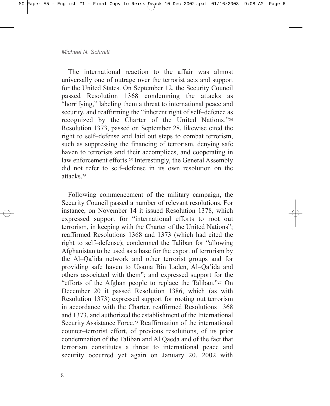The international reaction to the affair was almost universally one of outrage over the terrorist acts and support for the United States. On September 12, the Security Council passed Resolution 1368 condemning the attacks as "horrifying," labeling them a threat to international peace and security, and reaffirming the "inherent right of self-defence as recognized by the Charter of the United Nations."24 Resolution 1373, passed on September 28, likewise cited the right to self-defense and laid out steps to combat terrorism, such as suppressing the financing of terrorism, denying safe haven to terrorists and their accomplices, and cooperating in law enforcement efforts.25 Interestingly, the General Assembly did not refer to self-defense in its own resolution on the attacks.26

Following commencement of the military campaign, the Security Council passed a number of relevant resolutions. For instance, on November 14 it issued Resolution 1378, which expressed support for "international efforts to root out terrorism, in keeping with the Charter of the United Nations"; reaffirmed Resolutions 1368 and 1373 (which had cited the right to self-defense); condemned the Taliban for "allowing" Afghanistan to be used as a base for the export of terrorism by the Al–Qa'ida network and other terrorist groups and for providing safe haven to Usama Bin Laden, Al-Qa'ida and others associated with themî; and expressed support for the "efforts of the Afghan people to replace the Taliban."27 On December 20 it passed Resolution 1386, which (as with Resolution 1373) expressed support for rooting out terrorism in accordance with the Charter, reaffirmed Resolutions 1368 and 1373, and authorized the establishment of the International Security Assistance Force.28 Reaffirmation of the international counter-terrorist effort, of previous resolutions, of its prior condemnation of the Taliban and Al Qaeda and of the fact that terrorism constitutes a threat to international peace and security occurred yet again on January 20, 2002 with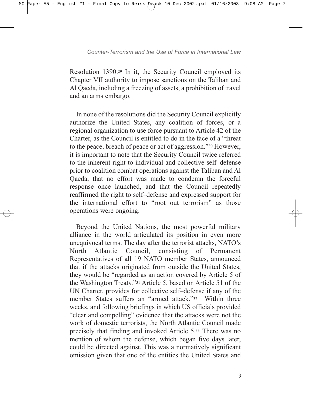Resolution 1390.29 In it, the Security Council employed its Chapter VII authority to impose sanctions on the Taliban and Al Qaeda, including a freezing of assets, a prohibition of travel and an arms embargo.

In none of the resolutions did the Security Council explicitly authorize the United States, any coalition of forces, or a regional organization to use force pursuant to Article 42 of the Charter, as the Council is entitled to do in the face of a "threat" to the peace, breach of peace or act of aggression.<sup>730</sup> However, it is important to note that the Security Council twice referred to the inherent right to individual and collective self-defense prior to coalition combat operations against the Taliban and Al Qaeda, that no effort was made to condemn the forceful response once launched, and that the Council repeatedly reaffirmed the right to self-defense and expressed support for the international effort to "root out terrorism" as those operations were ongoing.

Beyond the United Nations, the most powerful military alliance in the world articulated its position in even more unequivocal terms. The day after the terrorist attacks, NATO's North Atlantic Council, consisting of Permanent Representatives of all 19 NATO member States, announced that if the attacks originated from outside the United States, they would be "regarded as an action covered by Article 5 of the Washington Treaty."<sup>31</sup> Article 5, based on Article 51 of the UN Charter, provides for collective self-defense if any of the member States suffers an "armed attack."<sup>32</sup> Within three weeks, and following briefings in which US officials provided "clear and compelling" evidence that the attacks were not the work of domestic terrorists, the North Atlantic Council made precisely that finding and invoked Article 5.33 There was no mention of whom the defense, which began five days later, could be directed against. This was a normatively significant omission given that one of the entities the United States and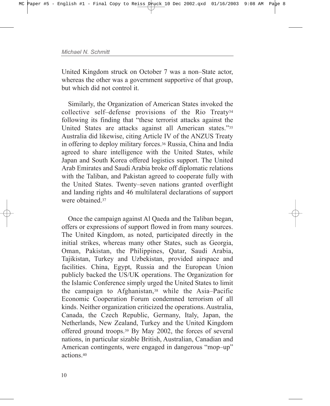United Kingdom struck on October 7 was a non-State actor, whereas the other was a government supportive of that group, but which did not control it.

Similarly, the Organization of American States invoked the collective self-defense provisions of the Rio Treaty<sup>34</sup> following its finding that "these terrorist attacks against the United States are attacks against all American states."35 Australia did likewise, citing Article IV of the ANZUS Treaty in offering to deploy military forces.36 Russia, China and India agreed to share intelligence with the United States, while Japan and South Korea offered logistics support. The United Arab Emirates and Saudi Arabia broke off diplomatic relations with the Taliban, and Pakistan agreed to cooperate fully with the United States. Twenty–seven nations granted overflight and landing rights and 46 multilateral declarations of support were obtained 37

Once the campaign against Al Qaeda and the Taliban began, offers or expressions of support flowed in from many sources. The United Kingdom, as noted, participated directly in the initial strikes, whereas many other States, such as Georgia, Oman, Pakistan, the Philippines, Qatar, Saudi Arabia, Tajikistan, Turkey and Uzbekistan, provided airspace and facilities. China, Egypt, Russia and the European Union publicly backed the US/UK operations. The Organization for the Islamic Conference simply urged the United States to limit the campaign to Afghanistan, $38$  while the Asia–Pacific Economic Cooperation Forum condemned terrorism of all kinds. Neither organization criticized the operations. Australia, Canada, the Czech Republic, Germany, Italy, Japan, the Netherlands, New Zealand, Turkey and the United Kingdom offered ground troops.39 By May 2002, the forces of several nations, in particular sizable British, Australian, Canadian and American contingents, were engaged in dangerous "mop-up" actions<sup>40</sup>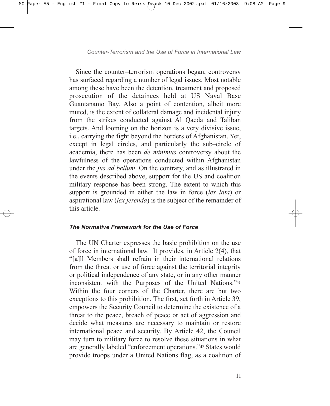Since the counter-terrorism operations began, controversy has surfaced regarding a number of legal issues. Most notable among these have been the detention, treatment and proposed prosecution of the detainees held at US Naval Base Guantanamo Bay. Also a point of contention, albeit more muted, is the extent of collateral damage and incidental injury from the strikes conducted against Al Qaeda and Taliban targets. And looming on the horizon is a very divisive issue, i.e., carrying the fight beyond the borders of Afghanistan. Yet, except in legal circles, and particularly the sub-circle of academia, there has been *de minimus* controversy about the lawfulness of the operations conducted within Afghanistan under the *jus ad bellum*. On the contrary, and as illustrated in the events described above, support for the US and coalition military response has been strong. The extent to which this support is grounded in either the law in force (*lex lata*) or aspirational law (*lex ferenda*) is the subject of the remainder of this article.

## *The Normative Framework for the Use of Force*

The UN Charter expresses the basic prohibition on the use of force in international law. It provides, in Article 2(4), that ì[a]ll Members shall refrain in their international relations from the threat or use of force against the territorial integrity or political independence of any state, or in any other manner inconsistent with the Purposes of the United Nations.<sup>"41</sup> Within the four corners of the Charter, there are but two exceptions to this prohibition. The first, set forth in Article 39, empowers the Security Council to determine the existence of a threat to the peace, breach of peace or act of aggression and decide what measures are necessary to maintain or restore international peace and security. By Article 42, the Council may turn to military force to resolve these situations in what are generally labeled "enforcement operations."<sup>42</sup> States would provide troops under a United Nations flag, as a coalition of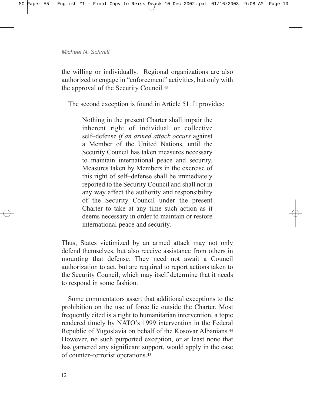the willing or individually. Regional organizations are also authorized to engage in "enforcement" activities, but only with the approval of the Security Council.43

The second exception is found in Article 51. It provides:

Nothing in the present Charter shall impair the inherent right of individual or collective self-defense *if an armed attack occurs* against a Member of the United Nations, until the Security Council has taken measures necessary to maintain international peace and security. Measures taken by Members in the exercise of this right of self-defense shall be immediately reported to the Security Council and shall not in any way affect the authority and responsibility of the Security Council under the present Charter to take at any time such action as it deems necessary in order to maintain or restore international peace and security.

Thus, States victimized by an armed attack may not only defend themselves, but also receive assistance from others in mounting that defense. They need not await a Council authorization to act, but are required to report actions taken to the Security Council, which may itself determine that it needs to respond in some fashion.

Some commentators assert that additional exceptions to the prohibition on the use of force lie outside the Charter. Most frequently cited is a right to humanitarian intervention, a topic rendered timely by NATO's 1999 intervention in the Federal Republic of Yugoslavia on behalf of the Kosovar Albanians.44 However, no such purported exception, or at least none that has garnered any significant support, would apply in the case of counter-terrorist operations.<sup>45</sup>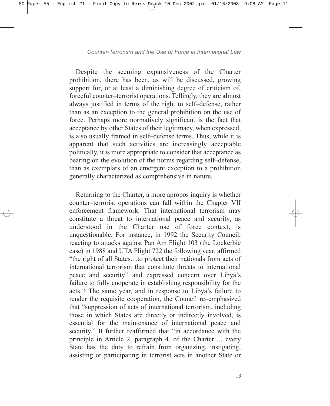Despite the seeming expansiveness of the Charter prohibition, there has been, as will be discussed, growing support for, or at least a diminishing degree of criticism of, forceful counter-terrorist operations. Tellingly, they are almost always justified in terms of the right to self-defense, rather than as an exception to the general prohibition on the use of force. Perhaps more normatively significant is the fact that acceptance by other States of their legitimacy, when expressed, is also usually framed in self-defense terms. Thus, while it is apparent that such activities are increasingly acceptable politically, it is more appropriate to consider that acceptance as bearing on the evolution of the norms regarding self-defense, than as exemplars of an emergent exception to a prohibition generally characterized as comprehensive in nature.

Returning to the Charter, a more apropos inquiry is whether counter-terrorist operations can fall within the Chapter VII enforcement framework. That international terrorism may constitute a threat to international peace and security, as understood in the Charter use of force context, is unquestionable. For instance, in 1992 the Security Council, reacting to attacks against Pan Am Flight 103 (the Lockerbie case) in 1988 and UTA Flight 722 the following year, affirmed "the right of all States...to protect their nationals from acts of international terrorism that constitute threats to international peace and security" and expressed concern over Libya's failure to fully cooperate in establishing responsibility for the acts.46 The same year, and in response to Libyaís failure to render the requisite cooperation, the Council re-emphasized that "suppression of acts of international terrorism, including those in which States are directly or indirectly involved, is essential for the maintenance of international peace and security." It further reaffirmed that "in accordance with the principle in Article 2, paragraph 4, of the Charter $...,$  every State has the duty to refrain from organizing, instigating, assisting or participating in terrorist acts in another State or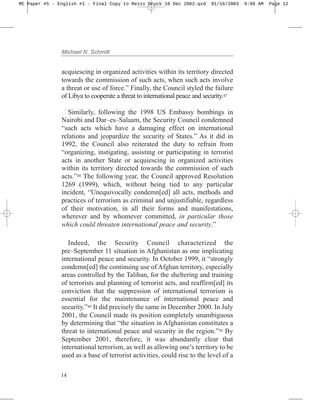acquiescing in organized activities within its territory directed towards the commission of such acts, when such acts involve a threat or use of force." Finally, the Council styled the failure of Libya to cooperate a threat to international peace and security.47

Similarly, following the 1998 US Embassy bombings in Nairobi and Dar-es-Salaam, the Security Council condemned ìsuch acts which have a damaging effect on international relations and jeopardize the security of States." As it did in 1992, the Council also reiterated the duty to refrain from ìorganizing, instigating, assisting or participating in terrorist acts in another State or acquiescing in organized activities within its territory directed towards the commission of such acts.<sup>748</sup> The following year, the Council approved Resolution 1269 (1999), which, without being tied to any particular incident, "Unequivocally condemn[ed] all acts, methods and practices of terrorism as criminal and unjustifiable, regardless of their motivation, in all their forms and manifestations, wherever and by whomever committed, *in particular those* which could threaten international peace and security.<sup>"</sup>

Indeed, the Security Council characterized the pre–September 11 situation in Afghanistan as one implicating international peace and security. In October 1999, it "strongly condemn[ed] the continuing use of Afghan territory, especially areas controlled by the Taliban, for the sheltering and training of terrorists and planning of terrorist acts, and reaffirm[ed] its conviction that the suppression of international terrorism is essential for the maintenance of international peace and security.<sup>749</sup> It did precisely the same in December 2000. In July 2001, the Council made its position completely unambiguous by determining that "the situation in Afghanistan constitutes a threat to international peace and security in the region.<sup> $350$ </sup> By September 2001, therefore, it was abundantly clear that international terrorism, as well as allowing one's territory to be used as a base of terrorist activities, could rise to the level of a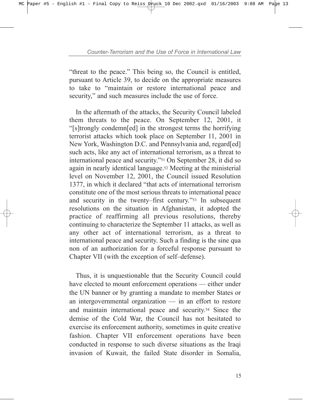"threat to the peace." This being so, the Council is entitled, pursuant to Article 39, to decide on the appropriate measures to take to "maintain or restore international peace and security," and such measures include the use of force.

In the aftermath of the attacks, the Security Council labeled them threats to the peace. On September 12, 2001, it ì[s]trongly condemn[ed] in the strongest terms the horrifying terrorist attacks which took place on September 11, 2001 in New York, Washington D.C. and Pennsylvania and, regard[ed] such acts, like any act of international terrorism, as a threat to international peace and security.<sup>751</sup> On September 28, it did so again in nearly identical language.52 Meeting at the ministerial level on November 12, 2001, the Council issued Resolution 1377, in which it declared "that acts of international terrorism constitute one of the most serious threats to international peace and security in the twenty–first century.<sup> $353$ </sup> In subsequent resolutions on the situation in Afghanistan, it adopted the practice of reaffirming all previous resolutions, thereby continuing to characterize the September 11 attacks, as well as any other act of international terrorism, as a threat to international peace and security. Such a finding is the sine qua non of an authorization for a forceful response pursuant to Chapter VII (with the exception of self-defense).

Thus, it is unquestionable that the Security Council could have elected to mount enforcement operations — either under the UN banner or by granting a mandate to member States or an intergovernmental organization  $\overline{\phantom{a}}$  in an effort to restore and maintain international peace and security.54 Since the demise of the Cold War, the Council has not hesitated to exercise its enforcement authority, sometimes in quite creative fashion. Chapter VII enforcement operations have been conducted in response to such diverse situations as the Iraqi invasion of Kuwait, the failed State disorder in Somalia,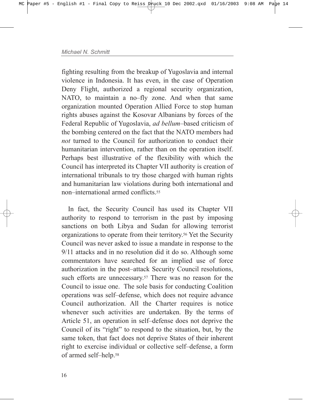fighting resulting from the breakup of Yugoslavia and internal violence in Indonesia. It has even, in the case of Operation Deny Flight, authorized a regional security organization, NATO, to maintain a no-fly zone. And when that same organization mounted Operation Allied Force to stop human rights abuses against the Kosovar Albanians by forces of the Federal Republic of Yugoslavia, *ad bellum*-based criticism of the bombing centered on the fact that the NATO members had *not* turned to the Council for authorization to conduct their humanitarian intervention, rather than on the operation itself. Perhaps best illustrative of the flexibility with which the Council has interpreted its Chapter VII authority is creation of international tribunals to try those charged with human rights and humanitarian law violations during both international and non-international armed conflicts <sup>55</sup>

In fact, the Security Council has used its Chapter VII authority to respond to terrorism in the past by imposing sanctions on both Libya and Sudan for allowing terrorist organizations to operate from their territory.56 Yet the Security Council was never asked to issue a mandate in response to the 9/11 attacks and in no resolution did it do so. Although some commentators have searched for an implied use of force authorization in the post-attack Security Council resolutions, such efforts are unnecessary.<sup>57</sup> There was no reason for the Council to issue one. The sole basis for conducting Coalition operations was self-defense, which does not require advance Council authorization. All the Charter requires is notice whenever such activities are undertaken. By the terms of Article 51, an operation in self-defense does not deprive the Council of its "right" to respond to the situation, but, by the same token, that fact does not deprive States of their inherent right to exercise individual or collective self-defense, a form of armed self-help.<sup>58</sup>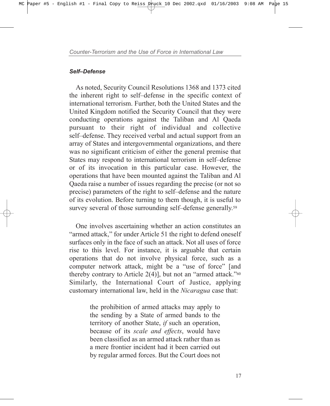## Self-Defense

As noted, Security Council Resolutions 1368 and 1373 cited the inherent right to self-defense in the specific context of international terrorism. Further, both the United States and the United Kingdom notified the Security Council that they were conducting operations against the Taliban and Al Qaeda pursuant to their right of individual and collective self-defense. They received verbal and actual support from an array of States and intergovernmental organizations, and there was no significant criticism of either the general premise that States may respond to international terrorism in self-defense or of its invocation in this particular case. However, the operations that have been mounted against the Taliban and Al Qaeda raise a number of issues regarding the precise (or not so precise) parameters of the right to self-defense and the nature of its evolution. Before turning to them though, it is useful to survey several of those surrounding self-defense generally.<sup>59</sup>

One involves ascertaining whether an action constitutes an "armed attack," for under Article 51 the right to defend oneself surfaces only in the face of such an attack. Not all uses of force rise to this level. For instance, it is arguable that certain operations that do not involve physical force, such as a computer network attack, might be a "use of force" [and thereby contrary to Article  $2(4)$ ], but not an "armed attack."<sup>60</sup> Similarly, the International Court of Justice, applying customary international law, held in the *Nicaragua* case that:

> the prohibition of armed attacks may apply to the sending by a State of armed bands to the territory of another State, *if* such an operation, because of its *scale and effects*, would have been classified as an armed attack rather than as a mere frontier incident had it been carried out by regular armed forces. But the Court does not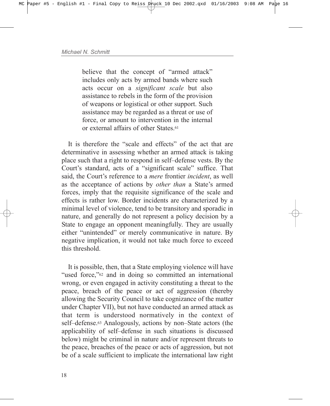believe that the concept of "armed attack" includes only acts by armed bands where such acts occur on a *significant scale* but also assistance to rebels in the form of the provision of weapons or logistical or other support. Such assistance may be regarded as a threat or use of force, or amount to intervention in the internal or external affairs of other States.<sup>61</sup>

It is therefore the "scale and effects" of the act that are determinative in assessing whether an armed attack is taking place such that a right to respond in self-defense vests. By the Court's standard, acts of a "significant scale" suffice. That said, the Court's reference to a *mere* frontier *incident*, as well as the acceptance of actions by *other than* a State's armed forces, imply that the requisite significance of the scale and effects is rather low. Border incidents are characterized by a minimal level of violence, tend to be transitory and sporadic in nature, and generally do not represent a policy decision by a State to engage an opponent meaningfully. They are usually either "unintended" or merely communicative in nature. By negative implication, it would not take much force to exceed this threshold.

It is possible, then, that a State employing violence will have "used force," $62$  and in doing so committed an international wrong, or even engaged in activity constituting a threat to the peace, breach of the peace or act of aggression (thereby allowing the Security Council to take cognizance of the matter under Chapter VII), but not have conducted an armed attack as that term is understood normatively in the context of self-defense.<sup>63</sup> Analogously, actions by non-State actors (the applicability of self-defense in such situations is discussed below) might be criminal in nature and/or represent threats to the peace, breaches of the peace or acts of aggression, but not be of a scale sufficient to implicate the international law right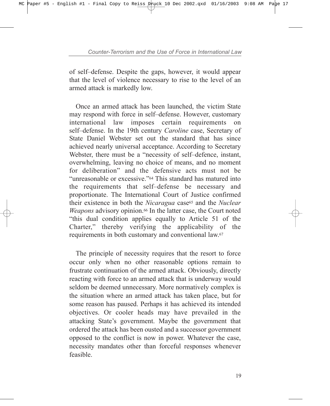of self-defense. Despite the gaps, however, it would appear that the level of violence necessary to rise to the level of an armed attack is markedly low.

Once an armed attack has been launched, the victim State may respond with force in self-defense. However, customary international law imposes certain requirements on self-defense. In the 19th century *Caroline* case, Secretary of State Daniel Webster set out the standard that has since achieved nearly universal acceptance. According to Secretary Webster, there must be a "necessity of self-defence, instant, overwhelming, leaving no choice of means, and no moment for deliberation" and the defensive acts must not be "unreasonable or excessive."<sup>64</sup> This standard has matured into the requirements that self-defense be necessary and proportionate. The International Court of Justice confirmed their existence in both the *Nicaragua* case<sup>65</sup> and the *Nuclear Weapons* advisory opinion.<sup>66</sup> In the latter case, the Court noted "this dual condition applies equally to Article 51 of the Charter," thereby verifying the applicability of the requirements in both customary and conventional law.67

The principle of necessity requires that the resort to force occur only when no other reasonable options remain to frustrate continuation of the armed attack. Obviously, directly reacting with force to an armed attack that is underway would seldom be deemed unnecessary. More normatively complex is the situation where an armed attack has taken place, but for some reason has paused. Perhaps it has achieved its intended objectives. Or cooler heads may have prevailed in the attacking State's government. Maybe the government that ordered the attack has been ousted and a successor government opposed to the conflict is now in power. Whatever the case, necessity mandates other than forceful responses whenever feasible.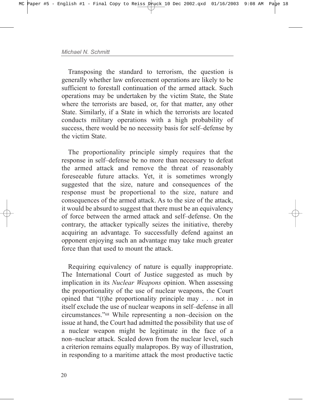Transposing the standard to terrorism, the question is generally whether law enforcement operations are likely to be sufficient to forestall continuation of the armed attack. Such operations may be undertaken by the victim State, the State where the terrorists are based, or, for that matter, any other State. Similarly, if a State in which the terrorists are located conducts military operations with a high probability of success, there would be no necessity basis for self-defense by the victim State.

The proportionality principle simply requires that the response in self-defense be no more than necessary to defeat the armed attack and remove the threat of reasonably foreseeable future attacks. Yet, it is sometimes wrongly suggested that the size, nature and consequences of the response must be proportional to the size, nature and consequences of the armed attack. As to the size of the attack, it would be absurd to suggest that there must be an equivalency of force between the armed attack and self-defense. On the contrary, the attacker typically seizes the initiative, thereby acquiring an advantage. To successfully defend against an opponent enjoying such an advantage may take much greater force than that used to mount the attack.

Requiring equivalency of nature is equally inappropriate. The International Court of Justice suggested as much by implication in its *Nuclear Weapons* opinion. When assessing the proportionality of the use of nuclear weapons, the Court opined that  $\degree$ (t)he proportionality principle may . . . not in itself exclude the use of nuclear weapons in self-defense in all circumstances.<sup>"68</sup> While representing a non-decision on the issue at hand, the Court had admitted the possibility that use of a nuclear weapon might be legitimate in the face of a non-nuclear attack. Scaled down from the nuclear level, such a criterion remains equally malapropos. By way of illustration, in responding to a maritime attack the most productive tactic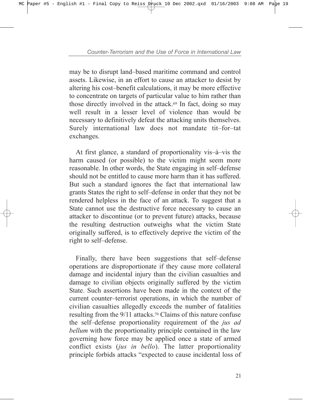may be to disrupt land–based maritime command and control assets. Likewise, in an effort to cause an attacker to desist by altering his cost-benefit calculations, it may be more effective to concentrate on targets of particular value to him rather than those directly involved in the attack.69 In fact, doing so may well result in a lesser level of violence than would be necessary to definitively defeat the attacking units themselves. Surely international law does not mandate tit-for-tat exchanges.

At first glance, a standard of proportionality vis $-\hat{a}-v$  is the harm caused (or possible) to the victim might seem more reasonable. In other words, the State engaging in self-defense should not be entitled to cause more harm than it has suffered. But such a standard ignores the fact that international law grants States the right to self-defense in order that they not be rendered helpless in the face of an attack. To suggest that a State cannot use the destructive force necessary to cause an attacker to discontinue (or to prevent future) attacks, because the resulting destruction outweighs what the victim State originally suffered, is to effectively deprive the victim of the right to self-defense.

Finally, there have been suggestions that self-defense operations are disproportionate if they cause more collateral damage and incidental injury than the civilian casualties and damage to civilian objects originally suffered by the victim State. Such assertions have been made in the context of the current counter-terrorist operations, in which the number of civilian casualties allegedly exceeds the number of fatalities resulting from the 9/11 attacks.70 Claims of this nature confuse the self-defense proportionality requirement of the *jus ad bellum* with the proportionality principle contained in the law governing how force may be applied once a state of armed conflict exists (*jus in bello*). The latter proportionality principle forbids attacks "expected to cause incidental loss of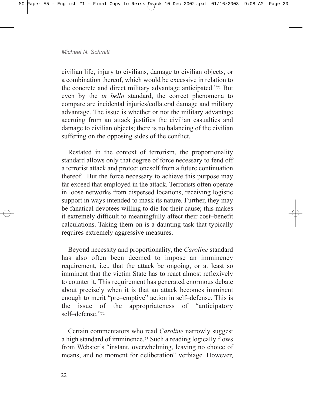civilian life, injury to civilians, damage to civilian objects, or a combination thereof, which would be excessive in relation to the concrete and direct military advantage anticipated.<sup>771</sup> But even by the *in bello* standard, the correct phenomena to compare are incidental injuries/collateral damage and military advantage. The issue is whether or not the military advantage accruing from an attack justifies the civilian casualties and damage to civilian objects; there is no balancing of the civilian suffering on the opposing sides of the conflict.

Restated in the context of terrorism, the proportionality standard allows only that degree of force necessary to fend off a terrorist attack and protect oneself from a future continuation thereof. But the force necessary to achieve this purpose may far exceed that employed in the attack. Terrorists often operate in loose networks from dispersed locations, receiving logistic support in ways intended to mask its nature. Further, they may be fanatical devotees willing to die for their cause; this makes it extremely difficult to meaningfully affect their cost-benefit calculations. Taking them on is a daunting task that typically requires extremely aggressive measures.

Beyond necessity and proportionality, the *Caroline* standard has also often been deemed to impose an imminency requirement, i.e., that the attack be ongoing, or at least so imminent that the victim State has to react almost reflexively to counter it. This requirement has generated enormous debate about precisely when it is that an attack becomes imminent enough to merit "pre-emptive" action in self-defense. This is the issue of the appropriateness of "anticipatory self-defense.<sup>"72</sup>

Certain commentators who read *Caroline* narrowly suggest a high standard of imminence.73 Such a reading logically flows from Webster's "instant, overwhelming, leaving no choice of means, and no moment for deliberation" verbiage. However,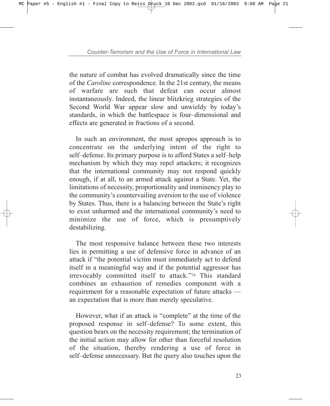the nature of combat has evolved dramatically since the time of the *Caroline* correspondence. In the 21st century, the means of warfare are such that defeat can occur almost instantaneously. Indeed, the linear blitzkrieg strategies of the Second World War appear slow and unwieldy by today's standards, in which the battlespace is four-dimensional and effects are generated in fractions of a second.

In such an environment, the most apropos approach is to concentrate on the underlying intent of the right to self-defense. Its primary purpose is to afford States a self-help mechanism by which they may repel attackers; it recognizes that the international community may not respond quickly enough, if at all, to an armed attack against a State. Yet, the limitations of necessity, proportionality and imminency play to the community's countervailing aversion to the use of violence by States. Thus, there is a balancing between the State's right to exist unharmed and the international community's need to minimize the use of force, which is presumptively destabilizing.

The most responsive balance between these two interests lies in permitting a use of defensive force in advance of an attack if "the potential victim must immediately act to defend itself in a meaningful way and if the potential aggressor has irrevocably committed itself to attack.<sup>774</sup> This standard combines an exhaustion of remedies component with a requirement for a reasonable expectation of future attacks – an expectation that is more than merely speculative.

However, what if an attack is "complete" at the time of the proposed response in self-defense? To some extent, this question bears on the necessity requirement; the termination of the initial action may allow for other than forceful resolution of the situation, thereby rendering a use of force in self-defense unnecessary. But the query also touches upon the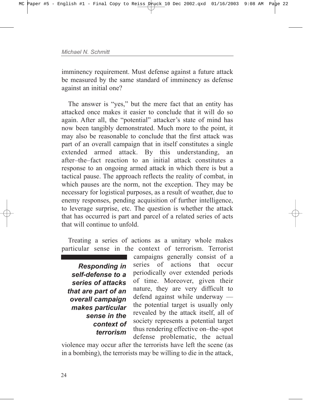imminency requirement. Must defense against a future attack be measured by the same standard of imminency as defense against an initial one?

The answer is "yes," but the mere fact that an entity has attacked once makes it easier to conclude that it will do so again. After all, the "potential" attacker's state of mind has now been tangibly demonstrated. Much more to the point, it may also be reasonable to conclude that the first attack was part of an overall campaign that in itself constitutes a single extended armed attack. By this understanding, an after-the-fact reaction to an initial attack constitutes a response to an ongoing armed attack in which there is but a tactical pause. The approach reflects the reality of combat, in which pauses are the norm, not the exception. They may be necessary for logistical purposes, as a result of weather, due to enemy responses, pending acquisition of further intelligence, to leverage surprise, etc. The question is whether the attack that has occurred is part and parcel of a related series of acts that will continue to unfold.

Treating a series of actions as a unitary whole makes particular sense in the context of terrorism. Terrorist

*Responding in self-defense to a series of attacks that are part of an overall campaign makes particular sense in the context of terrorism*

campaigns generally consist of a series of actions that occur periodically over extended periods of time. Moreover, given their nature, they are very difficult to defend against while underway  $$ the potential target is usually only revealed by the attack itself, all of society represents a potential target thus rendering effective on-the-spot defense problematic, the actual

violence may occur after the terrorists have left the scene (as in a bombing), the terrorists may be willing to die in the attack,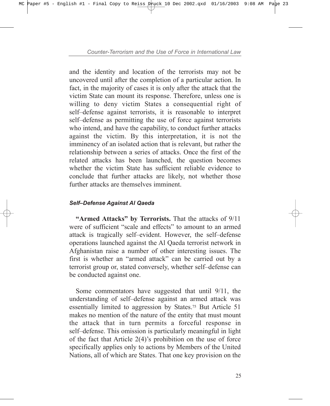and the identity and location of the terrorists may not be uncovered until after the completion of a particular action. In fact, in the majority of cases it is only after the attack that the victim State can mount its response. Therefore, unless one is willing to deny victim States a consequential right of self-defense against terrorists, it is reasonable to interpret self-defense as permitting the use of force against terrorists who intend, and have the capability, to conduct further attacks against the victim. By this interpretation, it is not the imminency of an isolated action that is relevant, but rather the relationship between a series of attacks. Once the first of the related attacks has been launched, the question becomes whether the victim State has sufficient reliable evidence to conclude that further attacks are likely, not whether those further attacks are themselves imminent.

# **Self-Defense Against Al Qaeda**

**"Armed Attacks" by Terrorists.** That the attacks of  $9/11$ were of sufficient "scale and effects" to amount to an armed attack is tragically self-evident. However, the self-defense operations launched against the Al Qaeda terrorist network in Afghanistan raise a number of other interesting issues. The first is whether an "armed attack" can be carried out by a terrorist group or, stated conversely, whether self-defense can be conducted against one.

Some commentators have suggested that until 9/11, the understanding of self-defense against an armed attack was essentially limited to aggression by States.75 But Article 51 makes no mention of the nature of the entity that must mount the attack that in turn permits a forceful response in self-defense. This omission is particularly meaningful in light of the fact that Article  $2(4)$ 's prohibition on the use of force specifically applies only to actions by Members of the United Nations, all of which are States. That one key provision on the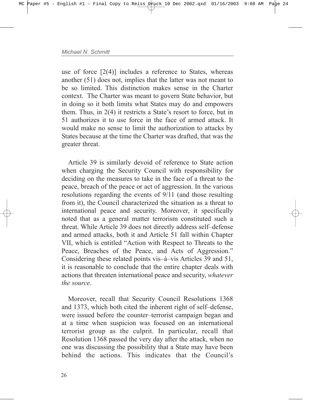use of force [2(4)] includes a reference to States, whereas another (51) does not, implies that the latter was not meant to be so limited. This distinction makes sense in the Charter context. The Charter was meant to govern State behavior, but in doing so it both limits what States may do and empowers them. Thus, in  $2(4)$  it restricts a State's resort to force, but in 51 authorizes it to use force in the face of armed attack. It would make no sense to limit the authorization to attacks by States because at the time the Charter was drafted, that was the greater threat.

Article 39 is similarly devoid of reference to State action when charging the Security Council with responsibility for deciding on the measures to take in the face of a threat to the peace, breach of the peace or act of aggression. In the various resolutions regarding the events of 9/11 (and those resulting from it), the Council characterized the situation as a threat to international peace and security. Moreover, it specifically noted that as a general matter terrorism constituted such a threat. While Article 39 does not directly address self-defense and armed attacks, both it and Article 51 fall within Chapter VII, which is entitled "Action with Respect to Threats to the Peace, Breaches of the Peace, and Acts of Aggression.<sup>n</sup> Considering these related points vis $-\hat{a}$ -vis Articles 39 and 51, it is reasonable to conclude that the entire chapter deals with actions that threaten international peace and security, *whatever the source*.

Moreover, recall that Security Council Resolutions 1368 and 1373, which both cited the inherent right of self-defense, were issued before the counter-terrorist campaign began and at a time when suspicion was focused on an international terrorist group as the culprit. In particular, recall that Resolution 1368 passed the very day after the attack, when no one was discussing the possibility that a State may have been behind the actions. This indicates that the Council's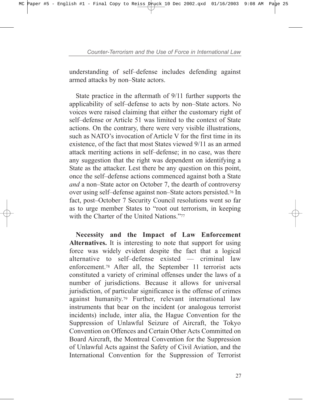understanding of self-defense includes defending against armed attacks by non-State actors.

State practice in the aftermath of 9/11 further supports the applicability of self-defense to acts by non-State actors. No voices were raised claiming that either the customary right of self-defense or Article 51 was limited to the context of State actions. On the contrary, there were very visible illustrations, such as NATO's invocation of Article V for the first time in its existence, of the fact that most States viewed 9/11 as an armed attack meriting actions in self-defense; in no case, was there any suggestion that the right was dependent on identifying a State as the attacker. Lest there be any question on this point, once the self-defense actions commenced against both a State *and* a non–State actor on October 7, the dearth of controversy over using self-defense against non-State actors persisted.<sup>76</sup> In fact, post–October 7 Security Council resolutions went so far as to urge member States to "root out terrorism, in keeping with the Charter of the United Nations.<sup> $277$ </sup>

**Necessity and the Impact of Law Enforcement Alternatives.** It is interesting to note that support for using force was widely evident despite the fact that a logical alternative to self-defense existed  $-$  criminal law enforcement.78 After all, the September 11 terrorist acts constituted a variety of criminal offenses under the laws of a number of jurisdictions. Because it allows for universal jurisdiction, of particular significance is the offense of crimes against humanity.79 Further, relevant international law instruments that bear on the incident (or analogous terrorist incidents) include, inter alia, the Hague Convention for the Suppression of Unlawful Seizure of Aircraft, the Tokyo Convention on Offences and Certain Other Acts Committed on Board Aircraft, the Montreal Convention for the Suppression of Unlawful Acts against the Safety of Civil Aviation, and the International Convention for the Suppression of Terrorist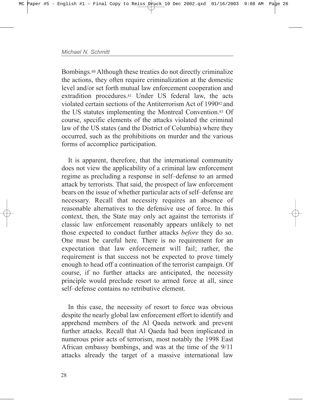Bombings.80 Although these treaties do not directly criminalize the actions, they often require criminalization at the domestic level and/or set forth mutual law enforcement cooperation and extradition procedures.81 Under US federal law, the acts violated certain sections of the Antiterrorism Act of 199082 and the US statutes implementing the Montreal Convention.83 Of course, specific elements of the attacks violated the criminal law of the US states (and the District of Columbia) where they occurred, such as the prohibitions on murder and the various forms of accomplice participation.

It is apparent, therefore, that the international community does not view the applicability of a criminal law enforcement regime as precluding a response in self-defense to an armed attack by terrorists. That said, the prospect of law enforcement bears on the issue of whether particular acts of self-defense are necessary. Recall that necessity requires an absence of reasonable alternatives to the defensive use of force. In this context, then, the State may only act against the terrorists if classic law enforcement reasonably appears unlikely to net those expected to conduct further attacks *before* they do so. One must be careful here. There is no requirement for an expectation that law enforcement will fail; rather, the requirement is that success not be expected to prove timely enough to head off a continuation of the terrorist campaign. Of course, if no further attacks are anticipated, the necessity principle would preclude resort to armed force at all, since self-defense contains no retributive element.

In this case, the necessity of resort to force was obvious despite the nearly global law enforcement effort to identify and apprehend members of the Al Qaeda network and prevent further attacks. Recall that Al Qaeda had been implicated in numerous prior acts of terrorism, most notably the 1998 East African embassy bombings, and was at the time of the 9/11 attacks already the target of a massive international law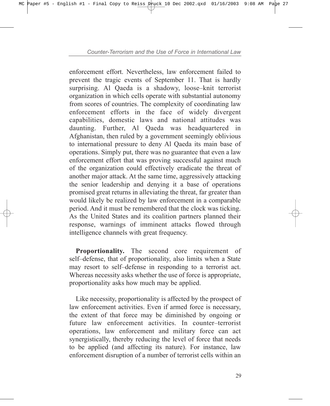enforcement effort. Nevertheless, law enforcement failed to prevent the tragic events of September 11. That is hardly surprising. Al Qaeda is a shadowy, loose–knit terrorist organization in which cells operate with substantial autonomy from scores of countries. The complexity of coordinating law enforcement efforts in the face of widely divergent capabilities, domestic laws and national attitudes was daunting. Further, Al Qaeda was headquartered in Afghanistan, then ruled by a government seemingly oblivious to international pressure to deny Al Qaeda its main base of operations. Simply put, there was no guarantee that even a law enforcement effort that was proving successful against much of the organization could effectively eradicate the threat of another major attack. At the same time, aggressively attacking the senior leadership and denying it a base of operations promised great returns in alleviating the threat, far greater than would likely be realized by law enforcement in a comparable period. And it must be remembered that the clock was ticking. As the United States and its coalition partners planned their response, warnings of imminent attacks flowed through intelligence channels with great frequency.

Proportionality. The second core requirement of self-defense, that of proportionality, also limits when a State may resort to self-defense in responding to a terrorist act. Whereas necessity asks whether the use of force is appropriate, proportionality asks how much may be applied.

Like necessity, proportionality is affected by the prospect of law enforcement activities. Even if armed force is necessary, the extent of that force may be diminished by ongoing or future law enforcement activities. In counter-terrorist operations, law enforcement and military force can act synergistically, thereby reducing the level of force that needs to be applied (and affecting its nature). For instance, law enforcement disruption of a number of terrorist cells within an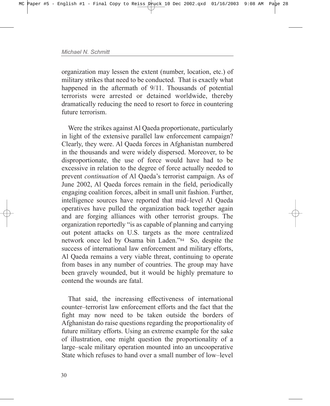organization may lessen the extent (number, location, etc.) of military strikes that need to be conducted. That is exactly what happened in the aftermath of 9/11. Thousands of potential terrorists were arrested or detained worldwide, thereby dramatically reducing the need to resort to force in countering future terrorism.

Were the strikes against Al Qaeda proportionate, particularly in light of the extensive parallel law enforcement campaign? Clearly, they were. Al Qaeda forces in Afghanistan numbered in the thousands and were widely dispersed. Moreover, to be disproportionate, the use of force would have had to be excessive in relation to the degree of force actually needed to prevent *continuation* of Al Qaeda's terrorist campaign. As of June 2002, Al Qaeda forces remain in the field, periodically engaging coalition forces, albeit in small unit fashion. Further, intelligence sources have reported that mid-level Al Qaeda operatives have pulled the organization back together again and are forging alliances with other terrorist groups. The organization reportedly "is as capable of planning and carrying out potent attacks on U.S. targets as the more centralized network once led by Osama bin Laden.<sup>784</sup> So, despite the success of international law enforcement and military efforts, Al Qaeda remains a very viable threat, continuing to operate from bases in any number of countries. The group may have been gravely wounded, but it would be highly premature to contend the wounds are fatal.

That said, the increasing effectiveness of international counter–terrorist law enforcement efforts and the fact that the fight may now need to be taken outside the borders of Afghanistan do raise questions regarding the proportionality of future military efforts. Using an extreme example for the sake of illustration, one might question the proportionality of a large–scale military operation mounted into an uncooperative State which refuses to hand over a small number of low-level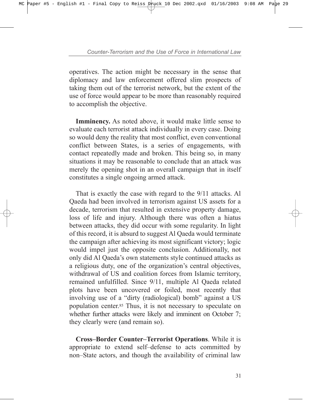operatives. The action might be necessary in the sense that diplomacy and law enforcement offered slim prospects of taking them out of the terrorist network, but the extent of the use of force would appear to be more than reasonably required to accomplish the objective.

**Imminency.** As noted above, it would make little sense to evaluate each terrorist attack individually in every case. Doing so would deny the reality that most conflict, even conventional conflict between States, is a series of engagements, with contact repeatedly made and broken. This being so, in many situations it may be reasonable to conclude that an attack was merely the opening shot in an overall campaign that in itself constitutes a single ongoing armed attack.

That is exactly the case with regard to the 9/11 attacks. Al Qaeda had been involved in terrorism against US assets for a decade, terrorism that resulted in extensive property damage, loss of life and injury. Although there was often a hiatus between attacks, they did occur with some regularity. In light of this record, it is absurd to suggest Al Qaeda would terminate the campaign after achieving its most significant victory; logic would impel just the opposite conclusion. Additionally, not only did Al Qaeda's own statements style continued attacks as a religious duty, one of the organization's central objectives, withdrawal of US and coalition forces from Islamic territory, remained unfulfilled. Since 9/11, multiple Al Qaeda related plots have been uncovered or foiled, most recently that involving use of a "dirty (radiological) bomb" against a US population center.85 Thus, it is not necessary to speculate on whether further attacks were likely and imminent on October 7; they clearly were (and remain so).

**Cross-Border Counter-Terrorist Operations**. While it is appropriate to extend self-defense to acts committed by non–State actors, and though the availability of criminal law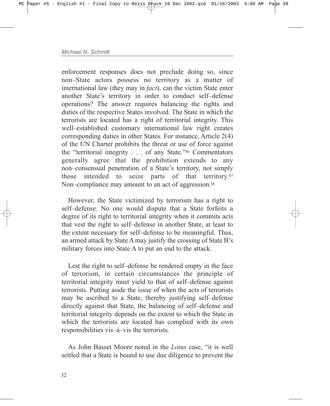enforcement responses does not preclude doing so, since non–State actors possess no territory as a matter of international law (they may in *fact*), can the victim State enter another State's territory in order to conduct self-defense operations? The answer requires balancing the rights and duties of the respective States involved. The State in which the terrorists are located has a right of territorial integrity. This well–established customary international law right creates corresponding duties in other States. For instance, Article 2(4) of the UN Charter prohibits the threat or use of force against the "territorial integrity . . . of any State."<sup>86</sup> Commentators generally agree that the prohibition extends to any non–consensual penetration of a State's territory, not simply those intended to seize parts of that territory.87 Non-compliance may amount to an act of aggression.<sup>88</sup>

However, the State victimized by terrorism has a right to self-defense. No one would dispute that a State forfeits a degree of its right to territorial integrity when it commits acts that vest the right to self-defense in another State, at least to the extent necessary for self-defense to be meaningful. Thus, an armed attack by State A may justify the crossing of State B's military forces into State A to put an end to the attack.

Lest the right to self-defense be rendered empty in the face of terrorism, in certain circumstances the principle of territorial integrity must yield to that of self-defense against terrorists. Putting aside the issue of when the acts of terrorists may be ascribed to a State, thereby justifying self-defense directly against that State, the balancing of self-defense and territorial integrity depends on the extent to which the State in which the terrorists are located has complied with its own responsibilities vis-à-vis the terrorists.

As John Basset Moore noted in the *Lotus* case, "it is well settled that a State is bound to use due diligence to prevent the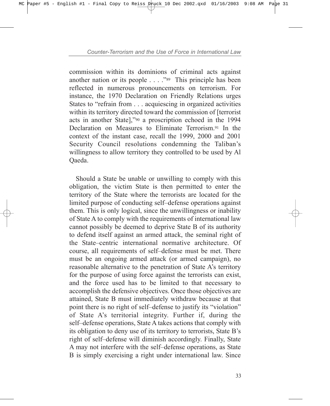commission within its dominions of criminal acts against another nation or its people  $\dots$  . .<sup>889</sup> This principle has been reflected in numerous pronouncements on terrorism. For instance, the 1970 Declaration on Friendly Relations urges States to "refrain from . . . acquiescing in organized activities within its territory directed toward the commission of [terrorist acts in another State],"<sup>90</sup> a proscription echoed in the 1994 Declaration on Measures to Eliminate Terrorism<sup>91</sup> In the context of the instant case, recall the 1999, 2000 and 2001 Security Council resolutions condemning the Taliban's willingness to allow territory they controlled to be used by Al Qaeda.

Should a State be unable or unwilling to comply with this obligation, the victim State is then permitted to enter the territory of the State where the terrorists are located for the limited purpose of conducting self-defense operations against them. This is only logical, since the unwillingness or inability of State A to comply with the requirements of international law cannot possibly be deemed to deprive State B of its authority to defend itself against an armed attack, the seminal right of the State–centric international normative architecture. Of course, all requirements of self-defense must be met. There must be an ongoing armed attack (or armed campaign), no reasonable alternative to the penetration of State A's territory for the purpose of using force against the terrorists can exist, and the force used has to be limited to that necessary to accomplish the defensive objectives. Once those objectives are attained, State B must immediately withdraw because at that point there is no right of self-defense to justify its "violation" of State Aís territorial integrity. Further if, during the self-defense operations, State A takes actions that comply with its obligation to deny use of its territory to terrorists, State B's right of self-defense will diminish accordingly. Finally, State A may not interfere with the self-defense operations, as State B is simply exercising a right under international law. Since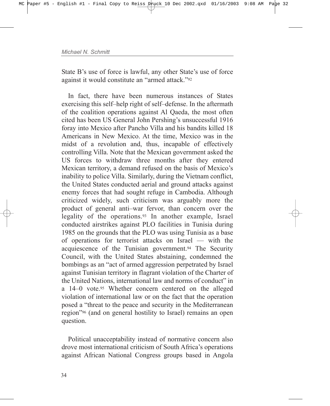State B's use of force is lawful, any other State's use of force against it would constitute an "armed attack."<sup>92</sup>

In fact, there have been numerous instances of States exercising this self-help right of self-defense. In the aftermath of the coalition operations against Al Qaeda, the most often cited has been US General John Pershing's unsuccessful 1916 foray into Mexico after Pancho Villa and his bandits killed 18 Americans in New Mexico. At the time, Mexico was in the midst of a revolution and, thus, incapable of effectively controlling Villa. Note that the Mexican government asked the US forces to withdraw three months after they entered Mexican territory, a demand refused on the basis of Mexico's inability to police Villa. Similarly, during the Vietnam conflict, the United States conducted aerial and ground attacks against enemy forces that had sought refuge in Cambodia. Although criticized widely, such criticism was arguably more the product of general anti-war fervor, than concern over the legality of the operations.93 In another example, Israel conducted airstrikes against PLO facilities in Tunisia during 1985 on the grounds that the PLO was using Tunisia as a base of operations for terrorist attacks on Israel  $-$  with the acquiescence of the Tunisian government.94 The Security Council, with the United States abstaining, condemned the bombings as an "act of armed aggression perpetrated by Israel against Tunisian territory in flagrant violation of the Charter of the United Nations, international law and norms of conduct" in a 14–0 vote.95 Whether concern centered on the alleged violation of international law or on the fact that the operation posed a "threat to the peace and security in the Mediterranean region<sup>796</sup> (and on general hostility to Israel) remains an open question.

Political unacceptability instead of normative concern also drove most international criticism of South Africa's operations against African National Congress groups based in Angola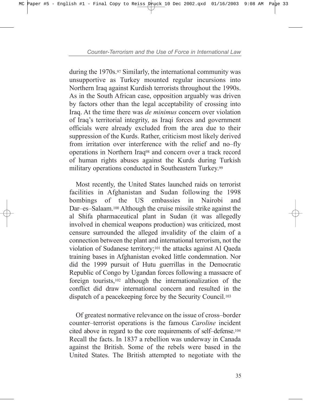during the 1970s.97 Similarly, the international community was unsupportive as Turkey mounted regular incursions into Northern Iraq against Kurdish terrorists throughout the 1990s. As in the South African case, opposition arguably was driven by factors other than the legal acceptability of crossing into Iraq. At the time there was *de minimus* concern over violation of Iraqís territorial integrity, as Iraqi forces and government officials were already excluded from the area due to their suppression of the Kurds. Rather, criticism most likely derived from irritation over interference with the relief and no-fly operations in Northern Iraq98 and concern over a track record of human rights abuses against the Kurds during Turkish military operations conducted in Southeastern Turkey.99

Most recently, the United States launched raids on terrorist facilities in Afghanistan and Sudan following the 1998 bombings of the US embassies in Nairobi and Dar–es–Salaam.<sup>100</sup> Although the cruise missile strike against the al Shifa pharmaceutical plant in Sudan (it was allegedly involved in chemical weapons production) was criticized, most censure surrounded the alleged invalidity of the claim of a connection between the plant and international terrorism, not the violation of Sudanese territory;101 the attacks against Al Qaeda training bases in Afghanistan evoked little condemnation. Nor did the 1999 pursuit of Hutu guerrillas in the Democratic Republic of Congo by Ugandan forces following a massacre of foreign tourists,102 although the internationalization of the conflict did draw international concern and resulted in the dispatch of a peacekeeping force by the Security Council.103

Of greatest normative relevance on the issue of cross-border counter-terrorist operations is the famous *Caroline* incident cited above in regard to the core requirements of self-defense.<sup>104</sup> Recall the facts. In 1837 a rebellion was underway in Canada against the British. Some of the rebels were based in the United States. The British attempted to negotiate with the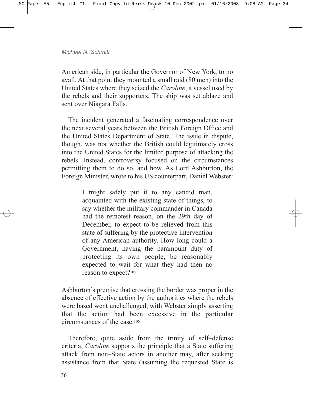American side, in particular the Governor of New York, to no avail. At that point they mounted a small raid (80 men) into the United States where they seized the *Caroline*, a vessel used by the rebels and their supporters. The ship was set ablaze and sent over Niagara Falls.

The incident generated a fascinating correspondence over the next several years between the British Foreign Office and the United States Department of State. The issue in dispute, though, was not whether the British could legitimately cross into the United States for the limited purpose of attacking the rebels. Instead, controversy focused on the circumstances permitting them to do so, and how. As Lord Ashburton, the Foreign Minister, wrote to his US counterpart, Daniel Webster:

> I might safely put it to any candid man, acquainted with the existing state of things, to say whether the military commander in Canada had the remotest reason, on the 29th day of December, to expect to be relieved from this state of suffering by the protective intervention of any American authority. How long could a Government, having the paramount duty of protecting its own people, be reasonably expected to wait for what they had then no reason to expect?105

Ashburton's premise that crossing the border was proper in the absence of effective action by the authorities where the rebels were based went unchallenged, with Webster simply asserting that the action had been excessive in the particular circumstances of the case 106

Therefore, quite aside from the trinity of self-defense criteria, *Caroline* supports the principle that a State suffering attack from non-State actors in another may, after seeking assistance from that State (assuming the requested State is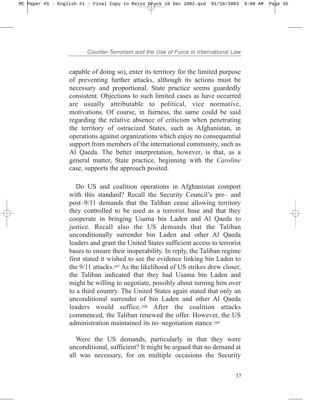capable of doing so), enter its territory for the limited purpose of preventing further attacks, although its actions must be necessary and proportional. State practice seems guardedly consistent. Objections to such limited cases as have occurred are usually attributable to political, vice normative, motivations. Of course, in fairness, the same could be said regarding the relative absence of criticism when penetrating the territory of ostracized States, such as Afghanistan, in operations against organizations which enjoy no consequential support from members of the international community, such as Al Qaeda. The better interpretation, however, is that, as a general matter, State practice, beginning with the *Caroline* case, supports the approach posited.

Do US and coalition operations in Afghanistan comport with this standard? Recall the Security Council's pre- and post–9/11 demands that the Taliban cease allowing territory they controlled to be used as a terrorist base and that they cooperate in bringing Usama bin Laden and Al Qaeda to justice. Recall also the US demands that the Taliban unconditionally surrender bin Laden and other Al Qaeda leaders and grant the United States sufficient access to terrorist bases to ensure their inoperability. In reply, the Taliban regime first stated it wished to see the evidence linking bin Laden to the 9/11 attacks.107 As the likelihood of US strikes drew closer, the Taliban indicated that they had Usama bin Laden and might be willing to negotiate, possibly about turning him over to a third country. The United States again stated that only an unconditional surrender of bin Laden and other Al Qaeda leaders would suffice.108 After the coalition attacks commenced, the Taliban renewed the offer. However, the US administration maintained its no-negotiation stance.<sup>109</sup>

Were the US demands, particularly in that they were unconditional, sufficient? It might be argued that no demand at all was necessary, for on multiple occasions the Security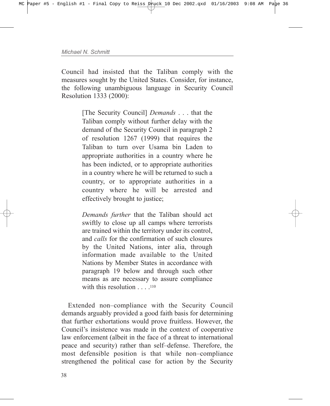Council had insisted that the Taliban comply with the measures sought by the United States. Consider, for instance, the following unambiguous language in Security Council Resolution 1333 (2000):

> [The Security Council] *Demands* . . . that the Taliban comply without further delay with the demand of the Security Council in paragraph 2 of resolution 1267 (1999) that requires the Taliban to turn over Usama bin Laden to appropriate authorities in a country where he has been indicted, or to appropriate authorities in a country where he will be returned to such a country, or to appropriate authorities in a country where he will be arrested and effectively brought to justice;

> *Demands further* that the Taliban should act swiftly to close up all camps where terrorists are trained within the territory under its control, and *calls* for the confirmation of such closures by the United Nations, inter alia, through information made available to the United Nations by Member States in accordance with paragraph 19 below and through such other means as are necessary to assure compliance with this resolution . . . . . 110

Extended non-compliance with the Security Council demands arguably provided a good faith basis for determining that further exhortations would prove fruitless. However, the Council's insistence was made in the context of cooperative law enforcement (albeit in the face of a threat to international peace and security) rather than self-defense. Therefore, the most defensible position is that while non-compliance strengthened the political case for action by the Security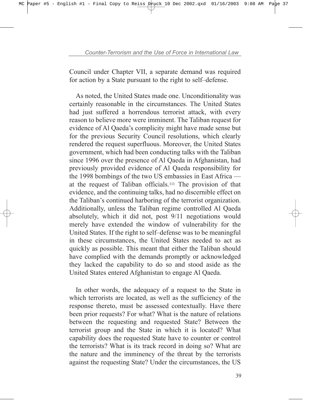Council under Chapter VII, a separate demand was required for action by a State pursuant to the right to self-defense.

As noted, the United States made one. Unconditionality was certainly reasonable in the circumstances. The United States had just suffered a horrendous terrorist attack, with every reason to believe more were imminent. The Taliban request for evidence of Al Qaeda's complicity might have made sense but for the previous Security Council resolutions, which clearly rendered the request superfluous. Moreover, the United States government, which had been conducting talks with the Taliban since 1996 over the presence of Al Qaeda in Afghanistan, had previously provided evidence of Al Qaeda responsibility for the 1998 bombings of the two US embassies in East Africa  $$ at the request of Taliban officials.111 The provision of that evidence, and the continuing talks, had no discernible effect on the Taliban's continued harboring of the terrorist organization. Additionally, unless the Taliban regime controlled Al Qaeda absolutely, which it did not, post 9/11 negotiations would merely have extended the window of vulnerability for the United States. If the right to self-defense was to be meaningful in these circumstances, the United States needed to act as quickly as possible. This meant that either the Taliban should have complied with the demands promptly or acknowledged they lacked the capability to do so and stood aside as the United States entered Afghanistan to engage Al Qaeda.

In other words, the adequacy of a request to the State in which terrorists are located, as well as the sufficiency of the response thereto, must be assessed contextually. Have there been prior requests? For what? What is the nature of relations between the requesting and requested State? Between the terrorist group and the State in which it is located? What capability does the requested State have to counter or control the terrorists? What is its track record in doing so? What are the nature and the imminency of the threat by the terrorists against the requesting State? Under the circumstances, the US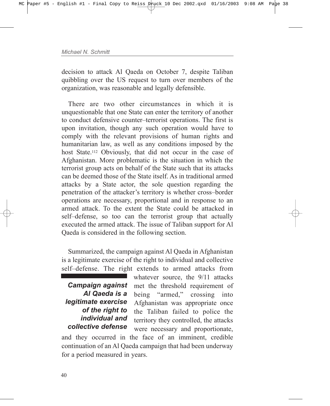decision to attack Al Qaeda on October 7, despite Taliban quibbling over the US request to turn over members of the organization, was reasonable and legally defensible.

There are two other circumstances in which it is unquestionable that one State can enter the territory of another to conduct defensive counter-terrorist operations. The first is upon invitation, though any such operation would have to comply with the relevant provisions of human rights and humanitarian law, as well as any conditions imposed by the host State.<sup>112</sup> Obviously, that did not occur in the case of Afghanistan. More problematic is the situation in which the terrorist group acts on behalf of the State such that its attacks can be deemed those of the State itself. As in traditional armed attacks by a State actor, the sole question regarding the penetration of the attacker's territory is whether cross-border operations are necessary, proportional and in response to an armed attack. To the extent the State could be attacked in self-defense, so too can the terrorist group that actually executed the armed attack. The issue of Taliban support for Al Qaeda is considered in the following section.

Summarized, the campaign against Al Qaeda in Afghanistan is a legitimate exercise of the right to individual and collective self-defense. The right extends to armed attacks from

*Campaign against Al Qaeda is a legitimate exercise of the right to individual and collective defense*

whatever source, the 9/11 attacks met the threshold requirement of being "armed," crossing into Afghanistan was appropriate once the Taliban failed to police the territory they controlled, the attacks were necessary and proportionate,

and they occurred in the face of an imminent, credible continuation of an Al Qaeda campaign that had been underway for a period measured in years.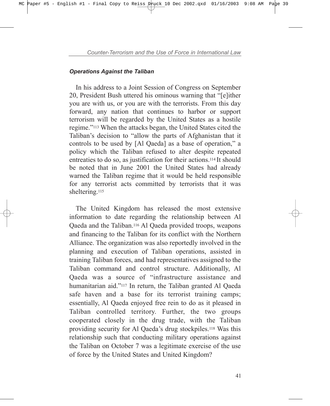## *Operations Against the Taliban*

In his address to a Joint Session of Congress on September 20, President Bush uttered his ominous warning that "[e]ither you are with us, or you are with the terrorists. From this day forward, any nation that continues to harbor or support terrorism will be regarded by the United States as a hostile regime.<sup>7113</sup> When the attacks began, the United States cited the Taliban's decision to "allow the parts of Afghanistan that it controls to be used by [Al Qaeda] as a base of operation," a policy which the Taliban refused to alter despite repeated entreaties to do so, as justification for their actions.114 It should be noted that in June 2001 the United States had already warned the Taliban regime that it would be held responsible for any terrorist acts committed by terrorists that it was sheltering.<sup>115</sup>

The United Kingdom has released the most extensive information to date regarding the relationship between Al Qaeda and the Taliban.116 Al Qaeda provided troops, weapons and financing to the Taliban for its conflict with the Northern Alliance. The organization was also reportedly involved in the planning and execution of Taliban operations, assisted in training Taliban forces, and had representatives assigned to the Taliban command and control structure. Additionally, Al Oaeda was a source of "infrastructure assistance and humanitarian aid.<sup>"117</sup> In return, the Taliban granted Al Qaeda safe haven and a base for its terrorist training camps; essentially, Al Qaeda enjoyed free rein to do as it pleased in Taliban controlled territory. Further, the two groups cooperated closely in the drug trade, with the Taliban providing security for Al Qaeda's drug stockpiles.<sup>118</sup> Was this relationship such that conducting military operations against the Taliban on October 7 was a legitimate exercise of the use of force by the United States and United Kingdom?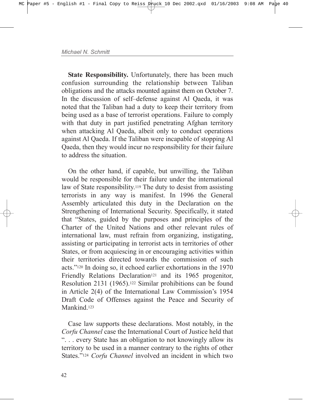**State Responsibility.** Unfortunately, there has been much confusion surrounding the relationship between Taliban obligations and the attacks mounted against them on October 7. In the discussion of self-defense against Al Qaeda, it was noted that the Taliban had a duty to keep their territory from being used as a base of terrorist operations. Failure to comply with that duty in part justified penetrating Afghan territory when attacking Al Qaeda, albeit only to conduct operations against Al Qaeda. If the Taliban were incapable of stopping Al Qaeda, then they would incur no responsibility for their failure to address the situation.

On the other hand, if capable, but unwilling, the Taliban would be responsible for their failure under the international law of State responsibility.119 The duty to desist from assisting terrorists in any way is manifest. In 1996 the General Assembly articulated this duty in the Declaration on the Strengthening of International Security. Specifically, it stated that "States, guided by the purposes and principles of the Charter of the United Nations and other relevant rules of international law, must refrain from organizing, instigating, assisting or participating in terrorist acts in territories of other States, or from acquiescing in or encouraging activities within their territories directed towards the commission of such acts.<sup>"120</sup> In doing so, it echoed earlier exhortations in the 1970 Friendly Relations Declaration<sup>121</sup> and its 1965 progenitor, Resolution 2131 (1965).122 Similar prohibitions can be found in Article  $2(4)$  of the International Law Commission's 1954 Draft Code of Offenses against the Peace and Security of Mankind.<sup>123</sup>

Case law supports these declarations. Most notably, in the *Corfu Channel* case the International Court of Justice held that ì. . . every State has an obligation to not knowingly allow its territory to be used in a manner contrary to the rights of other States."<sup>124</sup> *Corfu Channel* involved an incident in which two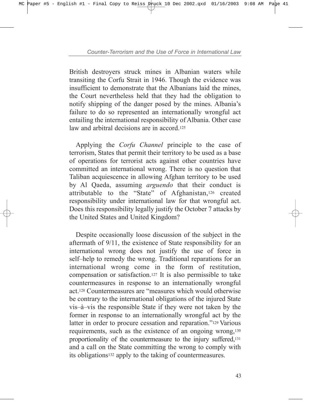British destroyers struck mines in Albanian waters while transiting the Corfu Strait in 1946. Though the evidence was insufficient to demonstrate that the Albanians laid the mines, the Court nevertheless held that they had the obligation to notify shipping of the danger posed by the mines. Albania's failure to do so represented an internationally wrongful act entailing the international responsibility of Albania. Other case law and arbitral decisions are in accord<sup>125</sup>

Applying the *Corfu Channel* principle to the case of terrorism, States that permit their territory to be used as a base of operations for terrorist acts against other countries have committed an international wrong. There is no question that Taliban acquiescence in allowing Afghan territory to be used by Al Qaeda, assuming *arguendo* that their conduct is attributable to the "State" of Afghanistan, $126$  created responsibility under international law for that wrongful act. Does this responsibility legally justify the October 7 attacks by the United States and United Kingdom?

Despite occasionally loose discussion of the subject in the aftermath of 9/11, the existence of State responsibility for an international wrong does not justify the use of force in self-help to remedy the wrong. Traditional reparations for an international wrong come in the form of restitution, compensation or satisfaction.127 It is also permissible to take countermeasures in response to an internationally wrongful act.<sup>128</sup> Countermeasures are "measures which would otherwise be contrary to the international obligations of the injured State vis-à-vis the responsible State if they were not taken by the former in response to an internationally wrongful act by the latter in order to procure cessation and reparation."<sup>129</sup> Various requirements, such as the existence of an ongoing wrong,130 proportionality of the countermeasure to the injury suffered,131 and a call on the State committing the wrong to comply with its obligations132 apply to the taking of countermeasures.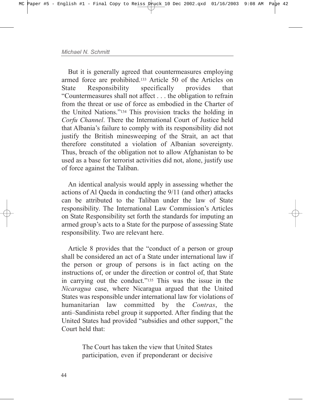But it is generally agreed that countermeasures employing armed force are prohibited.133 Article 50 of the Articles on State Responsibility specifically provides that ìCountermeasures shall not affect . . . the obligation to refrain from the threat or use of force as embodied in the Charter of the United Nations.<sup>7134</sup> This provision tracks the holding in *Corfu Channel*. There the International Court of Justice held that Albaniaís failure to comply with its responsibility did not justify the British minesweeping of the Strait, an act that therefore constituted a violation of Albanian sovereignty. Thus, breach of the obligation not to allow Afghanistan to be used as a base for terrorist activities did not, alone, justify use of force against the Taliban.

An identical analysis would apply in assessing whether the actions of Al Qaeda in conducting the 9/11 (and other) attacks can be attributed to the Taliban under the law of State responsibility. The International Law Commission's Articles on State Responsibility set forth the standards for imputing an armed group's acts to a State for the purpose of assessing State responsibility. Two are relevant here.

Article 8 provides that the "conduct of a person or group" shall be considered an act of a State under international law if the person or group of persons is in fact acting on the instructions of, or under the direction or control of, that State in carrying out the conduct.<sup>7135</sup> This was the issue in the *Nicaragua* case, where Nicaragua argued that the United States was responsible under international law for violations of humanitarian law committed by the *Contras*, the anti–Sandinista rebel group it supported. After finding that the United States had provided "subsidies and other support," the Court held that:

> The Court has taken the view that United States participation, even if preponderant or decisive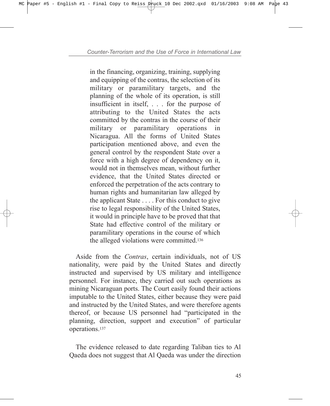in the financing, organizing, training, supplying and equipping of the contras, the selection of its military or paramilitary targets, and the planning of the whole of its operation, is still insufficient in itself, . . . for the purpose of attributing to the United States the acts committed by the contras in the course of their military or paramilitary operations in Nicaragua. All the forms of United States participation mentioned above, and even the general control by the respondent State over a force with a high degree of dependency on it, would not in themselves mean, without further evidence, that the United States directed or enforced the perpetration of the acts contrary to human rights and humanitarian law alleged by the applicant State . . . . For this conduct to give rise to legal responsibility of the United States, it would in principle have to be proved that that State had effective control of the military or paramilitary operations in the course of which the alleged violations were committed.136

Aside from the *Contras*, certain individuals, not of US nationality, were paid by the United States and directly instructed and supervised by US military and intelligence personnel. For instance, they carried out such operations as mining Nicaraguan ports. The Court easily found their actions imputable to the United States, either because they were paid and instructed by the United States, and were therefore agents thereof, or because US personnel had "participated in the planning, direction, support and execution" of particular operations.137

The evidence released to date regarding Taliban ties to Al Qaeda does not suggest that Al Qaeda was under the direction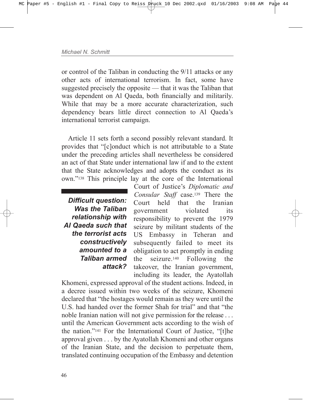or control of the Taliban in conducting the 9/11 attacks or any other acts of international terrorism. In fact, some have suggested precisely the opposite  $-$  that it was the Taliban that was dependent on Al Qaeda, both financially and militarily. While that may be a more accurate characterization, such dependency bears little direct connection to Al Qaeda's international terrorist campaign.

Article 11 sets forth a second possibly relevant standard. It provides that "[c]onduct which is not attributable to a State under the preceding articles shall nevertheless be considered an act of that State under international law if and to the extent that the State acknowledges and adopts the conduct as its own."<sup>138</sup> This principle lay at the core of the International

*Difficult question: Was the Taliban relationship with Al Qaeda such that the terrorist acts constructively amounted to a Taliban armed attack?*

Court of Justice's *Diplomatic and Consular Staff* case.139 There the Court held that the Iranian government violated its responsibility to prevent the 1979 seizure by militant students of the US Embassy in Teheran and subsequently failed to meet its obligation to act promptly in ending the seizure.140 Following the takeover, the Iranian government, including its leader, the Ayatollah

Khomeni, expressed approval of the student actions. Indeed, in a decree issued within two weeks of the seizure, Khomeni declared that "the hostages would remain as they were until the U.S. had handed over the former Shah for trial" and that "the noble Iranian nation will not give permission for the release . . . until the American Government acts according to the wish of the nation."<sup>141</sup> For the International Court of Justice, "[t]he approval given . . . by the Ayatollah Khomeni and other organs of the Iranian State, and the decision to perpetuate them, translated continuing occupation of the Embassy and detention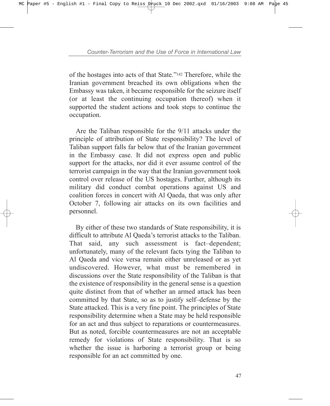of the hostages into acts of that State.<sup>"142</sup> Therefore, while the Iranian government breached its own obligations when the Embassy was taken, it became responsible for the seizure itself (or at least the continuing occupation thereof) when it supported the student actions and took steps to continue the occupation.

Are the Taliban responsible for the 9/11 attacks under the principle of attribution of State responsibility? The level of Taliban support falls far below that of the Iranian government in the Embassy case. It did not express open and public support for the attacks, nor did it ever assume control of the terrorist campaign in the way that the Iranian government took control over release of the US hostages. Further, although its military did conduct combat operations against US and coalition forces in concert with Al Qaeda, that was only after October 7, following air attacks on its own facilities and personnel.

By either of these two standards of State responsibility, it is difficult to attribute Al Qaeda's terrorist attacks to the Taliban. That said, any such assessment is fact-dependent; unfortunately, many of the relevant facts tying the Taliban to Al Qaeda and vice versa remain either unreleased or as yet undiscovered. However, what must be remembered in discussions over the State responsibility of the Taliban is that the existence of responsibility in the general sense is a question quite distinct from that of whether an armed attack has been committed by that State, so as to justify self-defense by the State attacked. This is a very fine point. The principles of State responsibility determine when a State may be held responsible for an act and thus subject to reparations or countermeasures. But as noted, forcible countermeasures are not an acceptable remedy for violations of State responsibility. That is so whether the issue is harboring a terrorist group or being responsible for an act committed by one.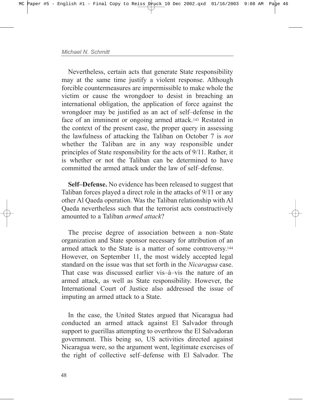Nevertheless, certain acts that generate State responsibility may at the same time justify a violent response. Although forcible countermeasures are impermissible to make whole the victim or cause the wrongdoer to desist in breaching an international obligation, the application of force against the wrongdoer may be justified as an act of self-defense in the face of an imminent or ongoing armed attack.143 Restated in the context of the present case, the proper query in assessing the lawfulness of attacking the Taliban on October 7 is *not* whether the Taliban are in any way responsible under principles of State responsibility for the acts of 9/11. Rather, it is whether or not the Taliban can be determined to have committed the armed attack under the law of self-defense.

**Self–Defense.** No evidence has been released to suggest that Taliban forces played a direct role in the attacks of 9/11 or any other Al Qaeda operation. Was the Taliban relationship with Al Qaeda nevertheless such that the terrorist acts constructively amounted to a Taliban *armed attack*?

The precise degree of association between a non-State organization and State sponsor necessary for attribution of an armed attack to the State is a matter of some controversy.144 However, on September 11, the most widely accepted legal standard on the issue was that set forth in the *Nicaragua* case. That case was discussed earlier vis $-\hat{a}$ -vis the nature of an armed attack, as well as State responsibility. However, the International Court of Justice also addressed the issue of imputing an armed attack to a State.

In the case, the United States argued that Nicaragua had conducted an armed attack against El Salvador through support to guerillas attempting to overthrow the El Salvadoran government. This being so, US activities directed against Nicaragua were, so the argument went, legitimate exercises of the right of collective self-defense with El Salvador. The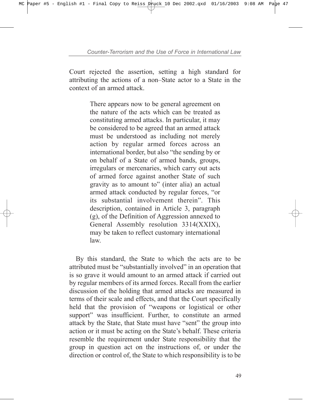Court rejected the assertion, setting a high standard for attributing the actions of a non–State actor to a State in the context of an armed attack.

> There appears now to be general agreement on the nature of the acts which can be treated as constituting armed attacks. In particular, it may be considered to be agreed that an armed attack must be understood as including not merely action by regular armed forces across an international border, but also "the sending by or on behalf of a State of armed bands, groups, irregulars or mercenaries, which carry out acts of armed force against another State of such gravity as to amount to" (inter alia) an actual armed attack conducted by regular forces, "or its substantial involvement therein". This description, contained in Article 3, paragraph (g), of the Definition of Aggression annexed to General Assembly resolution 3314(XXIX), may be taken to reflect customary international law.

By this standard, the State to which the acts are to be attributed must be "substantially involved" in an operation that is so grave it would amount to an armed attack if carried out by regular members of its armed forces. Recall from the earlier discussion of the holding that armed attacks are measured in terms of their scale and effects, and that the Court specifically held that the provision of "weapons or logistical or other support" was insufficient. Further, to constitute an armed attack by the State, that State must have "sent" the group into action or it must be acting on the State's behalf. These criteria resemble the requirement under State responsibility that the group in question act on the instructions of, or under the direction or control of, the State to which responsibility is to be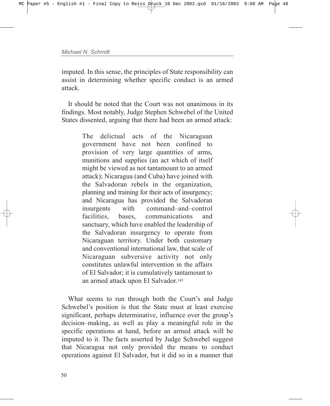imputed. In this sense, the principles of State responsibility can assist in determining whether specific conduct is an armed attack.

It should be noted that the Court was not unanimous in its findings. Most notably, Judge Stephen Schwebel of the United States dissented, arguing that there had been an armed attack:

> The delictual acts of the Nicaraguan government have not been confined to provision of very large quantities of arms, munitions and supplies (an act which of itself might be viewed as not tantamount to an armed attack); Nicaragua (and Cuba) have joined with the Salvadoran rebels in the organization, planning and training for their acts of insurgency; and Nicaragua has provided the Salvadoran insurgents with command-and-control facilities bases communications and sanctuary, which have enabled the leadership of the Salvadoran insurgency to operate from Nicaraguan territory. Under both customary and conventional international law, that scale of Nicaraguan subversive activity not only constitutes unlawful intervention in the affairs of El Salvador; it is cumulatively tantamount to an armed attack upon El Salvador.145

What seems to run through both the Court's and Judge Schwebel's position is that the State must at least exercise significant, perhaps determinative, influence over the group's decision–making, as well as play a meaningful role in the specific operations at hand, before an armed attack will be imputed to it. The facts asserted by Judge Schwebel suggest that Nicaragua not only provided the means to conduct operations against El Salvador, but it did so in a manner that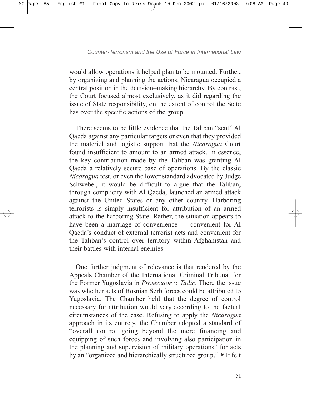would allow operations it helped plan to be mounted. Further, by organizing and planning the actions, Nicaragua occupied a central position in the decision–making hierarchy. By contrast, the Court focused almost exclusively, as it did regarding the issue of State responsibility, on the extent of control the State has over the specific actions of the group.

There seems to be little evidence that the Taliban "sent" Al Qaeda against any particular targets or even that they provided the materiel and logistic support that the *Nicaragua* Court found insufficient to amount to an armed attack. In essence, the key contribution made by the Taliban was granting Al Qaeda a relatively secure base of operations. By the classic *Nicaragua* test, or even the lower standard advocated by Judge Schwebel, it would be difficult to argue that the Taliban, through complicity with Al Qaeda, launched an armed attack against the United States or any other country. Harboring terrorists is simply insufficient for attribution of an armed attack to the harboring State. Rather, the situation appears to have been a marriage of convenience  $-$  convenient for Al Qaeda's conduct of external terrorist acts and convenient for the Taliban's control over territory within Afghanistan and their battles with internal enemies.

One further judgment of relevance is that rendered by the Appeals Chamber of the International Criminal Tribunal for the Former Yugoslavia in *Prosecutor v. Tadic*. There the issue was whether acts of Bosnian Serb forces could be attributed to Yugoslavia. The Chamber held that the degree of control necessary for attribution would vary according to the factual circumstances of the case. Refusing to apply the *Nicaragua* approach in its entirety, the Chamber adopted a standard of ìoverall control going beyond the mere financing and equipping of such forces and involving also participation in the planning and supervision of military operations" for acts by an "organized and hierarchically structured group."<sup>146</sup> It felt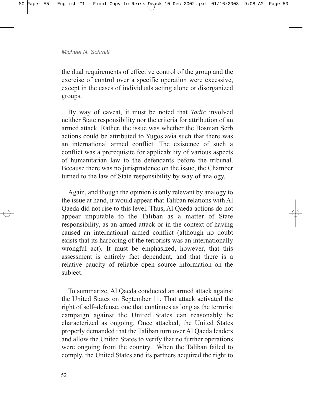the dual requirements of effective control of the group and the exercise of control over a specific operation were excessive, except in the cases of individuals acting alone or disorganized groups.

By way of caveat, it must be noted that *Tadic* involved neither State responsibility nor the criteria for attribution of an armed attack. Rather, the issue was whether the Bosnian Serb actions could be attributed to Yugoslavia such that there was an international armed conflict. The existence of such a conflict was a prerequisite for applicability of various aspects of humanitarian law to the defendants before the tribunal. Because there was no jurisprudence on the issue, the Chamber turned to the law of State responsibility by way of analogy.

Again, and though the opinion is only relevant by analogy to the issue at hand, it would appear that Taliban relations with Al Qaeda did not rise to this level. Thus, Al Qaeda actions do not appear imputable to the Taliban as a matter of State responsibility, as an armed attack or in the context of having caused an international armed conflict (although no doubt exists that its harboring of the terrorists was an internationally wrongful act). It must be emphasized, however, that this assessment is entirely fact-dependent, and that there is a relative paucity of reliable open-source information on the subject.

To summarize, Al Qaeda conducted an armed attack against the United States on September 11. That attack activated the right of self-defense, one that continues as long as the terrorist campaign against the United States can reasonably be characterized as ongoing. Once attacked, the United States properly demanded that the Taliban turn over Al Qaeda leaders and allow the United States to verify that no further operations were ongoing from the country. When the Taliban failed to comply, the United States and its partners acquired the right to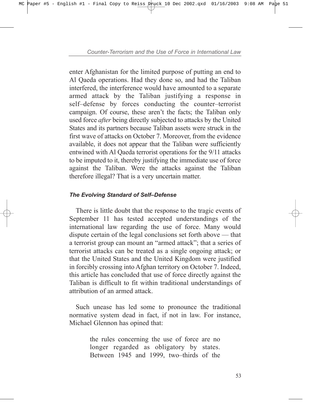enter Afghanistan for the limited purpose of putting an end to Al Qaeda operations. Had they done so, and had the Taliban interfered, the interference would have amounted to a separate armed attack by the Taliban justifying a response in self-defense by forces conducting the counter-terrorist campaign. Of course, these aren't the facts; the Taliban only used force *after* being directly subjected to attacks by the United States and its partners because Taliban assets were struck in the first wave of attacks on October 7. Moreover, from the evidence available, it does not appear that the Taliban were sufficiently entwined with Al Qaeda terrorist operations for the 9/11 attacks to be imputed to it, thereby justifying the immediate use of force against the Taliban. Were the attacks against the Taliban therefore illegal? That is a very uncertain matter.

## **The Evolving Standard of Self-Defense**

There is little doubt that the response to the tragic events of September 11 has tested accepted understandings of the international law regarding the use of force. Many would dispute certain of the legal conclusions set forth above  $-$  that a terrorist group can mount an "armed attack"; that a series of terrorist attacks can be treated as a single ongoing attack; or that the United States and the United Kingdom were justified in forcibly crossing into Afghan territory on October 7. Indeed, this article has concluded that use of force directly against the Taliban is difficult to fit within traditional understandings of attribution of an armed attack.

Such unease has led some to pronounce the traditional normative system dead in fact, if not in law. For instance, Michael Glennon has opined that:

> the rules concerning the use of force are no longer regarded as obligatory by states. Between 1945 and 1999, two-thirds of the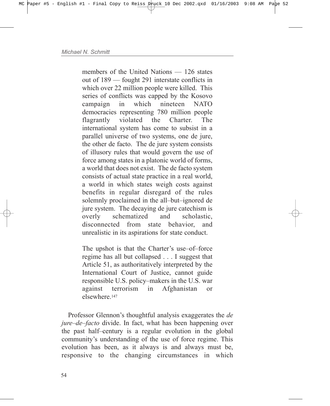members of the United Nations  $- 126$  states out of 189 – fought 291 interstate conflicts in which over 22 million people were killed. This series of conflicts was capped by the Kosovo campaign in which nineteen NATO democracies representing 780 million people flagrantly violated the Charter. The international system has come to subsist in a parallel universe of two systems, one de jure, the other de facto. The de jure system consists of illusory rules that would govern the use of force among states in a platonic world of forms, a world that does not exist. The de facto system consists of actual state practice in a real world, a world in which states weigh costs against benefits in regular disregard of the rules solemnly proclaimed in the all-but-ignored de jure system. The decaying de jure catechism is overly schematized and scholastic, disconnected from state behavior and unrealistic in its aspirations for state conduct.

The upshot is that the Charter's use-of-force regime has all but collapsed . . . I suggest that Article 51, as authoritatively interpreted by the International Court of Justice, cannot guide responsible U.S. policy–makers in the U.S. war against terrorism in Afghanistan or elsewhere.<sup>147</sup>

Professor Glennon's thoughtful analysis exaggerates the *de jure–de–facto* divide. In fact, what has been happening over the past half-century is a regular evolution in the global community's understanding of the use of force regime. This evolution has been, as it always is and always must be, responsive to the changing circumstances in which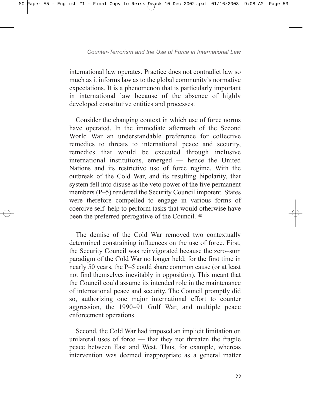international law operates. Practice does not contradict law so much as it informs law as to the global community's normative expectations. It is a phenomenon that is particularly important in international law because of the absence of highly developed constitutive entities and processes.

Consider the changing context in which use of force norms have operated. In the immediate aftermath of the Second World War an understandable preference for collective remedies to threats to international peace and security, remedies that would be executed through inclusive  $intermational$  institutions, emerged  $-$  hence the United Nations and its restrictive use of force regime. With the outbreak of the Cold War, and its resulting bipolarity, that system fell into disuse as the veto power of the five permanent members (P-5) rendered the Security Council impotent. States were therefore compelled to engage in various forms of coercive self-help to perform tasks that would otherwise have been the preferred prerogative of the Council.148

The demise of the Cold War removed two contextually determined constraining influences on the use of force. First, the Security Council was reinvigorated because the zero-sum paradigm of the Cold War no longer held; for the first time in nearly 50 years, the P–5 could share common cause (or at least not find themselves inevitably in opposition). This meant that the Council could assume its intended role in the maintenance of international peace and security. The Council promptly did so, authorizing one major international effort to counter aggression, the 1990–91 Gulf War, and multiple peace enforcement operations.

Second, the Cold War had imposed an implicit limitation on unilateral uses of force  $-$  that they not threaten the fragile peace between East and West. Thus, for example, whereas intervention was deemed inappropriate as a general matter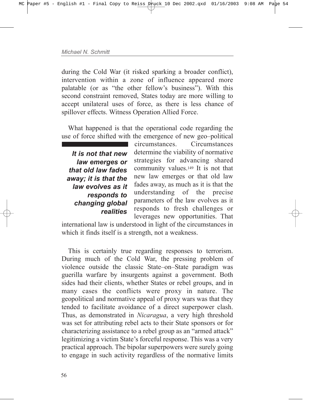during the Cold War (it risked sparking a broader conflict), intervention within a zone of influence appeared more palatable (or as "the other fellow's business"). With this second constraint removed, States today are more willing to accept unilateral uses of force, as there is less chance of spillover effects. Witness Operation Allied Force.

What happened is that the operational code regarding the use of force shifted with the emergence of new geo-political

*It is not that new law emerges or that old law fades away; it is that the law evolves as it responds to changing global realities*

circumstances. Circumstances determine the viability of normative strategies for advancing shared community values.149 It is not that new law emerges or that old law fades away, as much as it is that the understanding of the precise parameters of the law evolves as it responds to fresh challenges or leverages new opportunities. That

international law is understood in light of the circumstances in which it finds itself is a strength, not a weakness.

This is certainly true regarding responses to terrorism. During much of the Cold War, the pressing problem of violence outside the classic State–on–State paradigm was guerilla warfare by insurgents against a government. Both sides had their clients, whether States or rebel groups, and in many cases the conflicts were proxy in nature. The geopolitical and normative appeal of proxy wars was that they tended to facilitate avoidance of a direct superpower clash. Thus, as demonstrated in *Nicaragua*, a very high threshold was set for attributing rebel acts to their State sponsors or for characterizing assistance to a rebel group as an "armed attack" legitimizing a victim State's forceful response. This was a very practical approach. The bipolar superpowers were surely going to engage in such activity regardless of the normative limits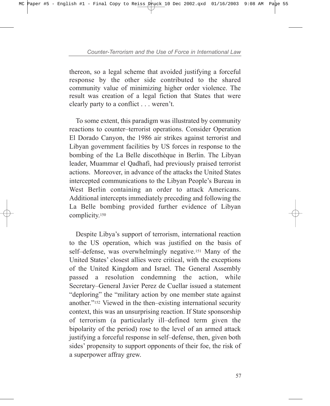thereon, so a legal scheme that avoided justifying a forceful response by the other side contributed to the shared community value of minimizing higher order violence. The result was creation of a legal fiction that States that were clearly party to a conflict . . . weren't.

To some extent, this paradigm was illustrated by community reactions to counter-terrorist operations. Consider Operation El Dorado Canyon, the 1986 air strikes against terrorist and Libyan government facilities by US forces in response to the bombing of the La Belle discothèque in Berlin. The Libyan leader, Muammar el Qadhafi, had previously praised terrorist actions. Moreover, in advance of the attacks the United States intercepted communications to the Libyan People's Bureau in West Berlin containing an order to attack Americans. Additional intercepts immediately preceding and following the La Belle bombing provided further evidence of Libyan complicity.150

Despite Libya's support of terrorism, international reaction to the US operation, which was justified on the basis of self-defense, was overwhelmingly negative.<sup>151</sup> Many of the United States' closest allies were critical, with the exceptions of the United Kingdom and Israel. The General Assembly passed a resolution condemning the action, while Secretary–General Javier Perez de Cuellar issued a statement "deploring" the "military action by one member state against another."<sup>152</sup> Viewed in the then-existing international security context, this was an unsurprising reaction. If State sponsorship of terrorism (a particularly ill-defined term given the bipolarity of the period) rose to the level of an armed attack justifying a forceful response in self-defense, then, given both sides' propensity to support opponents of their foe, the risk of a superpower affray grew.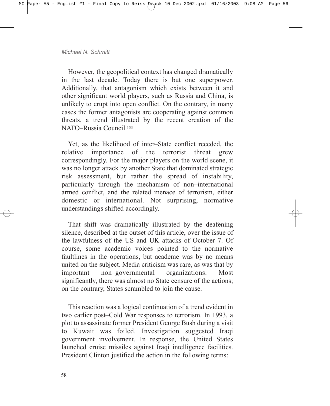However, the geopolitical context has changed dramatically in the last decade. Today there is but one superpower. Additionally, that antagonism which exists between it and other significant world players, such as Russia and China, is unlikely to erupt into open conflict. On the contrary, in many cases the former antagonists are cooperating against common threats, a trend illustrated by the recent creation of the NATO-Russia Council<sup>153</sup>

Yet, as the likelihood of inter-State conflict receded, the relative importance of the terrorist threat grew correspondingly. For the major players on the world scene, it was no longer attack by another State that dominated strategic risk assessment, but rather the spread of instability, particularly through the mechanism of non-international armed conflict, and the related menace of terrorism, either domestic or international. Not surprising, normative understandings shifted accordingly.

That shift was dramatically illustrated by the deafening silence, described at the outset of this article, over the issue of the lawfulness of the US and UK attacks of October 7. Of course, some academic voices pointed to the normative faultlines in the operations, but academe was by no means united on the subject. Media criticism was rare, as was that by important non-governmental organizations. Most significantly, there was almost no State censure of the actions; on the contrary, States scrambled to join the cause.

This reaction was a logical continuation of a trend evident in two earlier post-Cold War responses to terrorism. In 1993, a plot to assassinate former President George Bush during a visit to Kuwait was foiled. Investigation suggested Iraqi government involvement. In response, the United States launched cruise missiles against Iraqi intelligence facilities. President Clinton justified the action in the following terms: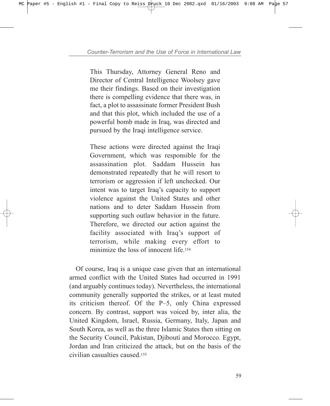This Thursday, Attorney General Reno and Director of Central Intelligence Woolsey gave me their findings. Based on their investigation there is compelling evidence that there was, in fact, a plot to assassinate former President Bush and that this plot, which included the use of a powerful bomb made in Iraq, was directed and pursued by the Iraqi intelligence service.

These actions were directed against the Iraqi Government, which was responsible for the assassination plot. Saddam Hussein has demonstrated repeatedly that he will resort to terrorism or aggression if left unchecked. Our intent was to target Iraq's capacity to support violence against the United States and other nations and to deter Saddam Hussein from supporting such outlaw behavior in the future. Therefore, we directed our action against the facility associated with Iraq's support of terrorism, while making every effort to minimize the loss of innocent life.<sup>154</sup>

Of course, Iraq is a unique case given that an international armed conflict with the United States had occurred in 1991 (and arguably continues today). Nevertheless, the international community generally supported the strikes, or at least muted its criticism thereof. Of the  $P-5$ , only China expressed concern. By contrast, support was voiced by, inter alia, the United Kingdom, Israel, Russia, Germany, Italy, Japan and South Korea, as well as the three Islamic States then sitting on the Security Council, Pakistan, Djibouti and Morocco. Egypt, Jordan and Iran criticized the attack, but on the basis of the civilian casualties caused.155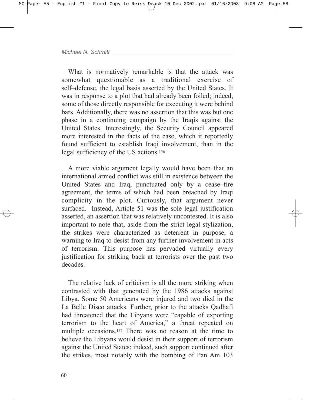What is normatively remarkable is that the attack was somewhat questionable as a traditional exercise of self-defense, the legal basis asserted by the United States. It was in response to a plot that had already been foiled; indeed, some of those directly responsible for executing it were behind bars. Additionally, there was no assertion that this was but one phase in a continuing campaign by the Iraqis against the United States. Interestingly, the Security Council appeared more interested in the facts of the case, which it reportedly found sufficient to establish Iraqi involvement, than in the legal sufficiency of the US actions.156

A more viable argument legally would have been that an international armed conflict was still in existence between the United States and Iraq, punctuated only by a cease–fire agreement, the terms of which had been breached by Iraqi complicity in the plot. Curiously, that argument never surfaced. Instead, Article 51 was the sole legal justification asserted, an assertion that was relatively uncontested. It is also important to note that, aside from the strict legal stylization, the strikes were characterized as deterrent in purpose, a warning to Iraq to desist from any further involvement in acts of terrorism. This purpose has pervaded virtually every justification for striking back at terrorists over the past two decades.

The relative lack of criticism is all the more striking when contrasted with that generated by the 1986 attacks against Libya. Some 50 Americans were injured and two died in the La Belle Disco attacks. Further, prior to the attacks Qadhafi had threatened that the Libyans were "capable of exporting terrorism to the heart of America," a threat repeated on multiple occasions.157 There was no reason at the time to believe the Libyans would desist in their support of terrorism against the United States; indeed, such support continued after the strikes, most notably with the bombing of Pan Am 103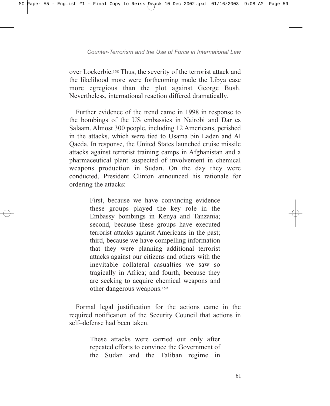over Lockerbie.158 Thus, the severity of the terrorist attack and the likelihood more were forthcoming made the Libya case more egregious than the plot against George Bush. Nevertheless, international reaction differed dramatically.

Further evidence of the trend came in 1998 in response to the bombings of the US embassies in Nairobi and Dar es Salaam. Almost 300 people, including 12 Americans, perished in the attacks, which were tied to Usama bin Laden and Al Qaeda. In response, the United States launched cruise missile attacks against terrorist training camps in Afghanistan and a pharmaceutical plant suspected of involvement in chemical weapons production in Sudan. On the day they were conducted, President Clinton announced his rationale for ordering the attacks:

> First, because we have convincing evidence these groups played the key role in the Embassy bombings in Kenya and Tanzania; second, because these groups have executed terrorist attacks against Americans in the past; third, because we have compelling information that they were planning additional terrorist attacks against our citizens and others with the inevitable collateral casualties we saw so tragically in Africa; and fourth, because they are seeking to acquire chemical weapons and other dangerous weapons.159

Formal legal justification for the actions came in the required notification of the Security Council that actions in self-defense had been taken.

> These attacks were carried out only after repeated efforts to convince the Government of the Sudan and the Taliban regime in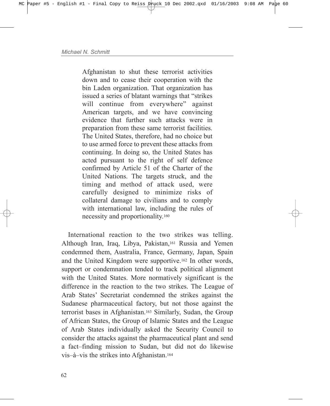Afghanistan to shut these terrorist activities down and to cease their cooperation with the bin Laden organization. That organization has issued a series of blatant warnings that "strikes" will continue from everywhere" against American targets, and we have convincing evidence that further such attacks were in preparation from these same terrorist facilities. The United States, therefore, had no choice but to use armed force to prevent these attacks from continuing. In doing so, the United States has acted pursuant to the right of self defence confirmed by Article 51 of the Charter of the United Nations. The targets struck, and the timing and method of attack used, were carefully designed to minimize risks of collateral damage to civilians and to comply with international law, including the rules of necessity and proportionality.160

International reaction to the two strikes was telling. Although Iran, Iraq, Libya, Pakistan,161 Russia and Yemen condemned them, Australia, France, Germany, Japan, Spain and the United Kingdom were supportive.162 In other words, support or condemnation tended to track political alignment with the United States. More normatively significant is the difference in the reaction to the two strikes. The League of Arab States' Secretariat condemned the strikes against the Sudanese pharmaceutical factory, but not those against the terrorist bases in Afghanistan.163 Similarly, Sudan, the Group of African States, the Group of Islamic States and the League of Arab States individually asked the Security Council to consider the attacks against the pharmaceutical plant and send a fact-finding mission to Sudan, but did not do likewise vis-à-vis the strikes into Afghanistan.<sup>164</sup>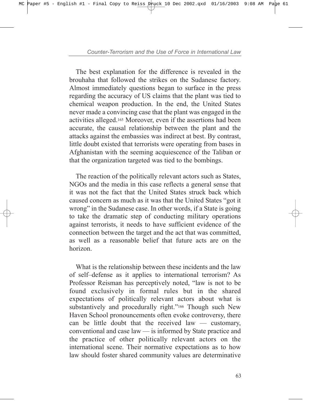The best explanation for the difference is revealed in the brouhaha that followed the strikes on the Sudanese factory. Almost immediately questions began to surface in the press regarding the accuracy of US claims that the plant was tied to chemical weapon production. In the end, the United States never made a convincing case that the plant was engaged in the activities alleged.165 Moreover, even if the assertions had been accurate, the causal relationship between the plant and the attacks against the embassies was indirect at best. By contrast, little doubt existed that terrorists were operating from bases in Afghanistan with the seeming acquiescence of the Taliban or that the organization targeted was tied to the bombings.

The reaction of the politically relevant actors such as States, NGOs and the media in this case reflects a general sense that it was not the fact that the United States struck back which caused concern as much as it was that the United States "got it wrong" in the Sudanese case. In other words, if a State is going to take the dramatic step of conducting military operations against terrorists, it needs to have sufficient evidence of the connection between the target and the act that was committed, as well as a reasonable belief that future acts are on the horizon.

What is the relationship between these incidents and the law of self-defense as it applies to international terrorism? As Professor Reisman has perceptively noted, "law is not to be found exclusively in formal rules but in the shared expectations of politically relevant actors about what is substantively and procedurally right."<sup>166</sup> Though such New Haven School pronouncements often evoke controversy, there can be little doubt that the received law  $-$  customary, conventional and case  $law -$  is informed by State practice and the practice of other politically relevant actors on the international scene. Their normative expectations as to how law should foster shared community values are determinative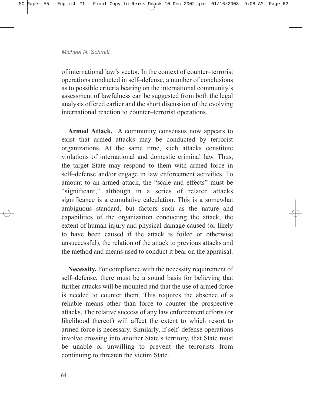of international law's vector. In the context of counter-terrorist operations conducted in self-defense, a number of conclusions as to possible criteria bearing on the international community's assessment of lawfulness can be suggested from both the legal analysis offered earlier and the short discussion of the evolving international reaction to counter-terrorist operations.

**Armed Attack.** A community consensus now appears to exist that armed attacks may be conducted by terrorist organizations. At the same time, such attacks constitute violations of international and domestic criminal law. Thus, the target State may respond to them with armed force in self-defense and/or engage in law enforcement activities. To amount to an armed attack, the "scale and effects" must be "significant," although in a series of related attacks significance is a cumulative calculation. This is a somewhat ambiguous standard, but factors such as the nature and capabilities of the organization conducting the attack, the extent of human injury and physical damage caused (or likely to have been caused if the attack is foiled or otherwise unsuccessful), the relation of the attack to previous attacks and the method and means used to conduct it bear on the appraisal.

**Necessity.** For compliance with the necessity requirement of self-defense, there must be a sound basis for believing that further attacks will be mounted and that the use of armed force is needed to counter them. This requires the absence of a reliable means other than force to counter the prospective attacks. The relative success of any law enforcement efforts (or likelihood thereof) will affect the extent to which resort to armed force is necessary. Similarly, if self-defense operations involve crossing into another State's territory, that State must be unable or unwilling to prevent the terrorists from continuing to threaten the victim State.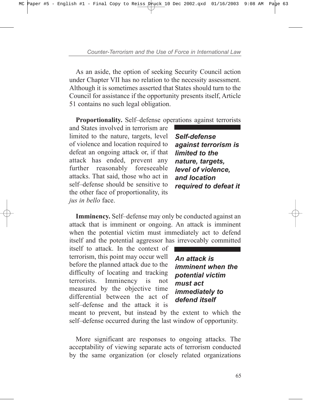As an aside, the option of seeking Security Council action under Chapter VII has no relation to the necessity assessment. Although it is sometimes asserted that States should turn to the Council for assistance if the opportunity presents itself, Article 51 contains no such legal obligation.

**Proportionality.** Self-defense operations against terrorists

and States involved in terrorism are limited to the nature, targets, level of violence and location required to defeat an ongoing attack or, if that attack has ended, prevent any further reasonably foreseeable attacks. That said, those who act in self-defense should be sensitive to the other face of proportionality, its *jus in bello* face.

*Self-defense against terrorism is limited to the nature, targets, level of violence, and location required to defeat it*

**Imminency.** Self-defense may only be conducted against an attack that is imminent or ongoing. An attack is imminent when the potential victim must immediately act to defend itself and the potential aggressor has irrevocably committed

itself to attack. In the context of terrorism, this point may occur well before the planned attack due to the difficulty of locating and tracking terrorists. Imminency is not measured by the objective time differential between the act of self-defense and the attack it is

*An attack is imminent when the potential victim must act immediately to defend itself*

meant to prevent, but instead by the extent to which the self-defense occurred during the last window of opportunity.

More significant are responses to ongoing attacks. The acceptability of viewing separate acts of terrorism conducted by the same organization (or closely related organizations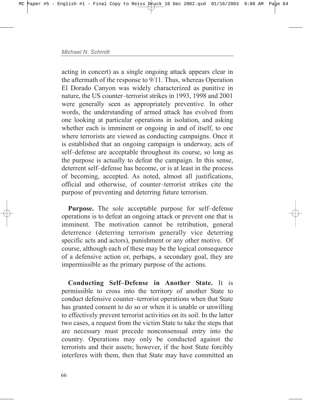acting in concert) as a single ongoing attack appears clear in the aftermath of the response to 9/11. Thus, whereas Operation El Dorado Canyon was widely characterized as punitive in nature, the US counter-terrorist strikes in 1993, 1998 and 2001 were generally seen as appropriately preventive. In other words, the understanding of armed attack has evolved from one looking at particular operations in isolation, and asking whether each is imminent or ongoing in and of itself, to one where terrorists are viewed as conducting campaigns. Once it is established that an ongoing campaign is underway, acts of self-defense are acceptable throughout its course, so long as the purpose is actually to defeat the campaign. In this sense, deterrent self-defense has become, or is at least in the process of becoming, accepted. As noted, almost all justifications, official and otherwise, of counter-terrorist strikes cite the purpose of preventing and deterring future terrorism.

**Purpose.** The sole acceptable purpose for self-defense operations is to defeat an ongoing attack or prevent one that is imminent. The motivation cannot be retribution, general deterrence (deterring terrorism generally vice deterring specific acts and actors), punishment or any other motive. Of course, although each of these may be the logical consequence of a defensive action or, perhaps, a secondary goal, they are impermissible as the primary purpose of the actions.

**Conducting Self-Defense in Another State.** It is permissible to cross into the territory of another State to conduct defensive counter-terrorist operations when that State has granted consent to do so or when it is unable or unwilling to effectively prevent terrorist activities on its soil. In the latter two cases, a request from the victim State to take the steps that are necessary must precede nonconsensual entry into the country. Operations may only be conducted against the terrorists and their assets; however, if the host State forcibly interferes with them, then that State may have committed an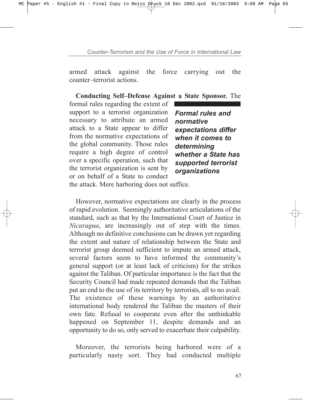armed attack against the force carrying out the counter-terrorist actions.

## **Conducting Self-Defense Against a State Sponsor.** The

formal rules regarding the extent of support to a terrorist organization necessary to attribute an armed attack to a State appear to differ from the normative expectations of the global community. Those rules require a high degree of control over a specific operation, such that the terrorist organization is sent by or on behalf of a State to conduct

*Formal rules and normative expectations differ when it comes to determining whether a State has supported terrorist organizations*

the attack. Mere harboring does not suffice.

However, normative expectations are clearly in the process of rapid evolution. Seemingly authoritative articulations of the standard, such as that by the International Court of Justice in *Nicaragua*, are increasingly out of step with the times. Although no definitive conclusions can be drawn yet regarding the extent and nature of relationship between the State and terrorist group deemed sufficient to impute an armed attack, several factors seem to have informed the community's general support (or at least lack of criticism) for the strikes against the Taliban. Of particular importance is the fact that the Security Council had made repeated demands that the Taliban put an end to the use of its territory by terrorists, all to no avail. The existence of these warnings by an authoritative international body rendered the Taliban the masters of their own fate. Refusal to cooperate even after the unthinkable happened on September 11, despite demands and an opportunity to do so, only served to exacerbate their culpability.

Moreover, the terrorists being harbored were of a particularly nasty sort. They had conducted multiple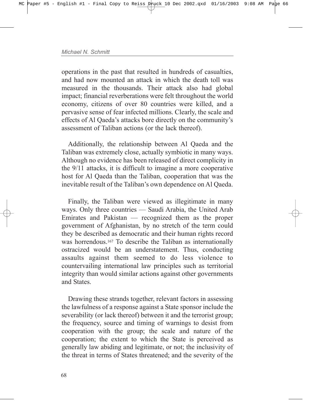operations in the past that resulted in hundreds of casualties, and had now mounted an attack in which the death toll was measured in the thousands. Their attack also had global impact; financial reverberations were felt throughout the world economy, citizens of over 80 countries were killed, and a pervasive sense of fear infected millions. Clearly, the scale and effects of Al Qaeda's attacks bore directly on the community's assessment of Taliban actions (or the lack thereof).

Additionally, the relationship between Al Qaeda and the Taliban was extremely close, actually symbiotic in many ways. Although no evidence has been released of direct complicity in the 9/11 attacks, it is difficult to imagine a more cooperative host for Al Qaeda than the Taliban, cooperation that was the inevitable result of the Taliban's own dependence on Al Qaeda.

Finally, the Taliban were viewed as illegitimate in many ways. Only three countries – Saudi Arabia, the United Arab Emirates and Pakistan  $-$  recognized them as the proper government of Afghanistan, by no stretch of the term could they be described as democratic and their human rights record was horrendous.<sup>167</sup> To describe the Taliban as internationally ostracized would be an understatement. Thus, conducting assaults against them seemed to do less violence to countervailing international law principles such as territorial integrity than would similar actions against other governments and States.

Drawing these strands together, relevant factors in assessing the lawfulness of a response against a State sponsor include the severability (or lack thereof) between it and the terrorist group; the frequency, source and timing of warnings to desist from cooperation with the group; the scale and nature of the cooperation; the extent to which the State is perceived as generally law abiding and legitimate, or not; the inclusivity of the threat in terms of States threatened; and the severity of the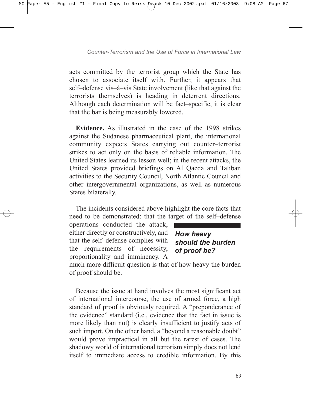acts committed by the terrorist group which the State has chosen to associate itself with. Further, it appears that self-defense vis-à-vis State involvement (like that against the terrorists themselves) is heading in deterrent directions. Although each determination will be fact-specific, it is clear that the bar is being measurably lowered.

**Evidence.** As illustrated in the case of the 1998 strikes against the Sudanese pharmaceutical plant, the international community expects States carrying out counter-terrorist strikes to act only on the basis of reliable information. The United States learned its lesson well; in the recent attacks, the United States provided briefings on Al Qaeda and Taliban activities to the Security Council, North Atlantic Council and other intergovernmental organizations, as well as numerous States bilaterally.

The incidents considered above highlight the core facts that need to be demonstrated: that the target of the self-defense

operations conducted the attack, either directly or constructively, and that the self-defense complies with the requirements of necessity, proportionality and imminency. A

*How heavy should the burden of proof be?*

much more difficult question is that of how heavy the burden of proof should be.

Because the issue at hand involves the most significant act of international intercourse, the use of armed force, a high standard of proof is obviously required. A "preponderance of the evidence" standard (i.e., evidence that the fact in issue is more likely than not) is clearly insufficient to justify acts of such import. On the other hand, a "beyond a reasonable doubt" would prove impractical in all but the rarest of cases. The shadowy world of international terrorism simply does not lend itself to immediate access to credible information. By this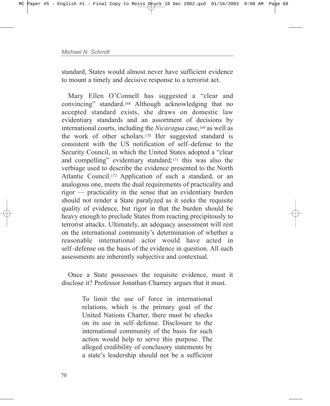standard, States would almost never have sufficient evidence to mount a timely and decisive response to a terrorist act.

Mary Ellen O'Connell has suggested a "clear and convincingî standard.168 Although acknowledging that no accepted standard exists, she draws on domestic law evidentiary standards and an assortment of decisions by international courts, including the *Nicaragua* case,169 as well as the work of other scholars.170 Her suggested standard is consistent with the US notification of self-defense to the Security Council, in which the United States adopted a "clear" and compelling" evidentiary standard; $171$  this was also the verbiage used to describe the evidence presented to the North Atlantic Council.172 Application of such a standard, or an analogous one, meets the dual requirements of practicality and rigor – practicality in the sense that an evidentiary burden should not render a State paralyzed as it seeks the requisite quality of evidence, but rigor in that the burden should be heavy enough to preclude States from reacting precipitously to terrorist attacks. Ultimately, an adequacy assessment will rest on the international community's determination of whether a reasonable international actor would have acted in self-defense on the basis of the evidence in question. All such assessments are inherently subjective and contextual.

Once a State possesses the requisite evidence, must it disclose it? Professor Jonathan Charney argues that it must.

> To limit the use of force in international relations, which is the primary goal of the United Nations Charter, there must be checks on its use in self-defense. Disclosure to the international community of the basis for such action would help to serve this purpose. The alleged credibility of conclusory statements by a state's leadership should not be a sufficient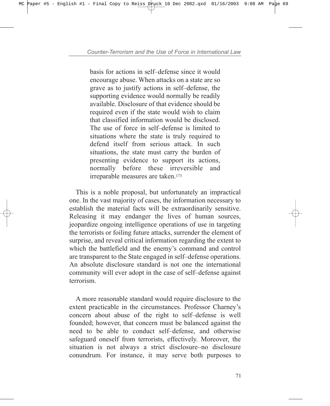basis for actions in self-defense since it would encourage abuse. When attacks on a state are so grave as to justify actions in self-defense, the supporting evidence would normally be readily available. Disclosure of that evidence should be required even if the state would wish to claim that classified information would be disclosed. The use of force in self-defense is limited to situations where the state is truly required to defend itself from serious attack. In such situations, the state must carry the burden of presenting evidence to support its actions, normally before these irreversible and irreparable measures are taken.173

This is a noble proposal, but unfortunately an impractical one. In the vast majority of cases, the information necessary to establish the material facts will be extraordinarily sensitive. Releasing it may endanger the lives of human sources, jeopardize ongoing intelligence operations of use in targeting the terrorists or foiling future attacks, surrender the element of surprise, and reveal critical information regarding the extent to which the battlefield and the enemy's command and control are transparent to the State engaged in self-defense operations. An absolute disclosure standard is not one the international community will ever adopt in the case of self-defense against terrorism.

A more reasonable standard would require disclosure to the extent practicable in the circumstances. Professor Charney's concern about abuse of the right to self-defense is well founded; however, that concern must be balanced against the need to be able to conduct self-defense, and otherwise safeguard oneself from terrorists, effectively. Moreover, the situation is not always a strict disclosure-no disclosure conundrum. For instance, it may serve both purposes to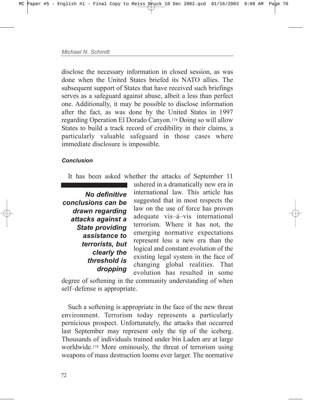disclose the necessary information in closed session, as was done when the United States briefed its NATO allies. The subsequent support of States that have received such briefings serves as a safeguard against abuse, albeit a less than perfect one. Additionally, it may be possible to disclose information after the fact, as was done by the United States in 1997 regarding Operation El Dorado Canyon.174 Doing so will allow States to build a track record of credibility in their claims, a particularly valuable safeguard in those cases where immediate disclosure is impossible.

## *Conclusion*

It has been asked whether the attacks of September 11

*No definitive conclusions can be drawn regarding attacks against a State providing assistance to terrorists, but clearly the threshold is dropping*

ushered in a dramatically new era in international law. This article has suggested that in most respects the law on the use of force has proven adequate vis-à-vis international terrorism. Where it has not, the emerging normative expectations represent less a new era than the logical and constant evolution of the existing legal system in the face of changing global realities. That evolution has resulted in some

degree of softening in the community understanding of when self-defense is appropriate.

Such a softening is appropriate in the face of the new threat environment. Terrorism today represents a particularly pernicious prospect. Unfortunately, the attacks that occurred last September may represent only the tip of the iceberg. Thousands of individuals trained under bin Laden are at large worldwide.175 More ominously, the threat of terrorism using weapons of mass destruction looms ever larger. The normative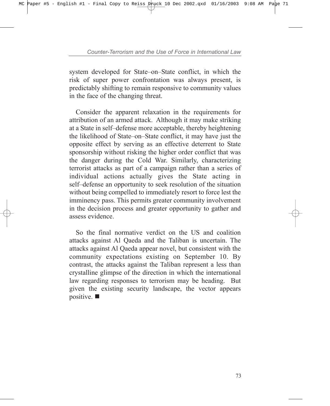system developed for State–on–State conflict, in which the risk of super power confrontation was always present, is predictably shifting to remain responsive to community values in the face of the changing threat.

Consider the apparent relaxation in the requirements for attribution of an armed attack. Although it may make striking at a State in self-defense more acceptable, thereby heightening the likelihood of State–on–State conflict, it may have just the opposite effect by serving as an effective deterrent to State sponsorship without risking the higher order conflict that was the danger during the Cold War. Similarly, characterizing terrorist attacks as part of a campaign rather than a series of individual actions actually gives the State acting in self-defense an opportunity to seek resolution of the situation without being compelled to immediately resort to force lest the imminency pass. This permits greater community involvement in the decision process and greater opportunity to gather and assess evidence.

So the final normative verdict on the US and coalition attacks against Al Qaeda and the Taliban is uncertain. The attacks against Al Qaeda appear novel, but consistent with the community expectations existing on September 10. By contrast, the attacks against the Taliban represent a less than crystalline glimpse of the direction in which the international law regarding responses to terrorism may be heading. But given the existing security landscape, the vector appears positive.  $\blacksquare$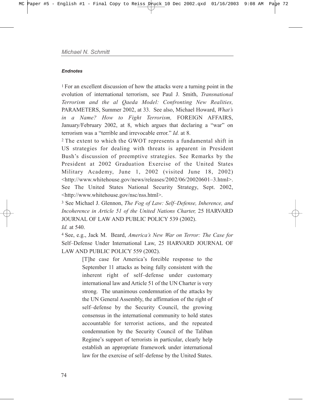#### *Endnotes*

1 For an excellent discussion of how the attacks were a turning point in the evolution of international terrorism, see Paul J. Smith, *Transnational Terrorism and the al Qaeda Model: Confronting New Realities,* PARAMETERS, Summer 2002, at 33. See also, Michael Howard, *Whatís in a Name? How to Fight Terrorism,* FOREIGN AFFAIRS, January/February 2002, at 8, which argues that declaring a "war" on terrorism was a "terrible and irrevocable error." *Id.* at 8.

<sup>2</sup> The extent to which the GWOT represents a fundamental shift in US strategies for dealing with threats is apparent in President Bush's discussion of preemptive strategies. See Remarks by the President at 2002 Graduation Exercise of the United States Military Academy, June 1, 2002 (visited June 18, 2002)  $\langle \text{http://www.whitehouse.gov/news/relcases/2002/06/20020601-3.html} \rangle$ . See The United States National Security Strategy, Sept. 2002, <http://www.whitehouse.gov/nsc/nss.html>.

<sup>3</sup> See Michael J. Glennon, *The Fog of Law: Self-Defense, Inherence, and Incoherence in Article 51 of the United Nations Charter,* 25 HARVARD JOURNAL OF LAW AND PUBLIC POLICY 539 (2002). *Id.* at 540.

4 See, e.g., Jack M. Beard, *Americaís New War on Terror: The Case for* Self–Defense Under International Law, 25 HARVARD JOURNAL OF LAW AND PUBLIC POLICY 559 (2002).

> [T]he case for America's forcible response to the September 11 attacks as being fully consistent with the inherent right of self-defense under customary international law and Article 51 of the UN Charter is very strong. The unanimous condemnation of the attacks by the UN General Assembly, the affirmation of the right of self-defense by the Security Council, the growing consensus in the international community to hold states accountable for terrorist actions, and the repeated condemnation by the Security Council of the Taliban Regime's support of terrorists in particular, clearly help establish an appropriate framework under international law for the exercise of self-defense by the United States.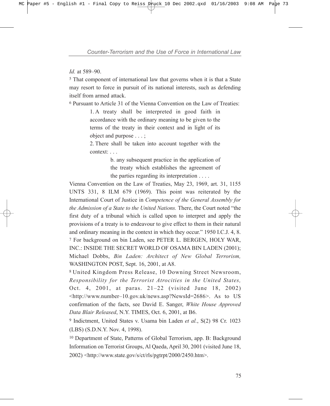*Id.* at 589-90.

<sup>5</sup> That component of international law that governs when it is that a State may resort to force in pursuit of its national interests, such as defending itself from armed attack.

<sup>6</sup> Pursuant to Article 31 of the Vienna Convention on the Law of Treaties:

1. A treaty shall be interpreted in good faith in accordance with the ordinary meaning to be given to the terms of the treaty in their context and in light of its object and purpose . . . ;

2. There shall be taken into account together with the context: . . .

> b. any subsequent practice in the application of the treaty which establishes the agreement of the parties regarding its interpretation . . . .

Vienna Convention on the Law of Treaties, May 23, 1969, art. 31, 1155 UNTS 331, 8 ILM 679 (1969). This point was reiterated by the International Court of Justice in *Competence of the General Assembly for the Admission of a State to the United Nations. There, the Court noted "the* first duty of a tribunal which is called upon to interpret and apply the provisions of a treaty is to endeavour to give effect to them in their natural and ordinary meaning in the context in which they occur." 1950 I.C.J. 4, 8. <sup>7</sup> For background on bin Laden, see PETER L. BERGEN, HOLY WAR, INC.: INSIDE THE SECRET WORLD OF OSAMA BIN LADEN (2001); Michael Dobbs, *Bin Laden: Architect of New Global Terrorism,* WASHINGTON POST, Sept. 16, 2001, at A8.

<sup>8</sup> United Kingdom Press Release, 10 Downing Street Newsroom, *Responsibility for the Terrorist Atrocities in the United States,* Oct. 4, 2001, at paras.  $21-22$  (visited June 18, 2002)  $\text{Khttp://www.number-10.gov.uk/news.asp?NewsId=2686}.$  As to US confirmation of the facts, see David E. Sanger, *White House Approved Data Blair Released*, N.Y. TIMES, Oct. 6, 2001, at B6.

<sup>9</sup> Indictment, United States v. Usama bin Laden *et al.*, S(2) 98 Cr. 1023 (LBS) (S.D.N.Y. Nov. 4, 1998).

<sup>10</sup> Department of State, Patterns of Global Terrorism, app. B: Background Information on Terrorist Groups, Al Qaeda, April 30, 2001 (visited June 18, 2002) <http://www.state.gov/s/ct/rls/pgtrpt/2000/2450.htm>.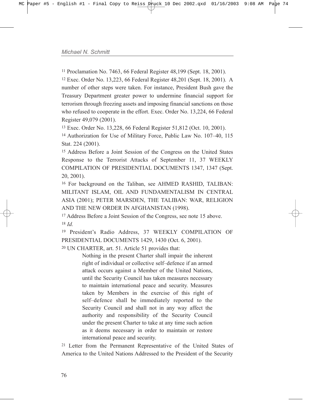<sup>11</sup> Proclamation No. 7463, 66 Federal Register 48,199 (Sept. 18, 2001).

<sup>12</sup> Exec. Order No. 13,223, 66 Federal Register 48,201 (Sept. 18, 2001). A number of other steps were taken. For instance, President Bush gave the Treasury Department greater power to undermine financial support for terrorism through freezing assets and imposing financial sanctions on those who refused to cooperate in the effort. Exec. Order No. 13,224, 66 Federal Register 49,079 (2001).

<sup>13</sup> Exec. Order No. 13,228, 66 Federal Register 51,812 (Oct. 10, 2001).

<sup>14</sup> Authorization for Use of Military Force, Public Law No. 107-40, 115 Stat. 224 (2001).

<sup>15</sup> Address Before a Joint Session of the Congress on the United States Response to the Terrorist Attacks of September 11, 37 WEEKLY COMPILATION OF PRESIDENTIAL DOCUMENTS 1347, 1347 (Sept. 20, 2001).

<sup>16</sup> For background on the Taliban, see AHMED RASHID, TALIBAN: MILITANT ISLAM, OIL AND FUNDAMENTALISM IN CENTRAL ASIA (2001); PETER MARSDEN, THE TALIBAN: WAR, RELIGION AND THE NEW ORDER IN AFGHANISTAN (1998).

<sup>17</sup> Address Before a Joint Session of the Congress, see note 15 above. <sup>18</sup> *Id.*

<sup>19</sup> President's Radio Address, 37 WEEKLY COMPILATION OF PRESIDENTIAL DOCUMENTS 1429, 1430 (Oct. 6, 2001).

<sup>20</sup> UN CHARTER, art. 51. Article 51 provides that:

Nothing in the present Charter shall impair the inherent right of individual or collective self-defence if an armed attack occurs against a Member of the United Nations, until the Security Council has taken measures necessary to maintain international peace and security. Measures taken by Members in the exercise of this right of self-defence shall be immediately reported to the Security Council and shall not in any way affect the authority and responsibility of the Security Council under the present Charter to take at any time such action as it deems necessary in order to maintain or restore international peace and security.

<sup>21</sup> Letter from the Permanent Representative of the United States of America to the United Nations Addressed to the President of the Security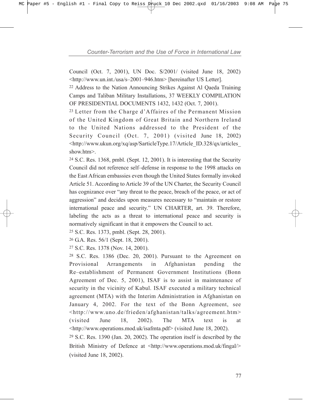Council (Oct. 7, 2001), UN Doc. S/2001/ (visited June 18, 2002) <http://www.un.int./usa/s-2001-946.htm> [hereinafter US Letter].

<sup>22</sup> Address to the Nation Announcing Strikes Against Al Qaeda Training Camps and Taliban Military Installations, 37 WEEKLY COMPILATION OF PRESIDENTIAL DOCUMENTS 1432, 1432 (Oct. 7, 2001).

 $23$  Letter from the Charge d'Affaires of the Permanent Mission of the United Kingdom of Great Britain and Northern Ireland to the United Nations addressed to the President of the Security Council (Oct. 7, 2001) (visited June 18, 2002) <http://www.ukun.org/xq/asp/SarticleType.17/Article\_ID.328/qx/articles\_ show.htm>.

<sup>24</sup> S.C. Res. 1368, pmbl. (Sept. 12, 2001). It is interesting that the Security Council did not reference self-defense in response to the 1998 attacks on the East African embassies even though the United States formally invoked Article 51. According to Article 39 of the UN Charter, the Security Council has cognizance over "any threat to the peace, breach of the peace, or act of aggression" and decides upon measures necessary to "maintain or restore international peace and security." UN CHARTER, art. 39. Therefore, labeling the acts as a threat to international peace and security is normatively significant in that it empowers the Council to act.

<sup>25</sup> S.C. Res. 1373, pmbl. (Sept. 28, 2001).

<sup>26</sup> G.A. Res. 56/1 (Sept. 18, 2001).

<sup>27</sup> S.C. Res. 1378 (Nov. 14, 2001).

<sup>28</sup> S.C. Res. 1386 (Dec. 20, 2001). Pursuant to the Agreement on Provisional Arrangements in Afghanistan pending the Re-establishment of Permanent Government Institutions (Bonn) Agreement of Dec. 5, 2001), ISAF is to assist in maintenance of security in the vicinity of Kabul. ISAF executed a military technical agreement (MTA) with the Interim Administration in Afghanistan on January 4, 2002. For the text of the Bonn Agreement, see <http://www.uno.de/frieden/afghanistan/talks/agreement.htm> (visited June 18, 2002). The MTA text is at <http://www.operations.mod.uk/isafmta.pdf> (visited June 18, 2002).

<sup>29</sup> S.C. Res. 1390 (Jan. 20, 2002). The operation itself is described by the British Ministry of Defence at  $\frac{\text{th}}{\text{t}}$  /www.operations.mod.uk/fingal/> (visited June 18, 2002).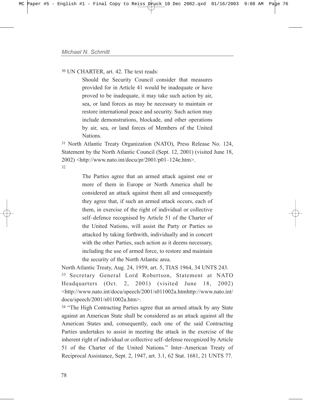<sup>30</sup> UN CHARTER, art. 42. The text reads:

Should the Security Council consider that measures provided for in Article 41 would be inadequate or have proved to be inadequate, it may take such action by air, sea, or land forces as may be necessary to maintain or restore international peace and security. Such action may include demonstrations, blockade, and other operations by air, sea, or land forces of Members of the United Nations.

<sup>31</sup> North Atlantic Treaty Organization (NATO), Press Release No. 124, Statement by the North Atlantic Council (Sept. 12, 2001) (visited June 18,  $2002$ ) <http://www.nato.int/docu/pr/2001/p01-124e.htm>. 32

> The Parties agree that an armed attack against one or more of them in Europe or North America shall be considered an attack against them all and consequently they agree that, if such an armed attack occurs, each of them, in exercise of the right of individual or collective self-defence recognised by Article 51 of the Charter of the United Nations, will assist the Party or Parties so attacked by taking forthwith, individually and in concert with the other Parties, such action as it deems necessary, including the use of armed force, to restore and maintain the security of the North Atlantic area.

North Atlantic Treaty, Aug. 24, 1959, art. 5, TIAS 1964, 34 UNTS 243. <sup>33</sup> Secretary General Lord Robertson, Statement at NATO Headquarters (Oct. 2, 2001) (visited June 18, 2002) <http://www.nato.int/docu/speech/2001/s011002a.htmhttp://www.nato.int/ docu/speech/2001/s011002a.htm>.

<sup>34</sup> "The High Contracting Parties agree that an armed attack by any State against an American State shall be considered as an attack against all the American States and, consequently, each one of the said Contracting Parties undertakes to assist in meeting the attack in the exercise of the inherent right of individual or collective self-defense recognized by Article 51 of the Charter of the United Nations." Inter-American Treaty of Reciprocal Assistance, Sept. 2, 1947, art. 3.1, 62 Stat. 1681, 21 UNTS 77.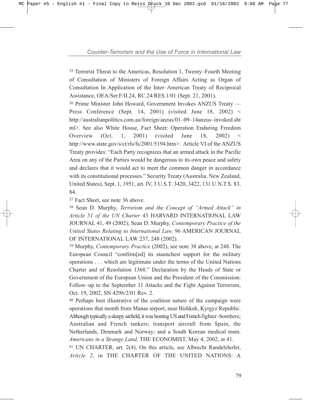<sup>35</sup> Terrorist Threat to the Americas, Resolution 1, Twenty–Fourth Meeting of Consultation of Ministers of Foreign Affairs Acting as Organ of Consultation In Application of the Inter–American Treaty of Reciprocal Assistance, OEA/Ser.F/II.24, RC.24/RES.1/01 (Sept. 21, 2001).

<sup>36</sup> Prime Minister John Howard, Government Invokes ANZUS Treaty — Press Conference (Sept. 14, 2001) (visited June 18, 2002) < http://australianpolitics.com.au/foreign/anzus/01-09-14anzus-invoked.sht ml>. See also White House, Fact Sheet: Operation Enduring Freedom Overview  $(Oct. 1, 2001)$  (visited June 18, 2002) < http://www.state.gov/s/ct/rls/fs/2001/5194.htm>. Article VI of the ANZUS Treaty provides: "Each Party recognizes that an armed attack in the Pacific Area on any of the Parties would be dangerous to its own peace and safety and declares that it would act to meet the common danger in accordance with its constitutional processes." Security Treaty (Australia, New Zealand, United States), Sept. 1, 1951, art. IV, 3 U.S.T. 3420, 3422, 131 U.N.T.S. 83, 84.

<sup>37</sup> Fact Sheet, see note 36 above.

<sup>38</sup> Sean D. Murphy, *Terrorism and the Concept of "Armed Attack" in Article 51 of the UN Charter* 43 HARVARD INTERNATIONAL LAW JOURNAL 41, 49 (2002); Sean D. Murphy, *Contemporary Practice of the United States Relating to International Law,* 96 AMERICAN JOURNAL OF INTERNATIONAL LAW 237, 248 (2002).

<sup>39</sup> Murphy, *Contemporary Practice* (2002), see note 38 above, at 248. The European Council "confirm[ed] its staunchest support for the military operations . . . which are legitimate under the terms of the United Nations Charter and of Resolution 1368." Declaration by the Heads of State or Government of the European Union and the President of the Commission: Follow–up to the September 11 Attacks and the Fight Against Terrorism, Oct. 19, 2002, SN 4296/2/01 Rev. 2.

<sup>40</sup> Perhaps best illustrative of the coalition nature of the campaign were operations that month from Manas airport, near Bishkek, Kyrgyz Republic. Although typically a sleepy airfield, it was hosting US and French fighter-bombers; Australian and French tankers; transport aircraft from Spain, the Netherlands, Denmark and Norway; and a South Korean medical team. *Americans in a Strange Land,* THE ECONOMIST, May 4, 2002, at 41.

<sup>41</sup> UN CHARTER, art. 2(4). On this article, see Albrecht Randelzhofer, *Article 2*, in THE CHARTER OF THE UNITED NATIONS: A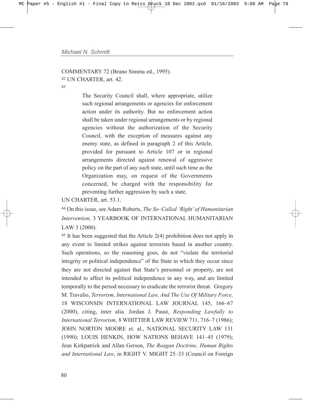COMMENTARY 72 (Bruno Simma ed., 1995). <sup>42</sup> UN CHARTER, art. 42.

43

The Security Council shall, where appropriate, utilize such regional arrangements or agencies for enforcement action under its authority. But no enforcement action shall be taken under regional arrangements or by regional agencies without the authorization of the Security Council, with the exception of measures against any enemy state, as defined in paragraph 2 of this Article, provided for pursuant to Article 107 or in regional arrangements directed against renewal of aggressive policy on the part of any such state, until such time as the Organization may, on request of the Governments concerned, be charged with the responsibility for preventing further aggression by such a state.

UN CHARTER, art. 53.1.

<sup>44</sup> On this issue, see Adam Roberts, *The So-Called 'Right' of Humanitarian Intervention,* 3 YEARBOOK OF INTERNATIONAL HUMANITARIAN LAW 3 (2000).

<sup>45</sup> It has been suggested that the Article 2(4) prohibition does not apply in any event to limited strikes against terrorists based in another country. Such operations, so the reasoning goes, do not "violate the territorial integrity or political independence" of the State in which they occur since they are not directed against that State's personnel or property, are not intended to affect its political independence in any way, and are limited temporally to the period necessary to eradicate the terrorist threat. Gregory M. Travalio, *Terrorism, International Law, And The Use Of Military Force,* 18 WISCONSIN INTERNATIONAL LAW JOURNAL 145, 166-67 (2000), citing, inter alia*,* Jordan J. Paust, *Responding Lawfully to International Terrorism,* 8 WHITTIER LAW REVIEW 711, 716-7 (1986); JOHN NORTON MOORE et. al., NATIONAL SECURITY LAW 131 (1990); LOUIS HENKIN, HOW NATIONS BEHAVE 141-45 (1979); Jean Kirkpatrick and Allan Gerson, *The Reagan Doctrine, Human Rights* and International Law, in RIGHT V. MIGHT 25-33 (Council on Foreign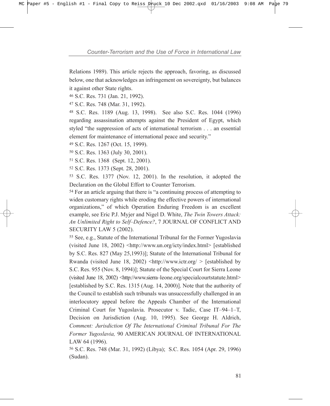Relations 1989). This article rejects the approach, favoring, as discussed below, one that acknowledges an infringement on sovereignty, but balances it against other State rights.

<sup>46</sup> S.C. Res. 731 (Jan. 21, 1992).

<sup>47</sup> S.C. Res. 748 (Mar. 31, 1992).

<sup>48</sup> S.C. Res. 1189 (Aug. 13, 1998). See also S.C. Res. 1044 (1996) regarding assassination attempts against the President of Egypt, which styled "the suppression of acts of international terrorism . . . an essential element for maintenance of international peace and security.<sup>"</sup>

<sup>49</sup> S.C. Res. 1267 (Oct. 15, 1999).

<sup>50</sup> S.C. Res. 1363 (July 30, 2001).

<sup>51</sup> S.C. Res. 1368 (Sept. 12, 2001).

<sup>52</sup> S.C. Res. 1373 (Sept. 28, 2001).

<sup>53</sup> S.C. Res. 1377 (Nov. 12, 2001). In the resolution, it adopted the Declaration on the Global Effort to Counter Terrorism.

 $54$  For an article arguing that there is "a continuing process of attempting to widen customary rights while eroding the effective powers of international organizations," of which Operation Enduring Freedom is an excellent example, see Eric P.J. Myjer and Nigel D. White, *The Twin Towers Attack: An Unlimited Right to Self-Defence?, 7 JOURNAL OF CONFLICT AND* SECURITY LAW 5 (2002).

<sup>55</sup> See, e.g., Statute of the International Tribunal for the Former Yugoslavia (visited June 18, 2002) <http://www.un.org/icty/index.html> [established by S.C. Res. 827 (May 25,1993)]; Statute of the International Tribunal for Rwanda (visited June 18, 2002)  $\langle$ http://www.ictr.org/ > [established by S.C. Res. 955 (Nov. 8, 1994)]; Statute of the Special Court for Sierra Leone (visited June 18, 2002)  $\langle$ http://www.sierra-leone.org/specialcourtstatute.html> [established by S.C. Res. 1315 (Aug. 14, 2000)]. Note that the authority of the Council to establish such tribunals was unsuccessfully challenged in an interlocutory appeal before the Appeals Chamber of the International Criminal Court for Yugoslavia. Prosecutor v. Tadic, Case IT-94-1-T, Decision on Jurisdiction (Aug. 10, 1995). See George H. Aldrich, *Comment: Jurisdiction Of The International Criminal Tribunal For The Former Yugoslavia,* 90 AMERICAN JOURNAL OF INTERNATIONAL LAW 64 (1996).

<sup>56</sup> S.C. Res. 748 (Mar. 31, 1992) (Libya); S.C. Res. 1054 (Apr. 29, 1996) (Sudan).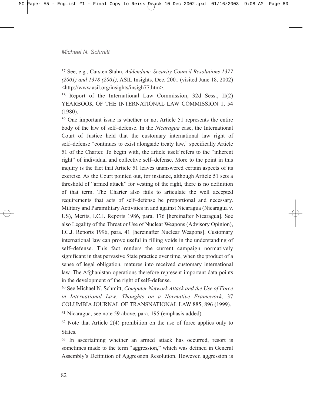<sup>57</sup> See, e.g., Carsten Stahn, *Addendum: Security Council Resolutions 1377 (2001) and 1378 (2001),* ASIL Insights, Dec. 2001 (visited June 18, 2002) <http://www.asil.org/insights/insigh77.htm>.

<sup>58</sup> Report of the International Law Commission, 32d Sess., II(2) YEARBOOK OF THE INTERNATIONAL LAW COMMISSION 1, 54 (1980).

<sup>59</sup> One important issue is whether or not Article 51 represents the entire body of the law of self-defense. In the *Nicaragua* case, the International Court of Justice held that the customary international law right of self-defense "continues to exist alongside treaty law," specifically Article 51 of the Charter. To begin with, the article itself refers to the "inherent" right" of individual and collective self-defense. More to the point in this inquiry is the fact that Article 51 leaves unanswered certain aspects of its exercise. As the Court pointed out, for instance, although Article 51 sets a threshold of "armed attack" for vesting of the right, there is no definition of that term. The Charter also fails to articulate the well accepted requirements that acts of self-defense be proportional and necessary. Military and Paramilitary Activities in and against Nicaragua (Nicaragua v. US), Merits, I.C.J. Reports 1986, para. 176 [hereinafter Nicaragua]. See also Legality of the Threat or Use of Nuclear Weapons (Advisory Opinion), I.C.J. Reports 1996, para. 41 [hereinafter Nuclear Weapons]. Customary international law can prove useful in filling voids in the understanding of self-defense. This fact renders the current campaign normatively significant in that pervasive State practice over time, when the product of a sense of legal obligation, matures into received customary international law. The Afghanistan operations therefore represent important data points in the development of the right of self-defense.

<sup>60</sup> See Michael N. Schmitt, *Computer Network Attack and the Use of Force in International Law: Thoughts on a Normative Framework,* 37 COLUMBIA JOURNAL OF TRANSNATIONAL LAW 885, 896 (1999).

<sup>61</sup> Nicaragua, see note 59 above, para. 195 (emphasis added).

<sup>62</sup> Note that Article 2(4) prohibition on the use of force applies only to **States**.

<sup>63</sup> In ascertaining whether an armed attack has occurred, resort is sometimes made to the term "aggression," which was defined in General Assembly's Definition of Aggression Resolution. However, aggression is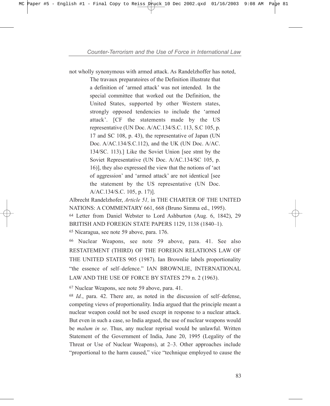not wholly synonymous with armed attack. As Randelzhoffer has noted,

The travaux preparatoires of the Definition illustrate that a definition of 'armed attack' was not intended. In the special committee that worked out the Definition, the United States, supported by other Western states, strongly opposed tendencies to include the 'armed attack'. [CF the statements made by the US representative (UN Doc. A/AC.134/S.C. 113, S.C 105, p. 17 and SC 108, p. 43), the representative of Japan (UN Doc. A/AC.134/S.C.112), and the UK (UN Doc. A/AC. 134/SC. 113).] Like the Soviet Union [see stmt by the Soviet Representative (UN Doc. A/AC.134/SC 105, p. 16)], they also expressed the view that the notions of ëact of aggression' and 'armed attack' are not identical [see the statement by the US representative (UN Doc. A/AC.134/S.C. 105, p. 17)].

Albrecht Randelzhofer, *Article 51,* in THE CHARTER OF THE UNITED NATIONS: A COMMENTARY 661, 668 (Bruno Simma ed., 1995).

<sup>64</sup> Letter from Daniel Webster to Lord Ashburton (Aug. 6, 1842), 29 BRITISH AND FOREIGN STATE PAPERS 1129, 1138 (1840-1).

<sup>65</sup> Nicaragua, see note 59 above, para. 176.

<sup>66</sup> Nuclear Weapons, see note 59 above, para. 41. See also RESTATEMENT (THIRD) OF THE FOREIGN RELATIONS LAW OF THE UNITED STATES 905 (1987). Ian Brownlie labels proportionality "the essence of self-defence." IAN BROWNLIE, INTERNATIONAL LAW AND THE USE OF FORCE BY STATES 279 n. 2 (1963).

<sup>67</sup> Nuclear Weapons, see note 59 above, para. 41.

<sup>68</sup> *Id.*, para. 42. There are, as noted in the discussion of self-defense, competing views of proportionality. India argued that the principle meant a nuclear weapon could not be used except in response to a nuclear attack. But even in such a case, so India argued, the use of nuclear weapons would be *malum in se*. Thus, any nuclear reprisal would be unlawful. Written Statement of the Government of India, June 20, 1995 (Legality of the Threat or Use of Nuclear Weapons), at  $2-3$ . Other approaches include "proportional to the harm caused," vice "technique employed to cause the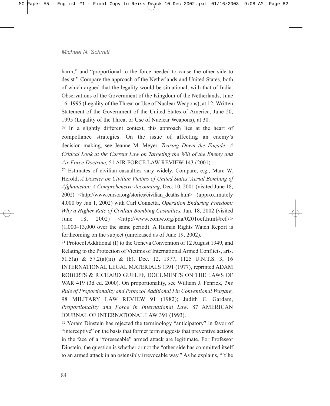harm," and "proportional to the force needed to cause the other side to desist." Compare the approach of the Netherlands and United States, both of which argued that the legality would be situational, with that of India. Observations of the Government of the Kingdom of the Netherlands, June 16, 1995 (Legality of the Threat or Use of Nuclear Weapons), at 12; Written Statement of the Government of the United States of America, June 20, 1995 (Legality of the Threat or Use of Nuclear Weapons), at 30.

<sup>69</sup> In a slightly different context, this approach lies at the heart of compellance strategies. On the issue of affecting an enemy's decision–making, see Jeanne M. Meyer, *Tearing Down the Facade: A Critical Look at the Current Law on Targeting the Will of the Enemy and Air Force Doctrine,* 51 AIR FORCE LAW REVIEW 143 (2001).

<sup>70</sup> Estimates of civilian casualties vary widely. Compare, e.g., Marc W. Herold, *A Dossier on Civilian Victims of United Statesí Aerial Bombing of Afghanistan: A Comprehensive Accounting,* Dec. 10, 2001 (visited June 18, 2002) <http://www.cursor.org/stories/civilian\_deaths.htm> (approximately 4,000 by Jan 1, 2002) with Carl Connetta, *Operation Enduring Freedom: Why a Higher Rate of Civilian Bombing Casualties,* Jan. 18, 2002 (visited June 18, 2002) <http://www.comw.org/pda/0201oef.html#ref7>  $(1,000-13,000$  over the same period). A Human Rights Watch Report is forthcoming on the subject (unreleased as of June 19, 2002).

<sup>71</sup> Protocol Additional (I) to the Geneva Convention of 12 August 1949, and Relating to the Protection of Victims of International Armed Conflicts, arts. 51.5(a) & 57.2(a)(iii) & (b), Dec. 12, 1977, 1125 U.N.T.S. 3, 16 INTERNATIONAL LEGAL MATERIALS 1391 (1977), reprinted ADAM ROBERTS & RICHARD GUELFF, DOCUMENTS ON THE LAWS OF WAR 419 (3d ed. 2000). On proportionality, see William J. Fenrick, *The Rule of Proportionality and Protocol Additional I in Conventional Warfare,* 98 MILITARY LAW REVIEW 91 (1982); Judith G. Gardam, *Proportionality and Force in International Law,* 87 AMERICAN JOURNAL OF INTERNATIONAL LAW 391 (1993).

<sup>72</sup> Yoram Dinstein has rejected the terminology "anticipatory" in favor of "interceptive" on the basis that former term suggests that preventive actions in the face of a "foreseeable" armed attack are legitimate. For Professor Dinstein, the question is whether or not the "other side has committed itself to an armed attack in an ostensibly irrevocable way." As he explains, "[t]he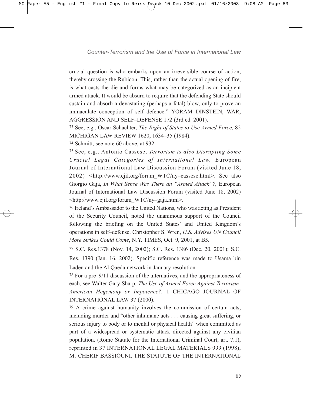crucial question is who embarks upon an irreversible course of action, thereby crossing the Rubicon. This, rather than the actual opening of fire, is what casts the die and forms what may be categorized as an incipient armed attack. It would be absurd to require that the defending State should sustain and absorb a devastating (perhaps a fatal) blow, only to prove an immaculate conception of self-defence." YORAM DINSTEIN, WAR, AGGRESSION AND SELF-DEFENSE 172 (3rd ed. 2001).

<sup>73</sup> See, e.g., Oscar Schachter, *The Right of States to Use Armed Force,* 82 MICHIGAN LAW REVIEW 1620, 1634-35 (1984).

<sup>74</sup> Schmitt, see note 60 above, at 932.

<sup>75</sup> See, e.g., Antonio Cassese, *Terrorism is also Disrupting Some Crucial Legal Categories of International Law,* European Journal of International Law Discussion Forum (visited June 18, 2002) <http://www.ejil.org/forum\_WTC/ny-cassese.html>. See also Giorgio Gaja, *In What Sense Was There an "Armed Attack"?*, European Journal of International Law Discussion Forum (visited June 18, 2002) <http://www.ejil.org/forum\_WTC/ny-gaja.html>.

<sup>76</sup> Ireland's Ambassador to the United Nations, who was acting as President of the Security Council, noted the unanimous support of the Council following the briefing on the United States' and United Kingdom's operations in self-defense. Christopher S. Wren, *U.S. Advises UN Council More Strikes Could Come*, N.Y. TIMES, Oct. 9, 2001, at B5.

<sup>77</sup> S.C. Res.1378 (Nov. 14, 2002); S.C. Res. 1386 (Dec. 20, 2001); S.C. Res. 1390 (Jan. 16, 2002). Specific reference was made to Usama bin Laden and the Al Qaeda network in January resolution.

 $78$  For a pre–9/11 discussion of the alternatives, and the appropriateness of each, see Walter Gary Sharp, *The Use of Armed Force Against Terrorism: American Hegemony or Impotence?,* 1 CHICAGO JOURNAL OF INTERNATIONAL LAW 37 (2000).

<sup>79</sup> A crime against humanity involves the commission of certain acts, including murder and "other inhumane acts . . . causing great suffering, or serious injury to body or to mental or physical health" when committed as part of a widespread or systematic attack directed against any civilian population. (Rome Statute for the International Criminal Court, art. 7.1), reprinted in 37 INTERNATIONAL LEGAL MATERIALS 999 (1998), M. CHERIF BASSIOUNI, THE STATUTE OF THE INTERNATIONAL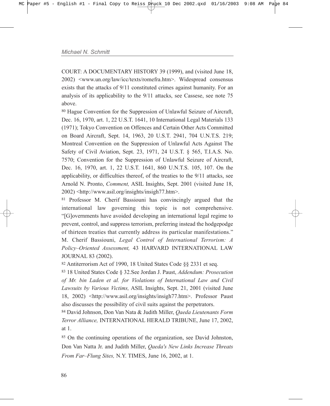COURT: A DOCUMENTARY HISTORY 39 (1999), and (visited June 18, 2002) <www.un.org/law/icc/texts/romefra.htm>. Widespread consensus exists that the attacks of 9/11 constituted crimes against humanity. For an analysis of its applicability to the 9/11 attacks, see Cassese, see note 75 above.

<sup>80</sup> Hague Convention for the Suppression of Unlawful Seizure of Aircraft, Dec. 16, 1970, art. 1, 22 U.S.T. 1641, 10 International Legal Materials 133 (1971); Tokyo Convention on Offences and Certain Other Acts Committed on Board Aircraft, Sept. 14, 1963, 20 U.S.T. 2941, 704 U.N.T.S. 219; Montreal Convention on the Suppression of Unlawful Acts Against The Safety of Civil Aviation, Sept. 23, 1971, 24 U.S.T. ß 565, T.I.A.S. No. 7570; Convention for the Suppression of Unlawful Seizure of Aircraft, Dec. 16, 1970, art. 1, 22 U.S.T. 1641, 860 U.N.T.S. 105, 107. On the applicability, or difficulties thereof, of the treaties to the 9/11 attacks, see Arnold N. Pronto, *Comment,* ASIL Insights, Sept. 2001 (visited June 18, 2002) <http://www.asil.org/insights/insigh77.htm>.

<sup>81</sup> Professor M. Cherif Bassiouni has convincingly argued that the international law governing this topic is not comprehensive. ì[G]overnments have avoided developing an international legal regime to prevent, control, and suppress terrorism, preferring instead the hodgepodge of thirteen treaties that currently address its particular manifestations." M. Cherif Bassiouni, *Legal Control of International Terrorism: A* Policy-Oriented Assessment, 43 HARVARD INTERNATIONAL LAW JOURNAL 83 (2002).

<sup>82</sup> Antiterrorism Act of 1990, 18 United States Code ßß 2331 et seq.

<sup>83</sup> 18 United States Code ß 32.See Jordan J. Paust, *Addendum: Prosecution of Mr. bin Laden et al. for Violations of International Law and Civil Lawsuits by Various Victims,* ASIL Insights, Sept. 21, 2001 (visited June 18, 2002) <http://www.asil.org/insights/insigh77.htm>. Professor Paust also discusses the possibility of civil suits against the perpetrators.

<sup>84</sup> David Johnson, Don Van Nata & Judith Miller, *Qaeda Lieutenants Form Terror Alliance,* INTERNATIONAL HERALD TRIBUNE, June 17, 2002, at 1.

<sup>85</sup> On the continuing operations of the organization, see David Johnston, Don Van Natta Jr. and Judith Miller, *Qaeda's New Links Increase Threats From Far-Flung Sites, N.Y. TIMES, June 16, 2002, at 1.*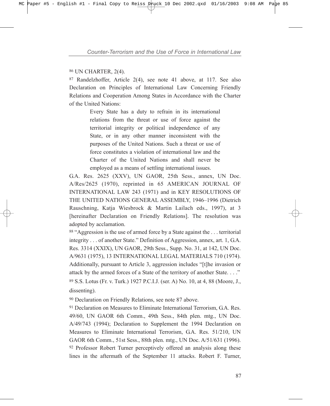<sup>86</sup> UN CHARTER, 2(4).

<sup>87</sup> Randelzhoffer, Article 2(4), see note 41 above, at 117. See also Declaration on Principles of International Law Concerning Friendly Relations and Cooperation Among States in Accordance with the Charter of the United Nations:

> Every State has a duty to refrain in its international relations from the threat or use of force against the territorial integrity or political independence of any State, or in any other manner inconsistent with the purposes of the United Nations. Such a threat or use of force constitutes a violation of international law and the Charter of the United Nations and shall never be employed as a means of settling international issues.

G.A. Res. 2625 (XXV), UN GAOR, 25th Sess., annex, UN Doc. A/Res/2625 (1970), reprinted in 65 AMERICAN JOURNAL OF INTERNATIONAL LAW 243 (1971) and in KEY RESOLUTIONS OF THE UNITED NATIONS GENERAL ASSEMBLY, 1946-1996 (Dietrich Rauschning, Katja Wiesbrock & Martin Lailach eds., 1997), at 3 [hereinafter Declaration on Friendly Relations]. The resolution was adopted by acclamation.

88 "Aggression is the use of armed force by a State against the ... territorial integrity . . . of another State." Definition of Aggression, annex, art. 1, G.A. Res. 3314 (XXIX), UN GAOR, 29th Sess., Supp. No. 31, at 142, UN Doc. A/9631 (1975), 13 INTERNATIONAL LEGAL MATERIALS 710 (1974). Additionally, pursuant to Article 3, aggression includes "[t]he invasion or attack by the armed forces of a State of the territory of another State.  $\dots$ ." <sup>89</sup> S.S. Lotus (Fr. v. Turk.) 1927 P.C.I.J. (ser. A) No. 10, at 4, 88 (Moore, J., dissenting).

<sup>90</sup> Declaration on Friendly Relations, see note 87 above.

<sup>91</sup> Declaration on Measures to Eliminate International Terrorism, G.A. Res. 49/60, UN GAOR 6th Comm., 49th Sess., 84th plen. mtg., UN Doc. A/49/743 (1994); Declaration to Supplement the 1994 Declaration on Measures to Eliminate International Terrorism, G.A. Res. 51/210, UN GAOR 6th Comm., 51st Sess., 88th plen. mtg., UN Doc. A/51/631 (1996). <sup>92</sup> Professor Robert Turner perceptively offered an analysis along these lines in the aftermath of the September 11 attacks. Robert F. Turner,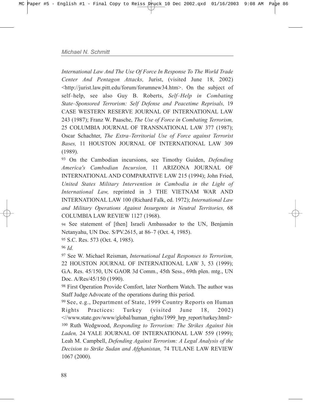*International Law And The Use Of Force In Response To The World Trade Center And Pentagon Attacks,* Jurist, (visited June 18, 2002) <http://jurist.law.pitt.edu/forum/forumnew34.htm>. On the subject of self-help, see also Guy B. Roberts, *Self-Help in Combating State–Sponsored Terrorism: Self Defense and Peacetime Reprisals, 19* CASE WESTERN RESERVE JOURNAL OF INTERNATIONAL LAW 243 (1987); Franz W. Paasche, *The Use of Force in Combating Terrorism,* 25 COLUMBIA JOURNAL OF TRANSNATIONAL LAW 377 (1987); Oscar Schachter, *The Extra-Territorial Use of Force against Terrorist Bases,* 11 HOUSTON JOURNAL OF INTERNATIONAL LAW 309 (1989).

<sup>93</sup> On the Cambodian incursions, see Timothy Guiden, *Defending America's Cambodian Incursion,* 11 ARIZONA JOURNAL OF INTERNATIONAL AND COMPARATIVE LAW 215 (1994); John Fried, *United States Military Intervention in Cambodia in the Light of International Law,* reprinted in 3 THE VIETNAM WAR AND INTERNATIONAL LAW 100 (Richard Falk, ed. 1972); *International Law and Military Operations Against Insurgents in Neutral Territories,* 68 COLUMBIA LAW REVIEW 1127 (1968).

<sup>94</sup> See statement of [then] Israeli Ambassador to the UN, Benjamin Netanyahu, UN Doc. S/PV.2615, at 86–7 (Oct. 4, 1985).

<sup>95</sup> S.C. Res. 573 (Oct. 4, 1985).

<sup>96</sup> *Id.*

<sup>97</sup> See W. Michael Reisman, *International Legal Responses to Terrorism,* 22 HOUSTON JOURNAL OF INTERNATIONAL LAW 3, 53 (1999); G.A. Res. 45/150, UN GAOR 3d Comm., 45th Sess., 69th plen. mtg., UN Doc. A/Res/45/150 (1990).

<sup>98</sup> First Operation Provide Comfort, later Northern Watch. The author was Staff Judge Advocate of the operations during this period.

<sup>99</sup> See, e.g., Department of State, 1999 Country Reports on Human Rights Practices: Turkey (visited June 18, 2002) <//www.state.gov/www/global/human\_rights/1999\_hrp\_report/turkey.html> <sup>100</sup> Ruth Wedgwood, *Responding to Terrorism: The Strikes Against bin Laden,* 24 YALE JOURNAL OF INTERNATIONAL LAW 559 (1999); Leah M. Campbell, *Defending Against Terrorism: A Legal Analysis of the Decision to Strike Sudan and Afghanistan,* 74 TULANE LAW REVIEW 1067 (2000).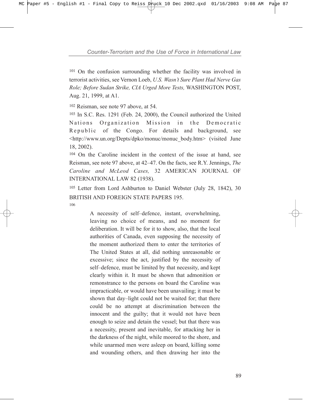<sup>101</sup> On the confusion surrounding whether the facility was involved in terrorist activities, see Vernon Loeb, *U.S. Wasnít Sure Plant Had Nerve Gas Role; Before Sudan Strike, CIA Urged More Tests,* WASHINGTON POST, Aug. 21, 1999, at A1.

<sup>102</sup> Reisman, see note 97 above, at 54.

<sup>103</sup> In S.C. Res. 1291 (Feb. 24, 2000), the Council authorized the United Nations Organization Mission in the Democratic Republic of the Congo. For details and background, see <http://www.un.org/Depts/dpko/monuc/monuc\_body.htm> (visited June 18, 2002).

<sup>104</sup> On the Caroline incident in the context of the issue at hand, see Reisman, see note 97 above, at 42–47. On the facts, see R.Y. Jennings, *The Caroline and McLeod Cases,* 32 AMERICAN JOURNAL OF INTERNATIONAL LAW 82 (1938).

<sup>105</sup> Letter from Lord Ashburton to Daniel Webster (July 28, 1842), 30 BRITISH AND FOREIGN STATE PAPERS 195. 106

> A necessity of self-defence, instant, overwhelming, leaving no choice of means, and no moment for deliberation. It will be for it to show, also, that the local authorities of Canada, even supposing the necessity of the moment authorized them to enter the territories of The United States at all, did nothing unreasonable or excessive; since the act, justified by the necessity of self-defence, must be limited by that necessity, and kept clearly within it. It must be shown that admonition or remonstrance to the persons on board the Caroline was impracticable, or would have been unavailing; it must be shown that day-light could not be waited for; that there could be no attempt at discrimination between the innocent and the guilty; that it would not have been enough to seize and detain the vessel; but that there was a necessity, present and inevitable, for attacking her in the darkness of the night, while moored to the shore, and while unarmed men were asleep on board, killing some and wounding others, and then drawing her into the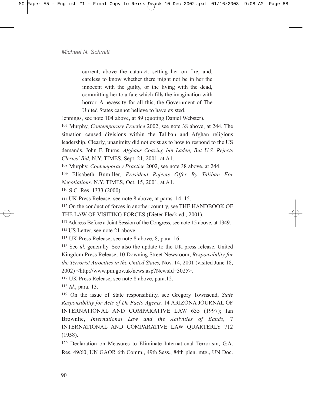current, above the cataract, setting her on fire, and, careless to know whether there might not be in her the innocent with the guilty, or the living with the dead, committing her to a fate which fills the imagination with horror. A necessity for all this, the Government of The United States cannot believe to have existed.

Jennings, see note 104 above, at 89 (quoting Daniel Webster).

<sup>107</sup> Murphy, *Contemporary Practice* 2002, see note 38 above, at 244. The situation caused divisions within the Taliban and Afghan religious leadership. Clearly, unanimity did not exist as to how to respond to the US demands. John F. Burns, *Afghans Coaxing bin Laden, But U.S. Rejects Clerics' Bid,* N.Y. TIMES, Sept. 21, 2001, at A1.

<sup>108</sup> Murphy, *Contemporary Practice* 2002, see note 38 above, at 244.

<sup>109</sup> Elisabeth Bumiller, *President Rejects Offer By Taliban For Negotiations,* N.Y. TIMES, Oct. 15, 2001, at A1.

<sup>110</sup> S.C. Res. 1333 (2000).

111 UK Press Release, see note 8 above, at paras. 14–15.

<sup>112</sup> On the conduct of forces in another country, see THE HANDBOOK OF THE LAW OF VISITING FORCES (Dieter Fleck ed., 2001).

<sup>113</sup> Address Before a Joint Session of the Congress, see note 15 above, at 1349.

114 US Letter, see note 21 above.

<sup>115</sup> UK Press Release, see note 8 above, 8, para. 16.

<sup>116</sup> See *id.* generally. See also the update to the UK press release. United Kingdom Press Release, 10 Downing Street Newsroom, *Responsibility for the Terrorist Atrocities in the United States,* Nov. 14, 2001 (visited June 18, 2002) <http://www.pm.gov.uk/news.asp?NewsId=3025>.

<sup>117</sup> UK Press Release, see note 8 above, para.12.

<sup>118</sup> *Id.*, para. 13.

<sup>119</sup> On the issue of State responsibility, see Gregory Townsend, *State Responsibility for Acts of De Facto Agents,* 14 ARIZONA JOURNAL OF INTERNATIONAL AND COMPARATIVE LAW 635 (1997); Ian Brownlie, *International Law and the Activities of Bands,* 7 INTERNATIONAL AND COMPARATIVE LAW QUARTERLY 712 (1958).

<sup>120</sup> Declaration on Measures to Eliminate International Terrorism, G.A. Res. 49/60, UN GAOR 6th Comm., 49th Sess., 84th plen. mtg., UN Doc.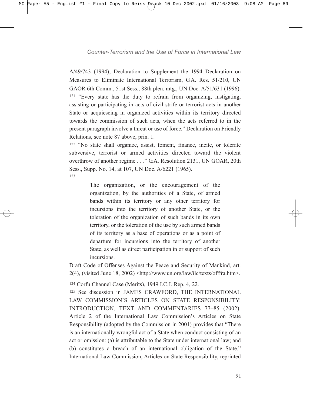A/49/743 (1994); Declaration to Supplement the 1994 Declaration on Measures to Eliminate International Terrorism, G.A. Res. 51/210, UN GAOR 6th Comm., 51st Sess., 88th plen. mtg., UN Doc. A/51/631 (1996).  $121$  "Every state has the duty to refrain from organizing, instigating, assisting or participating in acts of civil strife or terrorist acts in another State or acquiescing in organized activities within its territory directed towards the commission of such acts, when the acts referred to in the present paragraph involve a threat or use of force." Declaration on Friendly Relations, see note 87 above, prin. 1.

<sup>122</sup> "No state shall organize, assist, foment, finance, incite, or tolerate subversive, terrorist or armed activities directed toward the violent overthrow of another regime . . ." G.A. Resolution 2131, UN GOAR, 20th Sess., Supp. No. 14, at 107, UN Doc. A/6221 (1965). 123

> The organization, or the encouragement of the organization, by the authorities of a State, of armed bands within its territory or any other territory for incursions into the territory of another State, or the toleration of the organization of such bands in its own territory, or the toleration of the use by such armed bands of its territory as a base of operations or as a point of departure for incursions into the territory of another State, as well as direct participation in or support of such incursions.

Draft Code of Offenses Against the Peace and Security of Mankind, art. 2(4), (visited June 18, 2002) <http://www.un.org/law/ilc/texts/offfra.htm>.

<sup>124</sup> Corfu Channel Case (Merits), 1949 I.C.J. Rep. 4, 22.

<sup>125</sup> See discussion in JAMES CRAWFORD, THE INTERNATIONAL LAW COMMISSION'S ARTICLES ON STATE RESPONSIBILITY: INTRODUCTION, TEXT AND COMMENTARIES 77-85 (2002). Article 2 of the International Law Commission's Articles on State Responsibility (adopted by the Commission in 2001) provides that "There" is an internationally wrongful act of a State when conduct consisting of an act or omission: (a) is attributable to the State under international law; and (b) constitutes a breach of an international obligation of the State." International Law Commission, Articles on State Responsibility, reprinted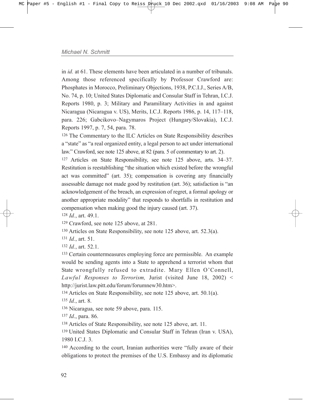in *id.* at 61. These elements have been articulated in a number of tribunals. Among those referenced specifically by Professor Crawford are: Phosphates in Morocco, Preliminary Objections, 1938, P.C.I.J., Series A/B, No. 74, p. 10; United States Diplomatic and Consular Staff in Tehran, I.C.J. Reports 1980, p. 3; Military and Paramilitary Activities in and against Nicaragua (Nicaragua v. US), Merits, I.C.J. Reports 1986, p. 14, 117–118, para. 226; Gabcikovo-Nagymaros Project (Hungary/Slovakia), I.C.J. Reports 1997, p. 7, 54, para. 78.

<sup>126</sup> The Commentary to the ILC Articles on State Responsibility describes a "state" as "a real organized entity, a legal person to act under international law." Crawford, see note 125 above, at 82 (para. 5 of commentary to art. 2).

 $127$  Articles on State Responsibility, see note 125 above, arts. 34–37. Restitution is reestablishing "the situation which existed before the wrongful act was committed" (art. 35); compensation is covering any financially assessable damage not made good by restitution (art.  $36$ ); satisfaction is "an acknowledgement of the breach, an expression of regret, a formal apology or another appropriate modality" that responds to shortfalls in restitution and compensation when making good the injury caused (art. 37).

<sup>128</sup> *Id.*, art. 49.1.

<sup>129</sup> Crawford, see note 125 above, at 281.

<sup>130</sup> Articles on State Responsibility, see note 125 above, art. 52.3(a).

<sup>131</sup> *Id.*, art. 51.

<sup>132</sup> *Id.*, art. 52.1.

<sup>133</sup> Certain countermeasures employing force are permissible. An example would be sending agents into a State to apprehend a terrorist whom that State wrongfully refused to extradite. Mary Ellen O'Connell, *Lawful Responses to Terrorism,* Jurist (visited June 18, 2002) < http://jurist.law.pitt.edu/forum/forumnew30.htm>.

<sup>134</sup> Articles on State Responsibility, see note 125 above, art. 50.1(a).

<sup>135</sup> *Id.*, art. 8.

<sup>136</sup> Nicaragua, see note 59 above, para. 115.

<sup>137</sup> *Id*., para. 86.

<sup>138</sup> Articles of State Responsibility, see note 125 above, art. 11.

139 United States Diplomatic and Consular Staff in Tehran (Iran v. USA), 1980 I.C.J. 3.

 $140$  According to the court, Iranian authorities were "fully aware of their obligations to protect the premises of the U.S. Embassy and its diplomatic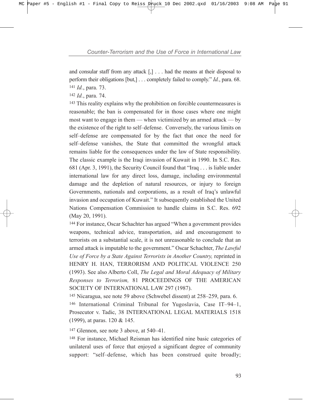and consular staff from any attack  $[,]$ ... had the means at their disposal to perform their obligations [but,] . . . completely failed to comply." *Id.*, para. 68. <sup>141</sup> *Id.*, para. 73.

<sup>142</sup> *Id.*, para. 74.

<sup>143</sup> This reality explains why the prohibition on forcible countermeasures is reasonable; the ban is compensated for in those cases where one might most want to engage in them  $-$  when victimized by an armed attack  $-$  by the existence of the right to self-defense. Conversely, the various limits on self-defense are compensated for by the fact that once the need for self-defense vanishes, the State that committed the wrongful attack remains liable for the consequences under the law of State responsibility. The classic example is the Iraqi invasion of Kuwait in 1990. In S.C. Res. 681 (Apr. 3, 1991), the Security Council found that "Iraq  $\ldots$  is liable under international law for any direct loss, damage, including environmental damage and the depletion of natural resources, or injury to foreign Governments, nationals and corporations, as a result of Iraq's unlawful invasion and occupation of Kuwait." It subsequently established the United Nations Compensation Commission to handle claims in S.C. Res. 692 (May 20, 1991).

<sup>144</sup> For instance, Oscar Schachter has argued "When a government provides" weapons, technical advice, transportation, aid and encouragement to terrorists on a substantial scale, it is not unreasonable to conclude that an armed attack is imputable to the government." Oscar Schachter, *The Lawful Use of Force by a State Against Terrorists in Another Country,* reprinted in HENRY H. HAN, TERRORISM AND POLITICAL VIOLENCE 250 (1993). See also Alberto Coll, *The Legal and Moral Adequacy of Military Responses to Terrorism,* 81 PROCEEDINGS OF THE AMERICAN SOCIETY OF INTERNATIONAL LAW 297 (1987).

 $145$  Nicaragua, see note 59 above (Schwebel dissent) at  $258-259$ , para. 6. 146 International Criminal Tribunal for Yugoslavia, Case IT-94-1, Prosecutor v. Tadic, 38 INTERNATIONAL LEGAL MATERIALS 1518 (1999), at paras. 120 & 145.

 $147$  Glennon, see note 3 above, at  $540-41$ .

<sup>148</sup> For instance, Michael Reisman has identified nine basic categories of unilateral uses of force that enjoyed a significant degree of community support: "self-defense, which has been construed quite broadly;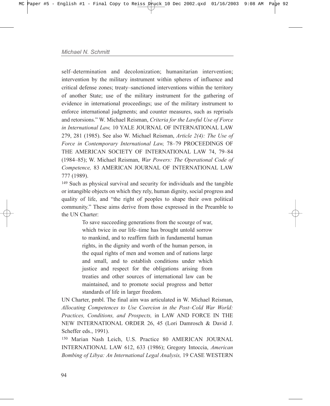self-determination and decolonization; humanitarian intervention: intervention by the military instrument within spheres of influence and critical defense zones; treaty–sanctioned interventions within the territory of another State; use of the military instrument for the gathering of evidence in international proceedings; use of the military instrument to enforce international judgments; and counter measures, such as reprisals and retorsions.î W. Michael Reisman, *Criteria for the Lawful Use of Force in International Law,* 10 YALE JOURNAL OF INTERNATIONAL LAW 279, 281 (1985). See also W. Michael Reisman, *Article 2(4): The Use of* Force in Contemporary International Law, 78-79 PROCEEDINGS OF THE AMERICAN SOCIETY OF INTERNATIONAL LAW 74, 79-84 (1984–85); W. Michael Reisman, *War Powers: The Operational Code of Competence,* 83 AMERICAN JOURNAL OF INTERNATIONAL LAW 777 (1989).

<sup>149</sup> Such as physical survival and security for individuals and the tangible or intangible objects on which they rely, human dignity, social progress and quality of life, and "the right of peoples to shape their own political community." These aims derive from those expressed in the Preamble to the UN Charter:

> To save succeeding generations from the scourge of war, which twice in our life-time has brought untold sorrow to mankind, and to reaffirm faith in fundamental human rights, in the dignity and worth of the human person, in the equal rights of men and women and of nations large and small, and to establish conditions under which justice and respect for the obligations arising from treaties and other sources of international law can be maintained, and to promote social progress and better standards of life in larger freedom.

UN Charter, pmbl. The final aim was articulated in W. Michael Reisman, *Allocating Competences to Use Coercion in the Post–Cold War World: Practices, Conditions, and Prospects,* in LAW AND FORCE IN THE NEW INTERNATIONAL ORDER 26, 45 (Lori Damrosch & David J. Scheffer eds., 1991).

<sup>150</sup> Marian Nash Leich, U.S. Practice 80 AMERICAN JOURNAL INTERNATIONAL LAW 612, 633 (1986); Gregory Intoccia, *American Bombing of Libya: An International Legal Analysis,* 19 CASE WESTERN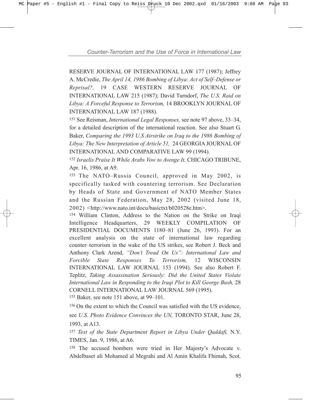RESERVE JOURNAL OF INTERNATIONAL LAW 177 (1987); Jeffrey A. McCredie, *The April 14, 1986 Bombing of Libya: Act of Self-Defense or Reprisal?,* 19 CASE WESTERN RESERVE JOURNAL OF INTERNATIONAL LAW 215 (1987); David Turndorf, *The U.S. Raid on Libya: A Forceful Response to Terrorism,* 14 BROOKLYN JOURNAL OF INTERNATIONAL LAW 187 (1988).

<sup>151</sup> See Reisman, *International Legal Responses*, see note 97 above, 33–34, for a detailed description of the international reaction. See also Stuart G. Baker, *Comparing the 1993 U.S Airstrike on Iraq to the 1986 Bombing of Libya: The New Interpretation of Article 51,* 24 GEORGIA JOURNAL OF INTERNATIONAL AND COMPARATIVE LAW 99 (1994).

<sup>152</sup> *Israelis Praise It While Arabs Vow to Avenge It,* CHICAGO TRIBUNE, Apr. 16, 1986, at A9.

 $153$  The NATO–Russia Council, approved in May 2002, is specifically tasked with countering terrorism. See Declaration by Heads of State and Government of NATO Member States and the Russian Federation, May 28, 2002 (visited June 18, 2002) <http://www.nato.int/docu/basictxt/b020528e.htm>.

<sup>154</sup> William Clinton, Address to the Nation on the Strike on Iraqi Intelligence Headquarters, 29 WEEKLY COMPILATION OF PRESIDENTIAL DOCUMENTS 1180-81 (June 26, 1993). For an excellent analysis on the state of international law regarding counter–terrorism in the wake of the US strikes, see Robert J. Beck and Anthony Clark Arend, "Don't Tread On Us": International Law and *Forcible State Responses To Terrorism,* 12 WISCONSIN INTERNATIONAL LAW JOURNAL 153 (1994). See also Robert F. Teplitz, *Taking Assassination Seriously: Did the United States Violate International Law in Responding to the Iraqi Plot to Kill George Bush,* 28 CORNELL INTERNATIONAL LAW JOURNAL 569 (1995).

 $155$  Baker, see note 151 above, at 99–101.

156 On the extent to which the Council was satisfied with the US evidence, see *U.S. Photo Evidence Convinces the UN,* TORONTO STAR, June 28, 1993, at A13.

<sup>157</sup> *Text of the State Department Report in Libya Under Qaddafi,* N.Y. TIMES, Jan. 9, 1986, at A6.

<sup>158</sup> The accused bombers were tried in Her Majesty's Advocate v. Abdelbaset ali Mohamed al Megrahi and Al Amin Khalifa Fhimah, Scot.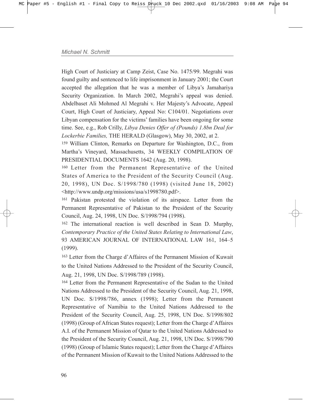High Court of Justiciary at Camp Zeist, Case No. 1475/99. Megrahi was found guilty and sentenced to life imprisonment in January 2001; the Court accepted the allegation that he was a member of Libya's Jamahariya Security Organization. In March 2002, Megrahi's appeal was denied. Abdelbaset Ali Mohmed Al Megrahi v. Her Majesty's Advocate, Appeal Court, High Court of Justiciary, Appeal No: C104/01. Negotiations over Libyan compensation for the victims' families have been ongoing for some time. See, e.g., Rob Crilly, *Libya Denies Offer of (Pounds) 1.8bn Deal for Lockerbie Families,* THE HERALD (Glasgow), May 30, 2002, at 2.

<sup>159</sup> William Clinton, Remarks on Departure for Washington, D.C., from Marthaís Vineyard, Massachusetts, 34 WEEKLY COMPILATION OF PRESIDENTIAL DOCUMENTS 1642 (Aug. 20, 1998).

<sup>160</sup> Letter from the Permanent Representative of the United States of America to the President of the Security Council (Aug. 20, 1998), UN Doc. S/1998/780 (1998) (visited June 18, 2002) <http://www.undp.org/missions/usa/s1998780.pdf>.

<sup>161</sup> Pakistan protested the violation of its airspace. Letter from the Permanent Representative of Pakistan to the President of the Security Council, Aug. 24, 1998, UN Doc. S/1998/794 (1998).

<sup>162</sup> The international reaction is well described in Sean D. Murphy, *Contemporary Practice of the United States Relating to International Law*, 93 AMERICAN JOURNAL OF INTERNATIONAL LAW 161, 164-5 (1999).

<sup>163</sup> Letter from the Charge d'Affaires of the Permanent Mission of Kuwait to the United Nations Addressed to the President of the Security Council, Aug. 21, 1998, UN Doc. S/1998/789 (1998).

<sup>164</sup> Letter from the Permanent Representative of the Sudan to the United Nations Addressed to the President of the Security Council, Aug. 21, 1998, UN Doc. S/1998/786, annex (1998); Letter from the Permanent Representative of Namibia to the United Nations Addressed to the President of the Security Council, Aug. 25, 1998, UN Doc. S/1998/802 (1998) (Group of African States request); Letter from the Charge d'Affaires A.I. of the Permanent Mission of Qatar to the United Nations Addressed to the President of the Security Council, Aug. 21, 1998, UN Doc. S/1998/790 (1998) (Group of Islamic States request); Letter from the Charge d'Affaires of the Permanent Mission of Kuwait to the United Nations Addressed to the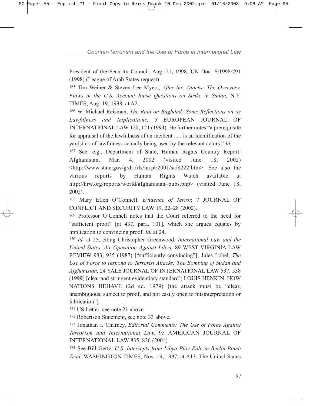President of the Security Council, Aug. 21, 1998, UN Doc. S/1998/791 (1998) (League of Arab States request).

<sup>165</sup> Tim Weiner & Steven Lee Myers, *After the Attacks: The Overview, Flaws in the U.S. Account Raise Questions on Strike in Sudan,* N.Y. TIMES, Aug. 19, 1998, at A2.

<sup>166</sup> W. Michael Reisman, *The Raid on Baghdad: Some Reflections on its Lawfulness and Implications,* 5 EUROPEAN JOURNAL OF INTERNATIONAL LAW 120, 121 (1994). He further notes "a prerequisite for appraisal of the lawfulness of an incident . . . is an identification of the yardstick of lawfulness actually being used by the relevant actors." *Id.* 

<sup>167</sup> See, e.g., Department of State, Human Rights Country Report: Afghanistan, Mar. 4, 2002 (visited June 18, 2002) <http://www.state.gov/g/drl/rls/hrrpt/2001/sa/8222.htm>. See also the various reports by Human Rights Watch available at http://hrw.org/reports/world/afghanistan-pubs.php> (visited June 18, 2002).

<sup>168</sup> Mary Ellen OíConnell, *Evidence of Terror,* 7 JOURNAL OF CONFLICT AND SECURITY LAW 19, 22-28 (2002).

<sup>169</sup> Professor O'Connell notes that the Court referred to the need for "sufficient proof" [at  $437$ , para. 101], which she argues equates by implication to convincing proof. *Id.* at 24.

<sup>170</sup> *Id.* at 25, citing Christopher Greenwood, *International Law and the United Statesí Air Operation Against Libya,* 89 WEST VIRGINIA LAW REVIEW 933, 935 (1987) ["sufficiently convincing"]; Jules Lobel, *The Use of Force to respond to Terrorist Attacks: The Bombing of Sudan and Afghanistan,* 24 YALE JOURNAL OF INTERNATIONAL LAW 537, 538 (1999) [clear and stringent evidentiary standard]; LOUIS HENKIN, HOW NATIONS BEHAVE (2d ed. 1979) [the attack must be "clear, unambiguous, subject to proof, and not easily open to misinterpretation or fabrication"].

<sup>171</sup> US Letter, see note 21 above.

<sup>172</sup> Robertson Statement, see note 33 above.

<sup>173</sup> Jonathan I. Charney, *Editorial Comments: The Use of Force Against Terrorism and International Law,* 95 AMERICAN JOURNAL OF INTERNATIONAL LAW 835, 836 (2001).

<sup>174</sup> See Bill Gertz, *U.S. Intercepts from Libya Play Role in Berlin Bomb Trial,* WASHINGTON TIMES, Nov. 19, 1997, at A13. The United States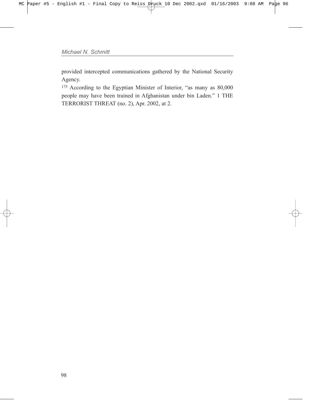provided intercepted communications gathered by the National Security Agency.

<sup>175</sup> According to the Egyptian Minister of Interior, "as many as 80,000 people may have been trained in Afghanistan under bin Laden." 1 THE TERRORIST THREAT (no. 2), Apr. 2002, at 2.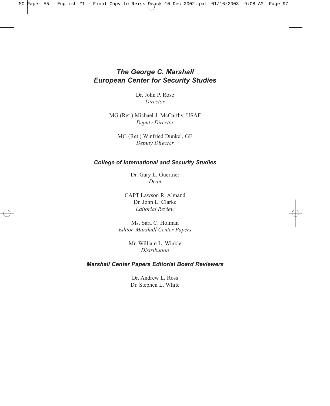# *The George C. Marshall European Center for Security Studies*

Dr. John P. Rose *Director*

MG (Ret.) Michael J. McCarthy, USAF *Deputy Director*

MG (Ret.) Winfried Dunkel, GE *Deputy Director*

#### *College of International and Security Studies*

Dr. Gary L. Guertner *Dean*

CAPT Lawson R. Almand Dr. John L. Clarke *Editorial Review*

Ms. Sara C. Holman *Editor, Marshall Center Papers*

> Mr. William L. Winkle *Distribution*

### *Marshall Center Papers Editorial Board Reviewers*

Dr. Andrew L. Ross Dr. Stephen L. White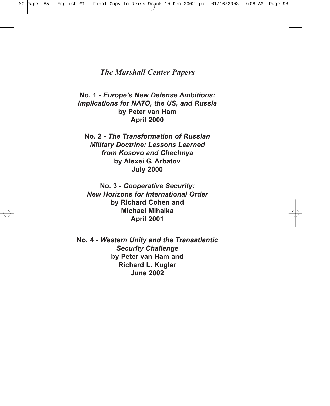## *The Marshall Center Papers*

**No. 1** *- Europeís New Defense Ambitions: Implications for NATO, the US, and Russia*  **by Peter van Ham April 2000**

**No. 2** *- The Transformation of Russian Military Doctrine: Lessons Learned from Kosovo and Chechnya*  **by Alexei G. Arbatov July 2000**

**No. 3 -** *Cooperative Security: New Horizons for International Order* **by Richard Cohen and Michael Mihalka April 2001**

**No. 4 -** *Western Unity and the Transatlantic Security Challenge*  **by Peter van Ham and Richard L. Kugler June 2002**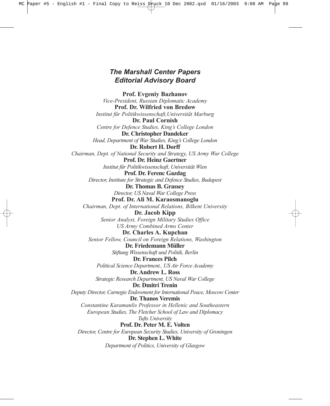# *The Marshall Center Papers Editorial Advisory Board*

**Prof. Evgeniy Bazhanov** *Vice-President, Russian Diplomatic Academy* **Prof. Dr. Wilfried von Bredow** *Institut f¸r Politikwissenschaft,Universit‰t Marburg* **Dr. Paul Cornish** *Centre for Defence Studies, Kingís College London* **Dr. Christopher Dandeker** *Head, Department of War Studies, Kingís College London* **Dr. Robert H. Dorff** *Chairman, Dept. of National Security and Strategy, US Army War College* **Prof. Dr. Heinz Gaertner** *Institut f¸r Politikwissenschaft, Universit‰t Wien* **Prof. Dr. Ferenc Gazdag** *Director, Institute for Strategic and Defence Studies, Budapest* **Dr. Thomas B. Grassey** *Director, US Naval War College Press* **Prof. Dr. Ali M. Karaosmanoglu** *Chairman, Dept. of International Relations, Bilkent University* **Dr. Jacob Kipp** *Senior Analyst, Foreign Military Studies Office US Army Combined Arms Center* **Dr. Charles A. Kupchan** *Senior Fellow, Council on Foreign Relations, Washington* Dr. Friedemann Müller *Stiftung Wissenschaft und Politik, Berlin* **Dr. Frances Pilch** *Political Science Department., US Air Force Academy* **Dr. Andrew L. Ross**  *Strategic Research Department, US Naval War College* **Dr. Dmitri Trenin** *Deputy Director, Carnegie Endowment for International Peace, Moscow Center* **Dr. Thanos Veremis** *Constantine Karamanlis Professor in Hellenic and Southeastern European Studies, The Fletcher School of Law and Diplomacy Tufts University* **Prof. Dr. Peter M. E. Volten** *Director, Centre for European Security Studies, University of Groningen*  **Dr. Stephen L. White** *Department of Politics, University of Glasgow*

*CCooperative Security: Two Views*